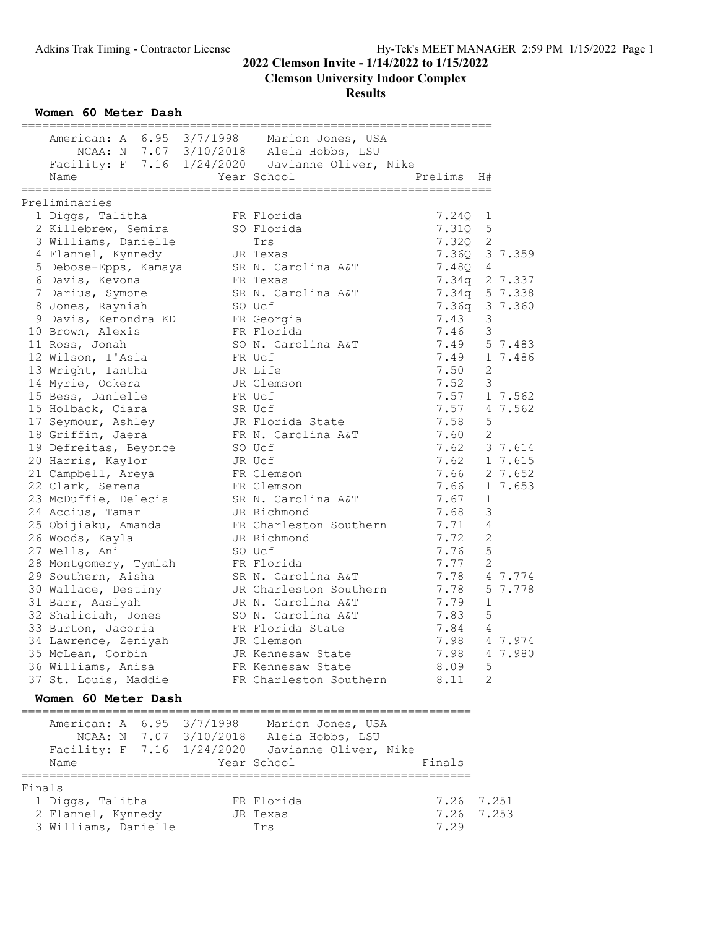**Clemson University Indoor Complex**

#### **Results**

**Women 60 Meter Dash**

|                                            | American: A 6.95 3/7/1998 Marion Jones, USA      |               |                |         |
|--------------------------------------------|--------------------------------------------------|---------------|----------------|---------|
|                                            | NCAA: N 7.07 3/10/2018 Aleia Hobbs, LSU          |               |                |         |
|                                            | Facility: F 7.16 1/24/2020 Javianne Oliver, Nike |               |                |         |
| Name                                       | Year School                                      | Prelims       | H#             |         |
|                                            |                                                  |               |                |         |
| Preliminaries                              |                                                  |               |                |         |
| 1 Diggs, Talitha                           | FR Florida                                       | 7.24Q         | 1              |         |
| 2 Killebrew, Semira                        | SO Florida                                       | 7.31Q         | 5              |         |
| 3 Williams, Danielle                       | Trs                                              | 7.320         | 2              |         |
| 4 Flannel, Kynnedy                         | JR Texas                                         | 7.36Q         |                | 3 7.359 |
| 5 Debose-Epps, Kamaya                      | SR N. Carolina A&T                               | 7.48Q         | 4              |         |
| 6 Davis, Kevona                            | FR Texas                                         | 7.34q         |                | 2 7.337 |
| 7 Darius, Symone                           | SR N. Carolina A&T                               | 7.34q         |                | 5 7.338 |
| 8 Jones, Rayniah                           | SO Ucf                                           | 7.36q 3 7.360 |                |         |
| 9 Davis, Kenondra KD                       | FR Georgia                                       | 7.43          | 3              |         |
| 10 Brown, Alexis                           | FR Florida                                       | 7.46          | 3              |         |
| 11 Ross, Jonah                             | SO N. Carolina A&T                               | 7.49          |                | 5 7.483 |
| 12 Wilson, I'Asia                          | FR Ucf                                           | 7.49          |                | 1 7.486 |
| 13 Wright, Iantha                          |                                                  |               | 2              |         |
|                                            | JR Life                                          | 7.50          |                |         |
| 14 Myrie, Ockera                           | JR Clemson                                       | 7.52          | 3              |         |
| 15 Bess, Danielle                          | FR Ucf                                           | 7.57          |                | 1 7.562 |
| 15 Holback, Ciara                          | SR Ucf                                           | 7.57          |                | 4 7.562 |
| 17 Seymour, Ashley                         | JR Florida State                                 | 7.58          | 5              |         |
| 18 Griffin, Jaera                          | FR N. Carolina A&T                               | 7.60          | 2              |         |
| 19 Defreitas, Beyonce                      | SO Ucf                                           | 7.62          |                | 3 7.614 |
| 20 Harris, Kaylor                          | JR Ucf                                           | 7.62          |                | 1 7.615 |
| 21 Campbell, Areya                         | FR Clemson                                       | 7.66          |                | 2 7.652 |
| 22 Clark, Serena                           | FR Clemson                                       | 7.66          |                | 1 7.653 |
| 23 McDuffie, Delecia                       | SR N. Carolina A&T                               | 7.67          | 1              |         |
| 24 Accius, Tamar                           | JR Richmond                                      | 7.68          | $\mathfrak{Z}$ |         |
| 25 Obijiaku, Amanda                        | FR Charleston Southern                           | 7.71          | 4              |         |
| 26 Woods, Kayla                            | JR Richmond                                      | 7.72          | 2              |         |
| 27 Wells, Ani                              | SO Ucf                                           | 7.76          | $\mathsf S$    |         |
| 28 Montgomery, Tymiah                      | FR Florida                                       | 7.77          | 2              |         |
| 29 Southern, Aisha                         | SR N. Carolina A&T                               | 7.78          |                | 4 7.774 |
| 30 Wallace, Destiny                        | JR Charleston Southern                           | 7.78          |                | 5 7.778 |
| 31 Barr, Aasiyah                           | JR N. Carolina A&T                               | 7.79          | 1              |         |
| 32 Shaliciah, Jones                        | SO N. Carolina A&T                               | 7.83          | $\mathsf S$    |         |
| 33 Burton, Jacoria                         | FR Florida State                                 | 7.84          | 4              |         |
| 34 Lawrence, Zeniyah                       | JR Clemson                                       | 7.98          |                | 4 7.974 |
|                                            |                                                  | 7.98          |                | 4 7.980 |
| 35 McLean, Corbin                          | JR Kennesaw State                                |               |                |         |
| 36 Williams, Anisa<br>37 St. Louis, Maddie | FR Kennesaw State<br>FR Charleston Southern      | 8.09<br>8.11  | 5<br>2         |         |
|                                            |                                                  |               |                |         |
| Women 60 Meter Dash                        | ---------------------                            |               |                |         |
|                                            | American: A 6.95 3/7/1998 Marion Jones, USA      |               |                |         |
|                                            | NCAA: N 7.07 3/10/2018 Aleia Hobbs, LSU          |               |                |         |
|                                            | Facility: F 7.16 1/24/2020 Javianne Oliver, Nike |               |                |         |
| Name                                       | Year School                                      | Finals        |                |         |

| Fınals |                      |            |      |            |
|--------|----------------------|------------|------|------------|
|        | 1 Diggs, Talitha     | FR Florida |      | 7.26 7.251 |
|        | 2 Flannel, Kynnedy   | JR Texas   |      | 7.26 7.253 |
|        | 3 Williams, Danielle | Trs        | 7.29 |            |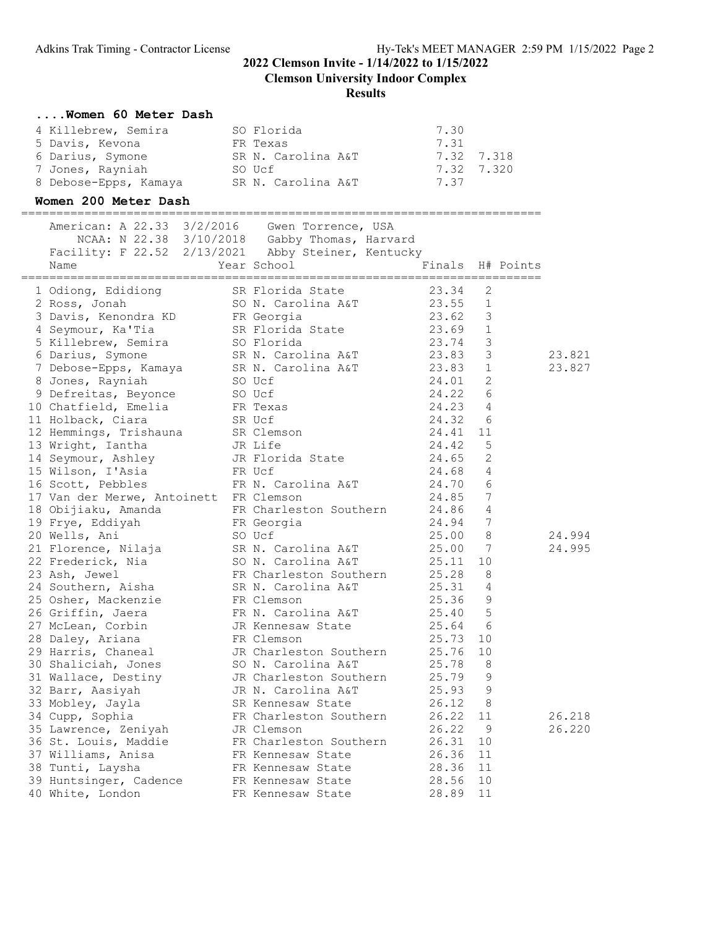**Clemson University Indoor Complex**

#### **Results**

#### **....Women 60 Meter Dash**

| 4 Killebrew, Semira   | SO Florida         | 7.30       |  |
|-----------------------|--------------------|------------|--|
| 5 Davis, Kevona       | FR Texas           | 7.31       |  |
| 6 Darius, Symone      | SR N. Carolina A&T | 7.32 7.318 |  |
| 7 Jones, Rayniah      | SO Ucf             | 7.32 7.320 |  |
| 8 Debose-Epps, Kamaya | SR N. Carolina A&T | 7.37       |  |

#### **Women 200 Meter Dash**

========================================================================== American: A 22.33 3/2/2016 Gwen Torrence, USA NCAA: N 22.38 3/10/2018 Gabby Thomas, Harvard Facility: F 22.52 2/13/2021 Abby Steiner, Kentucky Name Year School Finals H# Points ========================================================================== 1 Odiong, Edidiong SR Florida State 23.34 2 2 Ross, Jonah SO N. Carolina A&T 23.55 1 3 Davis, Kenondra KD FR Georgia 23.62 3 4 Seymour, Ka'Tia SR Florida State 23.69 1 5 Killebrew, Semira SO Florida 23.74 3 6 Darius, Symone SR N. Carolina A&T 23.83 3 23.821 7 Debose-Epps, Kamaya SR N. Carolina A&T 23.83 1 23.827 8 Jones, Rayniah SO Ucf 24.01 2 9 Defreitas, Beyonce SO Ucf 24.22 6 10 Chatfield, Emelia FR Texas 24.23 4 11 Holback, Ciara SR Ucf 24.32 6 12 Hemmings, Trishauna SR Clemson 24.41 11 13 Wright, Iantha JR Life 24.42 5 14 Seymour, Ashley JR Florida State 24.65 2 15 Wilson, I'Asia FR Ucf 24.68 4 16 Scott, Pebbles FR N. Carolina A&T 24.70 6 17 Van der Merwe, Antoinett FR Clemson 24.85 7 18 Obijiaku, Amanda FR Charleston Southern 24.86 4 19 Frye, Eddiyah FR Georgia 24.94 7 20 Wells, Ani SO Ucf 25.00 8 24.994 21 Florence, Nilaja SR N. Carolina A&T 25.00 7 24.995 22 Frederick, Nia SO N. Carolina A&T 25.11 10 23 Ash, Jewel **FR** Charleston Southern 25.28 8 24 Southern, Aisha SR N. Carolina A&T 25.31 4 25 Osher, Mackenzie FR Clemson 25.36 9 26 Griffin, Jaera FR N. Carolina A&T 25.40 5 27 McLean, Corbin JR Kennesaw State 25.64 6 28 Daley, Ariana FR Clemson 25.73 10 29 Harris, Chaneal JR Charleston Southern 25.76 10 30 Shaliciah, Jones SO N. Carolina A&T 25.78 8 31 Wallace, Destiny JR Charleston Southern 25.79 9 32 Barr, Aasiyah JR N. Carolina A&T 25.93 9 33 Mobley, Jayla SR Kennesaw State 26.12 8 34 Cupp, Sophia FR Charleston Southern 26.22 11 26.218 35 Lawrence, Zeniyah JR Clemson 26.22 9 26.220 36 St. Louis, Maddie FR Charleston Southern 26.31 10 37 Williams, Anisa FR Kennesaw State 26.36 11 38 Tunti, Laysha FR Kennesaw State 28.36 11 39 Huntsinger, Cadence FR Kennesaw State 28.56 10 40 White, London FR Kennesaw State 28.89 11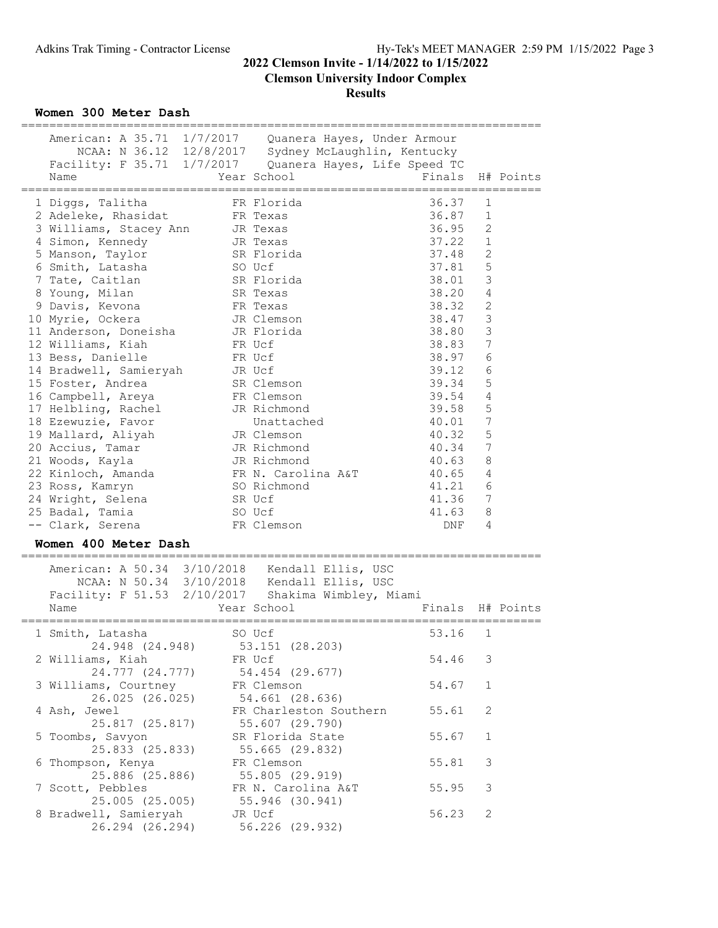**Clemson University Indoor Complex**

#### **Results**

**Women 300 Meter Dash**

| American: A 35.71 1/7/2017 Quanera Hayes, Under Armour<br>NCAA: N 36.12 12/8/2017 Sydney McLaughlin, Kentucky<br>Facility: F 35.71 1/7/2017 Quanera Hayes, Life Speed TC<br>Name | Year School | ============================<br>Finals H# Points |                |  |
|----------------------------------------------------------------------------------------------------------------------------------------------------------------------------------|-------------|--------------------------------------------------|----------------|--|
| 1 Diggs, Talitha               FR Florida                                                                                                                                        |             | 36.37                                            | $\mathbf{1}$   |  |
| 2 Adeleke, Rhasidat FR Texas                                                                                                                                                     |             | 36.87                                            | $\mathbf{1}$   |  |
| 3 Williams, Stacey Ann JR Texas                                                                                                                                                  |             | 36.95                                            | 2              |  |
| 4 Simon, Kennedy                                                                                                                                                                 | JR Texas    | 37.22                                            | $1\,$          |  |
| 5 Manson, Taylor                                                                                                                                                                 | SR Florida  | 37.48                                            | $\overline{c}$ |  |
| 6 Smith, Latasha SO Ucf                                                                                                                                                          |             | 37.81                                            | 5              |  |
| 7 Tate, Caitlan<br>SR Florida                                                                                                                                                    |             | 38.01                                            | 3              |  |
| SR Texas<br>8 Young, Milan                                                                                                                                                       |             | 38.20                                            | $\overline{4}$ |  |
| 9 Davis, Kevona                                                                                                                                                                  | FR Texas    | 38.32                                            | $\overline{c}$ |  |
| 10 Myrie, Ockera<br>JR Clemson                                                                                                                                                   |             | 38.47                                            | 3              |  |
| 11 Anderson, Doneisha (JR Florida                                                                                                                                                |             | 38.80                                            | 3              |  |
| 12 Williams, Kiah                                                                                                                                                                | FR Ucf      | 38.83                                            | 7              |  |
| 13 Bess, Danielle                                                                                                                                                                | FR Ucf      | 38.97                                            | 6              |  |
| 14 Bradwell, Samieryah JR Ucf                                                                                                                                                    |             | 39.12                                            | 6              |  |
| SR Clemson<br>15 Foster, Andrea                                                                                                                                                  |             | 39.34                                            | 5              |  |
| 16 Campbell, Areya                                                                                                                                                               | FR Clemson  | 39.54                                            | $\overline{4}$ |  |
| 17 Helbling, Rachel                                                                                                                                                              | JR Richmond | 39.58                                            | 5              |  |
| 18 Ezewuzie, Favor                                                                                                                                                               | Unattached  | 40.01                                            | 7              |  |
| 19 Mallard, Aliyah JR Clemson                                                                                                                                                    |             | 40.32                                            | 5              |  |
| 20 Accius, Tamar<br>JR Richmond                                                                                                                                                  |             | 40.34                                            | 7              |  |
| 21 Woods, Kayla                                                                                                                                                                  | JR Richmond | 40.63                                            | 8              |  |
| 22 Kinloch, Amanda KR N. Carolina A&T                                                                                                                                            |             | 40.65                                            | $\overline{4}$ |  |
| 23 Ross, Kamryn                                                                                                                                                                  | SO Richmond | 41.21                                            | 6              |  |
| 24 Wright, Selena SR Ucf                                                                                                                                                         |             | 41.36 7                                          |                |  |
| 25 Badal, Tamia<br>so ucf                                                                                                                                                        |             | 41.63                                            | 8              |  |
| -- Clark, Serena                                                                                                                                                                 | FR Clemson  | DNF                                              | 4              |  |
| Women 400 Meter Dash                                                                                                                                                             |             |                                                  |                |  |

|                                     | American: A 50.34 3/10/2018 Kendall Ellis, USC<br>NCAA: N 50.34 3/10/2018 Kendall Ellis, USC<br>Facility: F 51.53 2/10/2017 Shakima Wimbley, Miami |                  |   |  |
|-------------------------------------|----------------------------------------------------------------------------------------------------------------------------------------------------|------------------|---|--|
| Name                                | Year School                                                                                                                                        | Finals H# Points |   |  |
| 1 Smith, Latasha                    | SO Ucf<br>24.948 (24.948) 53.151 (28.203)                                                                                                          | 53.16 1          |   |  |
| 2 Williams, Kiah                    | <b>ER</b> Ucf<br>24.777 (24.777) 54.454 (29.677)                                                                                                   | 54.46 3          |   |  |
| 3 Williams, Courtney FR Clemson     | 26.025 (26.025) 54.661 (28.636)                                                                                                                    | 54.67 1          |   |  |
| 4 Ash, Jewel                        | FR Charleston Southern<br>25.817 (25.817) 55.607 (29.790)                                                                                          | 55.61 2          |   |  |
| 5 Toombs, Savyon<br>25.833 (25.833) | SR Florida State<br>55.665 (29.832)                                                                                                                | 55.67 1          |   |  |
| 6 Thompson, Kenya                   | FR Clemson<br>25.886 (25.886) 55.805 (29.919)                                                                                                      | 55.81            | 3 |  |
| 7 Scott, Pebbles                    | FR N. Carolina A&T<br>25.005 (25.005) 55.946 (30.941)                                                                                              | 55.95            | 3 |  |
| 8 Bradwell, Samieryah               | JR Ucf<br>26.294 (26.294) 56.226 (29.932)                                                                                                          | 56.23            | 2 |  |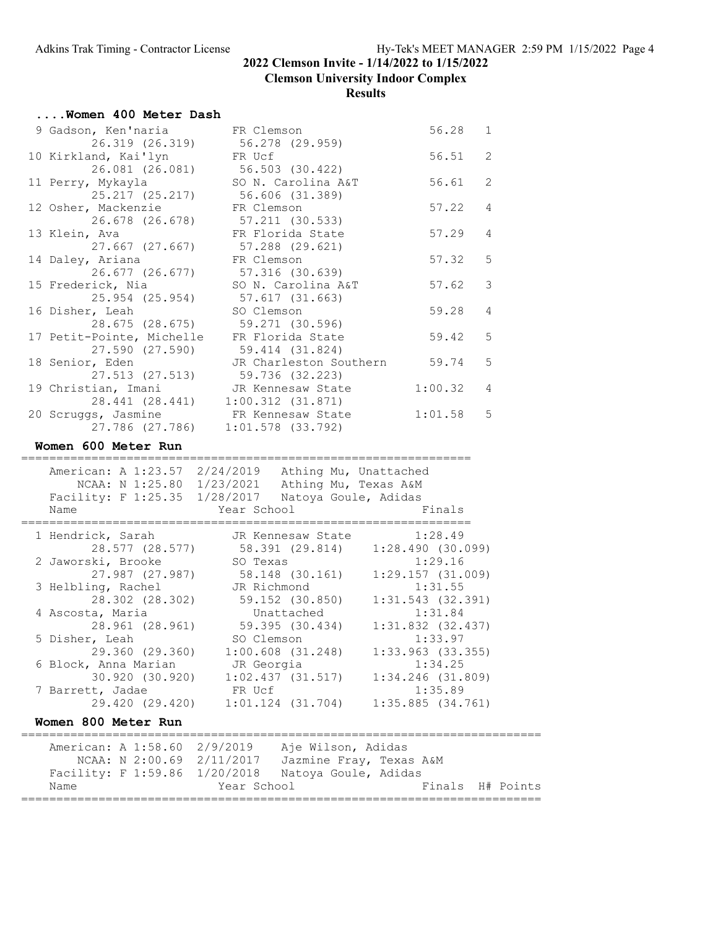**Clemson University Indoor Complex**

| Women 400 Meter Dash            |                        |         |                |
|---------------------------------|------------------------|---------|----------------|
| 9 Gadson, Ken'naria             | FR Clemson             | 56.28 1 |                |
| 26.319 (26.319)                 | 56.278 (29.959)        |         |                |
| 10 Kirkland, Kai'lyn            | FR Ucf                 | 56.51   | $\mathcal{L}$  |
| 26.081 (26.081)                 | 56.503 (30.422)        |         |                |
| 11 Perry, Mykayla               | SO N. Carolina A&T     | 56.61   | $\overline{2}$ |
| 25.217 (25.217)                 | 56.606 (31.389)        |         |                |
| 12 Osher, Mackenzie             | FR Clemson             | 57.22   | $\overline{4}$ |
| 26.678 (26.678)                 | 57.211 (30.533)        |         |                |
| 13 Klein, Ava                   | FR Florida State       | 57.29   | $\overline{4}$ |
| 27.667 (27.667)                 | 57.288 (29.621)        |         |                |
| 14 Daley, Ariana                | FR Clemson             | 57.32   | 5              |
| 26.677 (26.677)                 | 57.316 (30.639)        |         |                |
| 15 Frederick, Nia               | SO N. Carolina A&T     | 57.62   | 3              |
| 25.954 (25.954)                 | 57.617 (31.663)        |         |                |
| 16 Disher, Leah                 | SO Clemson             | 59.28   | 4              |
| 28.675 (28.675) 59.271 (30.596) |                        |         |                |
| 17 Petit-Pointe, Michelle       | FR Florida State       | 59.42   | $\overline{5}$ |
| 27.590 (27.590)                 | 59.414 (31.824)        |         |                |
| 18 Senior, Eden                 | JR Charleston Southern | 59.74   | $\overline{5}$ |
| 27.513 (27.513)                 | 59.736 (32.223)        |         |                |
| 19 Christian, Imani             | JR Kennesaw State      | 1:00.32 | $\overline{4}$ |
| 28.441 (28.441)                 | 1:00.312(31.871)       |         |                |
| 20 Scruggs, Jasmine             | FR Kennesaw State      | 1:01.58 | - 5            |
| 27.786 (27.786)                 | $1:01.578$ (33.792)    |         |                |
| Women 600 Meter Run             |                        |         |                |
|                                 |                        |         |                |

| Name                                | American: A 1:23.57 2/24/2019 Athing Mu, Unattached<br>NCAA: N 1:25.80 1/23/2021<br>Facility: F 1:25.35 1/28/2017 Natoya Goule, Adidas                                    | Athing Mu, Texas A&M<br>Year School Sand School | Finals                           |                  |
|-------------------------------------|---------------------------------------------------------------------------------------------------------------------------------------------------------------------------|-------------------------------------------------|----------------------------------|------------------|
| 1 Hendrick, Sarah                   |                                                                                                                                                                           |                                                 | JR Kennesaw State 1:28.49        |                  |
| 2 Jaworski, Brooke                  | 28.577 (28.577) 58.391 (29.814) 1:28.490 (30.099)<br>SO Texas<br>27.987 (27.987) 58.148 (30.161) 1:29.157 (31.009)                                                        |                                                 | 1:29.16                          |                  |
| 3 Helbling, Rachel                  | JR Richmond<br>28.302 (28.302) 59.152 (30.850)                                                                                                                            |                                                 | 1:31.55<br>$1:31.543$ (32.391)   |                  |
| 4 Ascosta, Maria<br>28.961 (28.961) |                                                                                                                                                                           | Unattached<br>59.395 (30.434)                   | 1:31.84<br>$1:31.832$ $(32.437)$ |                  |
| 5 Disher, Leah                      | SO Clemson<br>29.360 (29.360)                                                                                                                                             | $1:00.608$ (31.248)                             | 1:33.97<br>$1:33.963$ (33.355)   |                  |
| 6 Block, Anna Marian                | JR Georgia<br>30.920 (30.920) 1:02.437 (31.517)                                                                                                                           |                                                 | 1:34.25<br>$1:34.246$ (31.809)   |                  |
| 7 Barrett, Jadae                    | <b>Example 18 FR</b> Ucf<br>29.420 (29.420) 1:01.124 (31.704)                                                                                                             |                                                 | 1:35.89<br>1:35.885(34.761)      |                  |
| Women 800 Meter Run                 |                                                                                                                                                                           |                                                 |                                  |                  |
| Name                                | American: A 1:58.60 2/9/2019 Aje Wilson, Adidas<br>NCAA: N 2:00.69 2/11/2017 Jazmine Fray, Texas A&M<br>Facility: F 1:59.86 1/20/2018 Natoya Goule, Adidas<br>Year School |                                                 |                                  | Finals H# Points |
|                                     |                                                                                                                                                                           |                                                 |                                  |                  |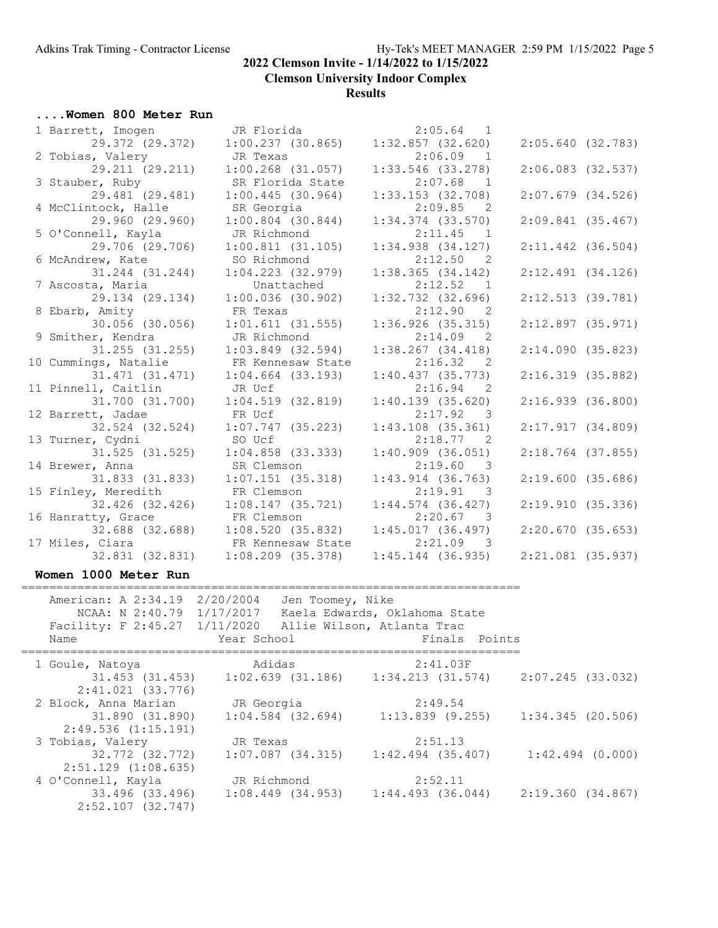**Clemson University Indoor Complex**

#### **Results**

#### **....Women 800 Meter Run**

| 1 Barrett, Imogen                       | JR Florida                                               | $2:05.64$ 1                                                |                       |  |
|-----------------------------------------|----------------------------------------------------------|------------------------------------------------------------|-----------------------|--|
| 29.372 (29.372)                         | 1:00.237(30.865)                                         | $1:32.857$ (32.620)                                        | 2:05.640(32.783)      |  |
| 2 Tobias, Valery                        | JR Texas                                                 | 2:06.09<br>$\overline{1}$                                  |                       |  |
| 29.211 (29.211)                         | $1:00.268$ (31.057)                                      | $1:33.546$ (33.278)                                        | $2:06.083$ $(32.537)$ |  |
| 3 Stauber, Ruby                         | SR Florida State                                         | $2:07.68$ 1                                                |                       |  |
| 29.481 (29.481)                         | 1:00.445(30.964)                                         | $1:33.153$ $(32.708)$                                      | $2:07.679$ $(34.526)$ |  |
| 4 McClintock, Halle                     | SR Georgia                                               | 2:09.85<br>$\overline{2}$                                  |                       |  |
| 29.960 (29.960)                         | $1:00.804$ (30.844)                                      | $1:34.374$ (33.570)                                        | $2:09.841$ (35.467)   |  |
| 5 O'Connell, Kayla                      | JR Richmond                                              | 2:11.45 1                                                  |                       |  |
| 29.706 (29.706)                         | 1:00.811(31.105)                                         | $1:34.938$ $(34.127)$                                      | $2:11.442$ (36.504)   |  |
| 6 McAndrew, Kate                        | SO Richmond                                              | 2:12.50<br>$\overline{2}$                                  |                       |  |
| 31.244 (31.244)                         | $1:04.223$ $(32.979)$                                    | $1:38.365$ $(34.142)$                                      | 2:12.491(34.126)      |  |
| 7 Ascosta, Maria                        | Unattached                                               | 2:12.52<br>$\overline{1}$                                  |                       |  |
| 29.134 (29.134)                         | $1:00.036$ (30.902)                                      | $1:32.732$ (32.696)                                        | $2:12.513$ (39.781)   |  |
| 8 Ebarb, Amity                          | FR Texas                                                 | 2:12.90 2                                                  |                       |  |
| $30.056$ (30.056)                       | 1:01.611(31.555)                                         | $1:36.926$ (35.315)                                        | $2:12.897$ (35.971)   |  |
| 9 Smither, Kendra                       | JR Richmond                                              | 2:14.09<br>2                                               |                       |  |
| $31.255$ $(31.255)$                     | $1:03.849$ (32.594)                                      | $1:38.267$ $(34.418)$                                      | 2:14.090(35.823)      |  |
| 10 Cummings, Natalie                    | FR Kennesaw State                                        | 2:16.32 2                                                  |                       |  |
| $31.471$ $(31.471)$                     | $1:04.664$ (33.193)                                      | 1:40.437(35.773)                                           | $2:16.319$ (35.882)   |  |
| 11 Pinnell, Caitlin                     | JR Ucf                                                   | 2:16.94<br>2                                               |                       |  |
| 31.700 (31.700)                         | 1:04.519(32.819)                                         | $1:40.139$ (35.620)                                        | 2:16.939(36.800)      |  |
| 12 Barrett, Jadae                       | FR Ucf                                                   | 2:17.92 3                                                  |                       |  |
| 32.524 (32.524)                         | $1:07.747$ (35.223)                                      | $1:43.108$ $(35.361)$                                      | 2:17.917(34.809)      |  |
| 13 Turner, Cydni<br>$31.525$ $(31.525)$ | SO Ucf                                                   | 2:18.77<br>$\overline{2}$                                  |                       |  |
| 14 Brewer, Anna                         | $1:04.858$ (33.333)<br>SR Clemson                        | $1:40.909$ (36.051)<br>2:19.60<br>$\overline{\phantom{a}}$ | $2:18.764$ (37.855)   |  |
| 31.833 (31.833)                         | $1:07.151$ (35.318)                                      | $1:43.914$ (36.763)                                        | 2:19.600(35.686)      |  |
| 15 Finley, Meredith                     | FR Clemson                                               | 2:19.91<br>$\overline{\phantom{a}}$                        |                       |  |
| 32.426 (32.426)                         | 1:08.147(35.721)                                         | $1:44.574$ (36.427)                                        | 2:19.910(35.336)      |  |
| 16 Hanratty, Grace                      | FR Clemson                                               | 2:20.67<br>$\overline{\phantom{a}}$                        |                       |  |
| 32.688 (32.688)                         | 1:08.520(35.832)                                         | 1:45.017(36.497)                                           | 2:20.670(35.653)      |  |
| 17 Miles, Ciara                         | FR Kennesaw State                                        | $2:21.09$ 3                                                |                       |  |
| 32.831 (32.831)                         | $1:08.209$ $(35.378)$                                    | $1:45.144$ (36.935)                                        | $2:21.081$ (35.937)   |  |
|                                         |                                                          |                                                            |                       |  |
| Women 1000 Meter Run                    |                                                          |                                                            |                       |  |
|                                         | American: A 2:34.19 2/20/2004 Jen Toomey, Nike           |                                                            |                       |  |
|                                         | NCAA: N 2:40.79 1/17/2017 Kaela Edwards, Oklahoma State  |                                                            |                       |  |
|                                         | Facility: F 2:45.27 1/11/2020 Allie Wilson, Atlanta Trac |                                                            |                       |  |
| Name                                    | Year School                                              | Finals Points                                              |                       |  |
|                                         |                                                          |                                                            |                       |  |
| 1 Goule, Natoya                         | Adidas                                                   | 2:41.03F                                                   |                       |  |
|                                         | $31.453$ (31.453) 1:02.639 (31.186) 1:34.213 (31.574)    |                                                            | $2:07.245$ (33.032)   |  |

 2:41.021 (33.776) 2 Block, Anna Marian JR Georgia 2:49.54 31.890 (31.890) 1:04.584 (32.694) 1:13.839 (9.255) 1:34.345 (20.506) 2:49.536 (1:15.191) 3 Tobias, Valery JR Texas 2:51.13 32.772 (32.772) 1:07.087 (34.315) 1:42.494 (35.407) 1:42.494 (0.000) 2:51.129 (1:08.635) 4 O'Connell, Kayla JR Richmond 2:52.11 33.496 (33.496) 1:08.449 (34.953) 1:44.493 (36.044) 2:19.360 (34.867) 2:52.107 (32.747)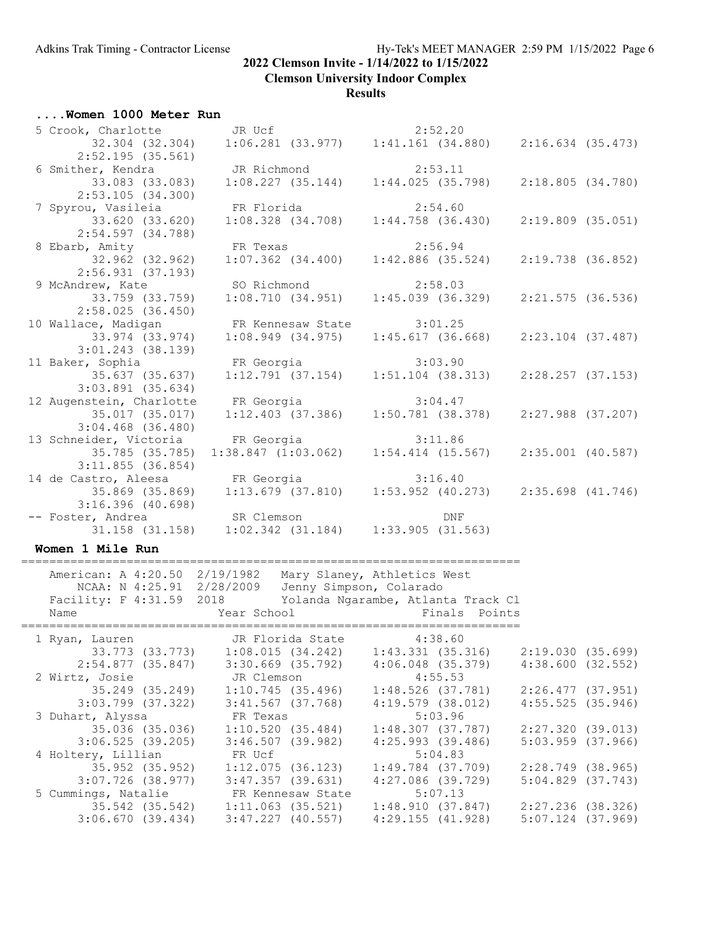**Clemson University Indoor Complex**

#### **Results**

## **....Women 1000 Meter Run**

|                              | 5 Crook, Charlotte JR Ucf 2:52.20<br>32.304 (32.304) 1:06.281 (33.977) 1:41.161 (34.880) 2:16.634 (35.473)               |                                                             |                       |
|------------------------------|--------------------------------------------------------------------------------------------------------------------------|-------------------------------------------------------------|-----------------------|
|                              |                                                                                                                          |                                                             |                       |
| 2:52.195 (35.561)            |                                                                                                                          |                                                             |                       |
|                              | 6 Smither, Kendra<br>33.083 (33.083) 1:08.227 (35.144) 1:44.025 (35.798)                                                 |                                                             |                       |
|                              |                                                                                                                          |                                                             | 2:18.805(34.780)      |
| 2:53.105(34.300)             |                                                                                                                          |                                                             |                       |
|                              | 7 Spyrou, Vasileia FR Florida (194.708) 2:54.60<br>33.620 (33.620) 1:08.328 (34.708) 1:44.758 (36.430) 2:19.809 (35.051) |                                                             |                       |
|                              |                                                                                                                          |                                                             |                       |
| 2:54.597 (34.788)            |                                                                                                                          |                                                             |                       |
|                              |                                                                                                                          |                                                             |                       |
|                              | 8 Ebarb, Amity FR Texas 2:56.94<br>32.962 (32.962) 1:07.362 (34.400) 1:42.886 (35.524)                                   |                                                             | 2:19.738 (36.852)     |
| 2:56.931(37.193)             |                                                                                                                          |                                                             |                       |
|                              | 9 McAndrew, Kate SO Richmond 2:58.03                                                                                     |                                                             |                       |
| 33.759 (33.759)              |                                                                                                                          | $1:08.710$ (34.951) $1:45.039$ (36.329) $2:21.575$ (36.536) |                       |
| 2:58.025(36.450)             |                                                                                                                          |                                                             |                       |
|                              | 10 Wallace, Madigan FR Kennesaw State 3:01.25                                                                            |                                                             |                       |
| 33.974 (33.974)              |                                                                                                                          | $1:08.949$ (34.975) $1:45.617$ (36.668)                     | $2:23.104$ (37.487)   |
| $3:01.243$ (38.139)          |                                                                                                                          |                                                             |                       |
|                              | 11 Baker, Sophia FR Georgia 3:03.90                                                                                      |                                                             |                       |
| 35.637 (35.637)              |                                                                                                                          | $1:12.791$ (37.154) $1:51.104$ (38.313) $2:28.257$ (37.153) |                       |
| $3:03.891$ (35.634)          |                                                                                                                          |                                                             |                       |
| 12 Augenstein, Charlotte     | FR Georgia 3:04.47                                                                                                       |                                                             |                       |
| 35.017 (35.017)              |                                                                                                                          | $1:12.403$ (37.386) $1:50.781$ (38.378)                     | $2:27.988$ $(37.207)$ |
| $3:04.468$ $(36.480)$        |                                                                                                                          |                                                             |                       |
|                              | 13 Schneider, Victoria FR Georgia 3:11.86<br>35.785 (35.785) 1:38.847 (1:03.062) 1:54.414 (15.567) 2:35.001 (40.587)     |                                                             |                       |
|                              |                                                                                                                          |                                                             |                       |
| 3:11.855(36.854)             |                                                                                                                          |                                                             |                       |
|                              | 14 de Castro, Aleesa FR Georgia 3:16.40                                                                                  |                                                             |                       |
|                              | 35.869 (35.869) 1:13.679 (37.810) 1:53.952 (40.273) 2:35.698 (41.746)                                                    |                                                             |                       |
| 3:16.396 (40.698)            |                                                                                                                          |                                                             |                       |
| -- Foster, Andrea SR Clemson |                                                                                                                          | DNF                                                         |                       |
|                              | Foster, Andrea SR Clemson DNF<br>31.158 (31.158) 1:02.342 (31.184) 1:33.905 (31.563)                                     |                                                             |                       |

### **Women 1 Mile Run**

| American: A 4:20.50 2/19/1982<br>Facility: F 4:31.59 2018 Yolanda Ngarambe, Atlanta Track Cl<br>Name | NCAA: N 4:25.91 2/28/2009 Jenny Simpson, Colarado<br>Year School and the Marian School | Mary Slaney, Athletics West |                     | Finals Points         |                       |  |
|------------------------------------------------------------------------------------------------------|----------------------------------------------------------------------------------------|-----------------------------|---------------------|-----------------------|-----------------------|--|
| 1 Ryan, Lauren                                                                                       | JR Florida State 4:38.60                                                               |                             |                     |                       |                       |  |
|                                                                                                      | 33.773 (33.773) 1:08.015 (34.242) 1:43.331 (35.316)                                    |                             |                     |                       | 2:19.030 (35.699)     |  |
|                                                                                                      | 2:54.877 (35.847) 3:30.669 (35.792)                                                    |                             |                     | 4:06.048 (35.379)     | 4:38.600(32.552)      |  |
|                                                                                                      |                                                                                        |                             |                     |                       |                       |  |
|                                                                                                      |                                                                                        |                             |                     | 1:48.526 (37.781)     | 2:26.477 (37.951)     |  |
|                                                                                                      | $3:03.799$ (37.322) 3:41.567 (37.768)                                                  |                             |                     | $4:19.579$ (38.012)   | 4:55.525(35.946)      |  |
| 3 Duhart, Alyssa KR Texas                                                                            |                                                                                        |                             | 5:03.96             |                       |                       |  |
| 35.036 (35.036)                                                                                      |                                                                                        | 1:10.520 (35.484)           |                     | 1:48.307 (37.787)     | 2:27.320 (39.013)     |  |
| 3:06.525(39.205)                                                                                     |                                                                                        | 3:46.507 (39.982)           |                     | $4:25.993$ (39.486)   | $5:03.959$ $(37.966)$ |  |
| 4 Holtery, Lillian                                                                                   | FR Ucf                                                                                 |                             |                     | 5:04.83               |                       |  |
| 35.952 (35.952)                                                                                      |                                                                                        | $1:12.075$ (36.123)         |                     | 1:49.784 (37.709)     | $2:28.749$ (38.965)   |  |
| $3:07.726$ (38.977)                                                                                  |                                                                                        | 3:47.357 (39.631)           | $4:27.086$ (39.729) |                       | $5:04.829$ $(37.743)$ |  |
| 5 Cummings, Natalie FR Kennesaw State                                                                |                                                                                        |                             | 5:07.13             |                       |                       |  |
|                                                                                                      | 35.542 (35.542) 1:11.063 (35.521)                                                      |                             |                     | 1:48.910 (37.847)     | 2:27.236 (38.326)     |  |
| 3:06.670(39.434)                                                                                     | $3:47,227$ (40.557)                                                                    |                             |                     | $4:29.155$ $(41.928)$ | $5:07.124$ (37.969)   |  |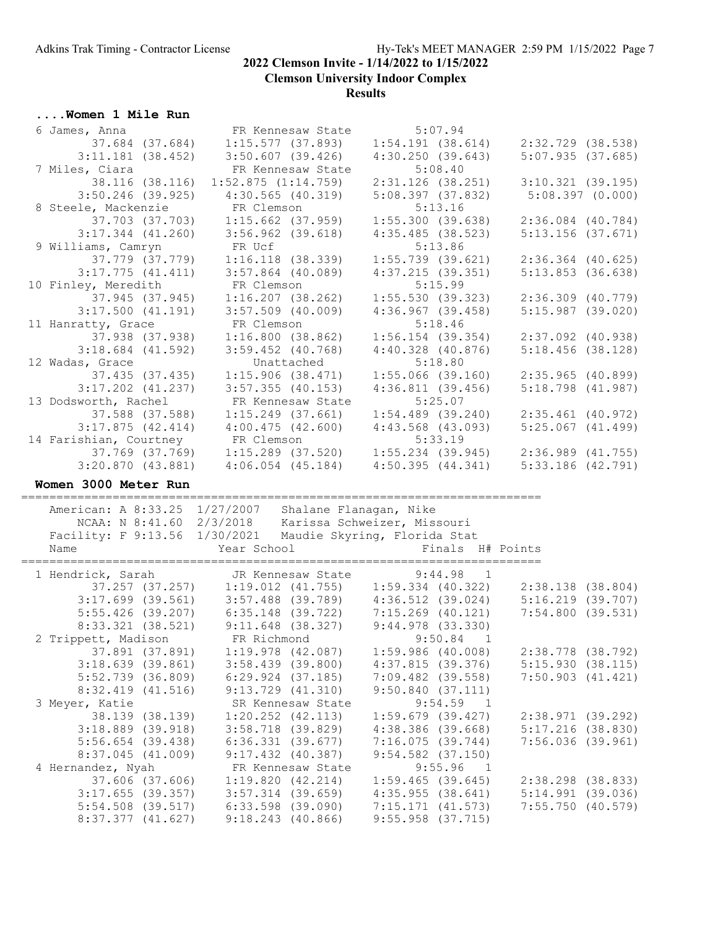**Clemson University Indoor Complex**

#### **Results**

**....Women 1 Mile Run**

| 6 James, Anna                                                                                                          | FR Kennesaw State                                                       |                                         | 5:07.94                             |                                         |                 |
|------------------------------------------------------------------------------------------------------------------------|-------------------------------------------------------------------------|-----------------------------------------|-------------------------------------|-----------------------------------------|-----------------|
|                                                                                                                        |                                                                         |                                         |                                     | $1:54.191$ (38.614) $2:32.729$ (38.538) |                 |
| $3:11.181$ (38.452)                                                                                                    | $3:50.607$ (39.426)                                                     | 4:30.250(39.643)                        |                                     | 5:07.935(37.685)                        |                 |
| 7 Miles, Ciara                                                                                                         | FR Kennesaw State                                                       |                                         | 5:08.40                             |                                         |                 |
| 38.116 (38.116)                                                                                                        | 1:52.875(1:14.759)                                                      | $2:31.126$ (38.251)                     |                                     | $3:10.321$ (39.195)                     |                 |
| $3:50.246$ (39.925)                                                                                                    | $4:30.565$ (40.319)                                                     | 5:08.397(37.832)                        |                                     |                                         | 5:08.397(0.000) |
| 8 Steele, Mackenzie                                                                                                    | FR Clemson                                                              |                                         | 5:13.16                             |                                         |                 |
|                                                                                                                        |                                                                         |                                         |                                     |                                         |                 |
| 37.703 (37.703)                                                                                                        | $1:15.662$ (37.959)                                                     | 1:55.300(39.638)                        |                                     | $2:36.084$ $(40.784)$                   |                 |
| $3:17.344$ $(41.260)$                                                                                                  | $3:56.962$ (39.618)                                                     | 4:35.485(38.523)                        |                                     | $5:13.156$ $(37.671)$                   |                 |
| 9 Williams, Camryn                                                                                                     | FR Ucf                                                                  |                                         | 5:13.86                             |                                         |                 |
| 37.779 (37.779)                                                                                                        | $1:16.118$ (38.339)                                                     | $1:55.739$ (39.621)                     |                                     | $2:36.364$ (40.625)                     |                 |
| $3:17.775$ $(41.411)$                                                                                                  | $3:57.864$ (40.089)                                                     | $4:37.215$ (39.351)                     |                                     | $5:13.853$ (36.638)                     |                 |
| 10 Finley, Meredith                                                                                                    | FR Clemson                                                              |                                         | 5:15.99                             |                                         |                 |
| 37.945 (37.945)                                                                                                        | $1:16.207$ (38.262)                                                     |                                         |                                     | $1:55.530$ (39.323) $2:36.309$ (40.779) |                 |
| $3:17.500$ $(41.191)$                                                                                                  | $3:57.509$ (40.009)                                                     | $4:36.967$ $(39.458)$                   |                                     | $5:15.987$ (39.020)                     |                 |
| 11 Hanratty, Grace                                                                                                     | FR Clemson                                                              |                                         | 5:18.46                             |                                         |                 |
| 37.938 (37.938)                                                                                                        | 1:16.800(38.862)                                                        | $1:56.154$ (39.354)                     |                                     | $2:37.092$ (40.938)                     |                 |
| $3:18.684$ (41.592)                                                                                                    | $3:59.452$ (40.768)                                                     | $4:40.328$ $(40.876)$                   |                                     | 5:18.456(38.128)                        |                 |
| 12 Wadas, Grace                                                                                                        | Unattached                                                              |                                         | 5:18.80                             |                                         |                 |
| 37.435 (37.435)                                                                                                        | 1:15.906(38.471)                                                        | $1:55.066$ (39.160)                     |                                     | $2:35.965$ (40.899)                     |                 |
|                                                                                                                        |                                                                         | 4:36.811(39.456)                        |                                     | $5:18.798$ $(41.987)$                   |                 |
| $3:17.202$ $(41.237)$                                                                                                  | $3:57.355$ (40.153)                                                     |                                         |                                     |                                         |                 |
| 13 Dodsworth, Rachel                                                                                                   | FR Kennesaw State                                                       |                                         | 5:25.07                             |                                         |                 |
| 37.588 (37.588)                                                                                                        | $1:15.249$ (37.661)                                                     | $1:54.489$ (39.240)                     |                                     | $2:35.461$ (40.972)                     |                 |
| 3:17.875(42.414)                                                                                                       | 4:00.475(42.600)                                                        | $4:43.568$ $(43.093)$                   |                                     | $5:25.067$ $(41.499)$                   |                 |
| 14 Farishian, Courtney                                                                                                 | FR Clemson                                                              |                                         | 5:33.19                             |                                         |                 |
| 37.769 (37.769)                                                                                                        | $1:15.289$ (37.520) $1:55.234$ (39.945) $2:36.989$ (41.755)             |                                         |                                     |                                         |                 |
|                                                                                                                        |                                                                         |                                         |                                     |                                         |                 |
| 3:20.870(43.881)                                                                                                       | $4:06.054$ (45.184)                                                     | 4:50.395(44.341)                        |                                     | $5:33.186$ (42.791)                     |                 |
|                                                                                                                        |                                                                         |                                         |                                     |                                         |                 |
| Women 3000 Meter Run                                                                                                   |                                                                         |                                         |                                     |                                         |                 |
|                                                                                                                        |                                                                         |                                         |                                     |                                         |                 |
| American: A 8:33.25 1/27/2007 Shalane Flanagan, Nike                                                                   |                                                                         |                                         |                                     |                                         |                 |
|                                                                                                                        | NCAA: N 8:41.60 2/3/2018 Karissa Schweizer, Missouri                    |                                         |                                     |                                         |                 |
| Facility: F 9:13.56 1/30/2021 Maudie Skyring, Florida Stat                                                             |                                                                         |                                         |                                     |                                         |                 |
| Name                                                                                                                   | Year School                                                             |                                         | Finals H# Points                    |                                         |                 |
|                                                                                                                        |                                                                         |                                         |                                     |                                         |                 |
|                                                                                                                        |                                                                         |                                         |                                     |                                         |                 |
| 1 Hendrick, Sarah JR Kennesaw State 9:44.98 1<br>37.257 (37.257) 1:19.012 (41.755) 1:59.334 (40.322) 2:38.138 (38.804) |                                                                         |                                         |                                     |                                         |                 |
|                                                                                                                        | 3:17.699 (39.561) 3:57.488 (39.789) 4:36.512 (39.024) 5:16.219 (39.707) |                                         |                                     |                                         |                 |
| $5:55.426$ (39.207)                                                                                                    | 6:35.148 (39.722) 7:15.269 (40.121)                                     |                                         |                                     | $7:54.800$ (39.531)                     |                 |
| $8:33.321$ $(38.521)$                                                                                                  | $9:11.648$ (38.327)                                                     | 9:44.978 (33.330)                       |                                     |                                         |                 |
| 2 Trippett, Madison                                                                                                    | FR Richmond                                                             |                                         | $9:50.84$ 1                         |                                         |                 |
| 37.891 (37.891)                                                                                                        | $1:19.978$ (42.087)                                                     | $1:59.986$ (40.008)                     |                                     | 2:38.778 (38.792)                       |                 |
| 3:18.639(39.861)                                                                                                       | $3:58.439$ (39.800)                                                     | 4:37.815(39.376)                        |                                     | 5:15.930(38.115)                        |                 |
| $5:52.739$ (36.809)                                                                                                    | 6:29.924 (37.185)                                                       | $7:09.482$ (39.558)                     |                                     |                                         |                 |
|                                                                                                                        |                                                                         |                                         |                                     | $7:50.903$ $(41.421)$                   |                 |
| $8:32.419$ $(41.516)$                                                                                                  | $9:13.729$ (41.310)                                                     | 9:50.840(37.111)                        |                                     |                                         |                 |
| 3 Meyer, Katie                                                                                                         | SR Kennesaw State                                                       |                                         | $9:54.59$ 1                         |                                         |                 |
| 38.139 (38.139)                                                                                                        | $1:20.252$ $(42.113)$                                                   | $1:59.679$ (39.427)                     |                                     | 2:38.971 (39.292)                       |                 |
| $3:18.889$ (39.918)                                                                                                    | 3:58.718 (39.829)                                                       | $4:38.386$ $(39.668)$                   |                                     | $5:17.216$ (38.830)                     |                 |
| $5:56.654$ (39.438)                                                                                                    | $6:36.331$ $(39.677)$                                                   | 7:16.075(39.744)                        |                                     | $7:56.036$ (39.961)                     |                 |
| 8:37.045(41.009)                                                                                                       | $9:17.432$ (40.387)                                                     | $9:54.582$ (37.150)                     |                                     |                                         |                 |
| 4 Hernandez, Nyah                                                                                                      | FR Kennesaw State                                                       |                                         | 9:55.96<br>$\overline{\phantom{1}}$ |                                         |                 |
| 37.606 (37.606)                                                                                                        | 1:19.820(42.214)                                                        | $1:59.465$ (39.645)                     |                                     | 2:38.298 (38.833)                       |                 |
| $3:17.655$ (39.357)                                                                                                    | $3:57.314$ (39.659)                                                     | 4:35.955(38.641)                        |                                     | 5:14.991(39.036)                        |                 |
| $5:54.508$ (39.517)<br>8:37.377 (41.627)                                                                               | $6:33.598$ (39.090)<br>$9:18.243$ (40.866)                              | 7:15.171(41.573)<br>$9:55.958$ (37.715) |                                     | 7:55.750(40.579)                        |                 |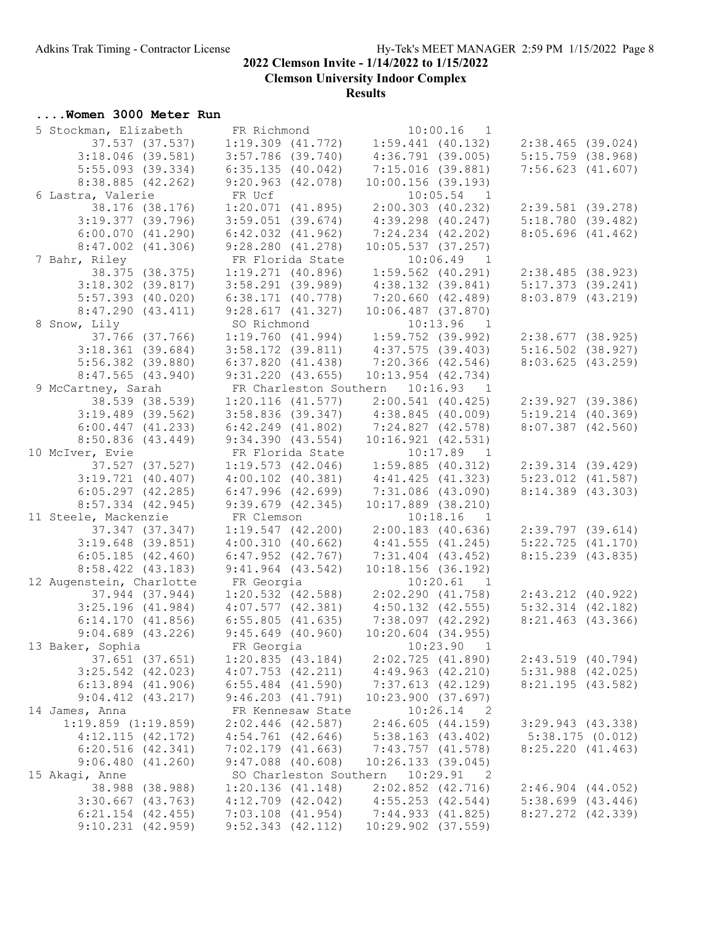**Clemson University Indoor Complex**

#### **Results**

## **....Women 3000 Meter Run**

| 5 Stockman, Elizabeth    | FR Richmond            | $10:00.16$ 1                                                                                                                                                          |                       |
|--------------------------|------------------------|-----------------------------------------------------------------------------------------------------------------------------------------------------------------------|-----------------------|
| 37.537 (37.537)          |                        | $1:19.309$ (41.772) $1:59.441$ (40.132) $2:38.465$ (39.024)                                                                                                           |                       |
| $3:18.046$ (39.581)      | $3:57.786$ (39.740)    | 4:36.791(39.005)                                                                                                                                                      | $5:15.759$ $(38.968)$ |
| $5:55.093$ (39.334)      | 6:35.135(40.042)       | 7:15.016(39.881)                                                                                                                                                      | 7:56.623(41.607)      |
| $8:38.885$ (42.262)      | 9:20.963(42.078)       | $10:00.156$ (39.193)                                                                                                                                                  |                       |
| 6 Lastra, Valerie        | FR Ucf                 | $10:05.54$ 1                                                                                                                                                          |                       |
| 38.176 (38.176)          | 1:20.071(41.895)       | $2:00.303$ (40.232)                                                                                                                                                   | $2:39.581$ (39.278)   |
| $3:19.377$ (39.796)      | $3:59.051$ (39.674)    | 4:39.298 (40.247)                                                                                                                                                     | 5:18.780(39.482)      |
| 6:00.070(41.290)         | $6:42.032$ $(41.962)$  | $7:24.234$ $(42.202)$                                                                                                                                                 | 8:05.696(41.462)      |
| $8:47.002$ $(41.306)$    | 9:28.280(41.278)       | 10:05.537(37.257)                                                                                                                                                     |                       |
|                          | FR Florida State       |                                                                                                                                                                       |                       |
| 7 Bahr, Riley            |                        | $10:06.49$ 1                                                                                                                                                          |                       |
| 38.375 (38.375)          | $1:19.271$ (40.896)    | 1:59.562 (40.291)                                                                                                                                                     | 2:38.485(38.923)      |
| $3:18.302$ (39.817)      | $3:58.291$ (39.989)    | $4:38.132$ $(39.841)$                                                                                                                                                 | 5:17.373(39.241)      |
| $5:57.393$ $(40.020)$    | $6:38.171$ (40.778)    | 7:20.660 (42.489)                                                                                                                                                     | $8:03.879$ $(43.219)$ |
| 8:47.290(43.411)         | 9:28.617(41.327)       | $10:06.487$ (37.870)                                                                                                                                                  |                       |
| 8 Snow, Lily             | SO Richmond            | $10:13.96$ 1<br>SO Richmond 10:13.96 1<br>1:19.760 (41.994) 1:59.752 (39.992)<br>3:58.172 (39.811) 4:37.575 (39.403)                                                  |                       |
| 37.766 (37.766)          |                        |                                                                                                                                                                       | $2:38.677$ (38.925)   |
| $3:18.361$ (39.684)      |                        |                                                                                                                                                                       | $5:16.502$ (38.927)   |
| $5:56.382$ (39.880)      | 6:37.820(41.438)       | 7:20.366 (42.546)                                                                                                                                                     | 8:03.625(43.259)      |
| $8:47.565$ (43.940)      | 9:31.220(43.655)       | $10:13.954$ $(42.734)$                                                                                                                                                |                       |
| 9 McCartney, Sarah       |                        | FR Charleston Southern 10:16.93 1                                                                                                                                     |                       |
| 38.539 (38.539)          |                        | $\begin{array}{cccc} 1:20.116 & (41.577) & 2:00.541 & (40.425) \\ 3:58.836 & (39.347) & 4:38.845 & (40.009) \\ 6:42.249 & (41.802) & 7:24.827 & (42.578) \end{array}$ | 2:39.927 (39.386)     |
| $3:19.489$ (39.562)      |                        |                                                                                                                                                                       | $5:19.214$ $(40.369)$ |
| $6:00.447$ $(41.233)$    | $6:42.249$ $(41.802)$  |                                                                                                                                                                       | $8:07.387$ $(42.560)$ |
| 8:50.836(43.449)         | 9:34.390(43.554)       | 10:16.921(42.531)                                                                                                                                                     |                       |
| 10 McIver, Evie          | FR Florida State       | $10:17.89$ 1                                                                                                                                                          |                       |
| 37.527 (37.527)          | 1:19.573(42.046)       | $1:59.885$ (40.312)                                                                                                                                                   | 2:39.314(39.429)      |
| $3:19.721$ (40.407)      | $4:00.102$ $(40.381)$  | 4:41.425(41.323)                                                                                                                                                      | $5:23.012$ $(41.587)$ |
| $6:05.297$ $(42.285)$    | $6:47.996$ $(42.699)$  | $7:31.086$ (43.090)                                                                                                                                                   | 8:14.389 (43.303)     |
| $8:57.334$ $(42.945)$    | $9:39.679$ $(42.345)$  | $10:17.889$ (38.210)                                                                                                                                                  |                       |
| 11 Steele, Mackenzie     | FR Clemson             | $10:18.16$ 1                                                                                                                                                          |                       |
| 37.347 (37.347)          |                        | $2:00.183$ (40.636)                                                                                                                                                   |                       |
|                          | 1:19.547(42.200)       |                                                                                                                                                                       | $2:39.797$ $(39.614)$ |
| $3:19.648$ (39.851)      | 4:00.310(40.662)       | 4:41.555(41.245)                                                                                                                                                      | 5:22.725(41.170)      |
| 6:05.185(42.460)         | $6:47.952$ $(42.767)$  | $7:31.404$ (43.452)                                                                                                                                                   | 8:15.239 (43.835)     |
| 8:58.422 (43.183)        | $9:41.964$ (43.542)    | 10:18.156(36.192)                                                                                                                                                     |                       |
| 12 Augenstein, Charlotte | FR Georgia             | 10:20.61 1                                                                                                                                                            |                       |
| 37.944 (37.944)          |                        | $1:20.532$ (42.588) $2:02.290$ (41.758)                                                                                                                               | $2:43.212$ $(40.922)$ |
| $3:25.196$ (41.984)      | 4:07.577(42.381)       | $4:50.132$ $(42.555)$                                                                                                                                                 | $5:32.314$ $(42.182)$ |
| 6:14.170(41.856)         | 6:55.805(41.635)       | $7:38.097$ $(42.292)$                                                                                                                                                 | $8:21.463$ (43.366)   |
| $9:04.689$ $(43.226)$    | $9:45.649$ (40.960)    | $10:20.604$ $(34.955)$                                                                                                                                                |                       |
| 13 Baker, Sophia         | FR Georgia             | 10:23.90 1                                                                                                                                                            |                       |
| 37.651 (37.651)          | 1:20.835(43.184)       | 2:02.725(41.890)                                                                                                                                                      | $2:43.519$ (40.794)   |
| $3:25.542$ (42.023)      | $4:07.753$ $(42.211)$  | 4:49.963(42.210)                                                                                                                                                      | $5:31.988$ (42.025)   |
| $6:13.894$ $(41.906)$    | $6:55.484$ $(41.590)$  | 7:37.613(42.129)                                                                                                                                                      | 8:21.195(43.582)      |
| $9:04.412$ $(43.217)$    | 9:46.203(41.791)       | 10:23.900 (37.697)                                                                                                                                                    |                       |
| 14 James, Anna           | FR Kennesaw State      | 10:26.14<br>- 2                                                                                                                                                       |                       |
| $1:19.859$ $(1:19.859)$  | $2:02.446$ (42.587)    | 2:46.605(44.159)                                                                                                                                                      | $3:29.943$ $(43.338)$ |
| 4:12.115(42.172)         | $4:54.761$ $(42.646)$  | $5:38.163$ $(43.402)$                                                                                                                                                 | 5:38.175(0.012)       |
| $6:20.516$ $(42.341)$    | $7:02.179$ $(41.663)$  | $7:43.757$ $(41.578)$                                                                                                                                                 | 8:25.220(41.463)      |
| 9:06.480(41.260)         | $9:47.088$ (40.608)    | 10:26.133(39.045)                                                                                                                                                     |                       |
| 15 Akagi, Anne           | SO Charleston Southern | 10:29.91<br>$\overline{\phantom{0}}^2$                                                                                                                                |                       |
| 38.988 (38.988)          | 1:20.136(41.148)       | $2:02.852$ (42.716)                                                                                                                                                   | $2:46.904$ $(44.052)$ |
| $3:30.667$ $(43.763)$    | $4:12.709$ $(42.042)$  | 4:55.253(42.544)                                                                                                                                                      | $5:38.699$ $(43.446)$ |
| $6:21.154$ $(42.455)$    | $7:03.108$ $(41.954)$  | 7:44.933(41.825)                                                                                                                                                      | $8:27.272$ $(42.339)$ |
| $9:10.231$ $(42.959)$    | $9:52.343$ $(42.112)$  | 10:29.902 (37.559)                                                                                                                                                    |                       |
|                          |                        |                                                                                                                                                                       |                       |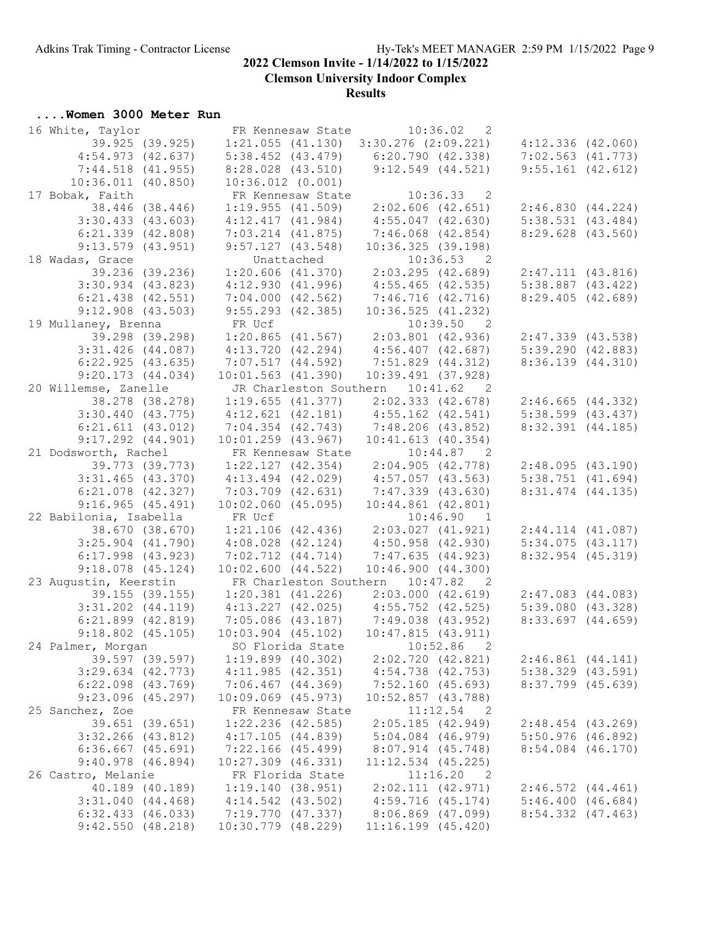**Clemson University Indoor Complex**

#### **Results**

## **....Women 3000 Meter Run**

| 16 White, Taylor       |                                                                                  | FR Kennesaw State 10:36.02 2                                                                        |                       |
|------------------------|----------------------------------------------------------------------------------|-----------------------------------------------------------------------------------------------------|-----------------------|
| 39.925 (39.925)        |                                                                                  | $1:21.055$ (41.130) $3:30.276$ (2:09.221) $4:12.336$ (42.060)                                       |                       |
| 4:54.973(42.637)       |                                                                                  | $5:38.452$ (43.479) 6:20.790 (42.338)                                                               | $7:02.563$ $(41.773)$ |
| $7:44.518$ $(41.955)$  | $8:28.028$ $(43.510)$                                                            | $9:12.549$ $(44.521)$                                                                               | $9:55.161$ (42.612)   |
| 10:36.011(40.850)      | $10:36.012$ $(0.001)$                                                            |                                                                                                     |                       |
| 17 Bobak, Faith        | FR Kennesaw State                                                                | $10:36.33$ 2                                                                                        |                       |
| 38.446 (38.446)        |                                                                                  | $1:19.955$ (41.509) $2:02.606$ (42.651)                                                             | 2:46.830(44.224)      |
| $3:30.433$ $(43.603)$  | 4:12.417(41.984)                                                                 | $4:55.047$ (42.630)                                                                                 | $5:38.531$ $(43.484)$ |
| $6:21.339$ $(42.808)$  | 7:03.214 (41.875)                                                                | 7:46.068 (42.854)                                                                                   | $8:29.628$ $(43.560)$ |
| $9:13.579$ $(43.951)$  | 9:57.127(43.548)                                                                 | 10:36.325(39.198)                                                                                   |                       |
| 18 Wadas, Grace        |                                                                                  |                                                                                                     |                       |
| 39.236 (39.236)        |                                                                                  |                                                                                                     | $2:47.111$ $(43.816)$ |
| $3:30.934$ $(43.823)$  |                                                                                  | Unattached 10:36.53 2<br>1:20.606 (41.370) 2:03.295 (42.689)<br>4:12.930 (41.996) 4:55.465 (42.535) | $5:38.887$ $(43.422)$ |
| $6:21.438$ $(42.551)$  |                                                                                  | $7:04.000$ (42.562) $7:46.716$ (42.716)                                                             | 8:29.405(42.689)      |
| $9:12.908$ $(43.503)$  | 9:55.293 (42.385)                                                                | 10:36.525(41.232)                                                                                   |                       |
| 19 Mullaney, Brenna    | FR Ucf                                                                           |                                                                                                     |                       |
| 39.298 (39.298)        |                                                                                  | FR Ucf 10:39.50 2<br>1:20.865 (41.567) 2:03.801 (42.936)<br>4:13.720 (42.294) 4:56.407 (42.687)     | $2:47.339$ $(43.538)$ |
| $3:31.426$ (44.087)    |                                                                                  |                                                                                                     | 5:39.290(42.883)      |
| $6:22.925$ $(43.635)$  | 7:07.517(44.592)                                                                 | 7:51.829 (44.312)                                                                                   | 8:36.139(44.310)      |
| 9:20.173(44.034)       | $10:01.563$ $(41.390)$                                                           | $10:39.491$ (37.928)                                                                                |                       |
| 20 Willemse, Zanelle   |                                                                                  | JR Charleston Southern 10:41.62 2                                                                   |                       |
| 38.278 (38.278)        | $1:19.655$ (41.377)                                                              | 2:02.333(42.678)                                                                                    | 2:46.665(44.332)      |
| $3:30.440$ $(43.775)$  |                                                                                  |                                                                                                     | $5:38.599$ $(43.437)$ |
| $6:21.611$ $(43.012)$  | 4:12.621 (42.181)  4:55.162 (42.541)<br>7:04.354 (42.743)  7:48.206 (43.852)     |                                                                                                     | $8:32.391$ $(44.185)$ |
| $9:17.292$ $(44.901)$  | 10:01.259(43.967)                                                                | 10:41.613(40.354)                                                                                   |                       |
| 21 Dodsworth, Rachel   | FR Kennesaw State 10:44.87 2                                                     |                                                                                                     |                       |
| 39.773 (39.773)        | $1:22.127$ (42.354) $2:04.905$ (42.778)                                          |                                                                                                     | 2:48.095(43.190)      |
| $3:31.465$ (43.370)    | $4:13.494$ (42.029) $4:57.057$ (43.563)                                          |                                                                                                     | 5:38.751(41.694)      |
| $6:21.078$ $(42.327)$  |                                                                                  |                                                                                                     | $8:31.474$ $(44.135)$ |
| 9:16.965(45.491)       | $7:03.709$ (42.631) $7:47.339$ (43.630)<br>10:02.060 (45.095) 10:44.861 (42.801) |                                                                                                     |                       |
| 22 Babilonia, Isabella | FR Ucf                                                                           | 10:46.90 1                                                                                          |                       |
| 38.670 (38.670)        | $1:21.106$ (42.436) $2:03.027$ (41.921)                                          |                                                                                                     | $2:44.114$ $(41.087)$ |
| $3:25.904$ $(41.790)$  | $4:08.028$ $(42.124)$                                                            | $4:50.958$ $(42.930)$                                                                               | 5:34.075(43.117)      |
| $6:17.998$ $(43.923)$  | $7:02.712$ $(44.714)$                                                            | 7:47.635(44.923)                                                                                    | 8:32.954 (45.319)     |
| $9:18.078$ (45.124)    | 10:02.600(44.522)                                                                | 10:46.900(44.300)                                                                                   |                       |
| 23 Augustin, Keerstin  |                                                                                  | FR Charleston Southern 10:47.82 2                                                                   |                       |
| 39.155 (39.155)        | $1:20.381$ (41.226) $2:03.000$ (42.619)                                          |                                                                                                     | $2:47.083$ $(44.083)$ |
|                        | $3:31.202$ (44.119) $4:13.227$ (42.025) $4:55.752$ (42.525)                      |                                                                                                     | 5:39.080(43.328)      |
|                        | $6:21.899$ (42.819) 7:05.086 (43.187) 7:49.038 (43.952)                          |                                                                                                     | $8:33.697$ $(44.659)$ |
| $9:18.802$ $(45.105)$  | 10:03.904 (45.102) 10:47.815 (43.911)                                            |                                                                                                     |                       |
| 24 Palmer, Morgan      | SO Florida State                                                                 | $10:52.86$ 2                                                                                        |                       |
| 39.597 (39.597)        | $1:19.899$ (40.302)                                                              | 2:02.720(42.821)                                                                                    | 2:46.861(44.141)      |
| $3:29.634$ $(42.773)$  | 4:11.985(42.351)                                                                 | $4:54.738$ $(42.753)$                                                                               | $5:38.329$ $(43.591)$ |
| $6:22.098$ $(43.769)$  | $7:06.467$ $(44.369)$                                                            | 7:52.160(45.693)                                                                                    | 8:37.799 (45.639)     |
| $9:23.096$ (45.297)    | $10:09.069$ $(45.973)$                                                           | $10:52.857$ $(43.788)$                                                                              |                       |
| 25 Sanchez, Zoe        | FR Kennesaw State                                                                | $11:12.54$ 2                                                                                        |                       |
| 39.651 (39.651)        | $1:22.236$ $(42.585)$                                                            | 2:05.185(42.949)                                                                                    | $2:48.454$ (43.269)   |
| $3:32.266$ $(43.812)$  | 4:17.105(44.839)                                                                 | $5:04.084$ $(46.979)$                                                                               | $5:50.976$ (46.892)   |
| $6:36.667$ $(45.691)$  | 7:22.166 (45.499)                                                                | 8:07.914 (45.748)                                                                                   | $8:54.084$ $(46.170)$ |
| $9:40.978$ (46.894)    | $10:27.309$ $(46.331)$                                                           | $11:12.534$ (45.225)                                                                                |                       |
| 26 Castro, Melanie     | FR Florida State                                                                 | $11:16.20$ 2                                                                                        |                       |
| 40.189 (40.189)        | 1:19.140(38.951)                                                                 | 2:02.111 (42.971)                                                                                   | 2:46.572(44.461)      |
| $3:31.040$ $(44.468)$  | $4:14.542$ $(43.502)$                                                            | 4:59.716(45.174)                                                                                    | 5:46.400(46.684)      |
| $6:32.433$ $(46.033)$  | 7:19.770 (47.337)                                                                | 8:06.869 (47.099)                                                                                   | $8:54.332$ $(47.463)$ |
| 9:42.550(48.218)       | 10:30.779 (48.229)                                                               | $11:16.199$ $(45.420)$                                                                              |                       |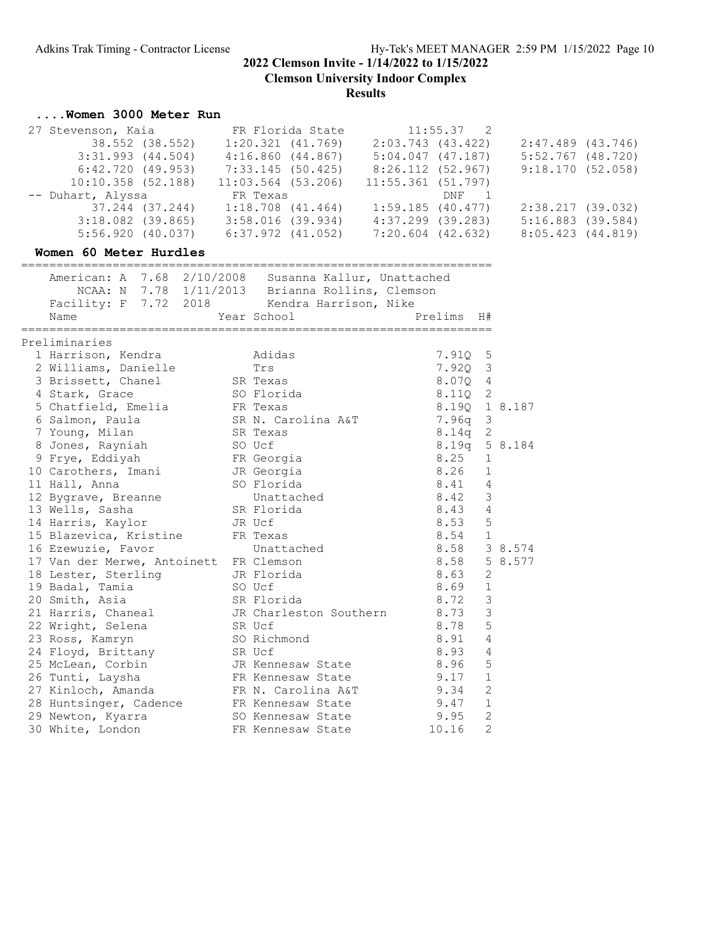**Clemson University Indoor Complex**

**Results**

### **....Women 3000 Meter Run**

| FR Florida State      | $11:55.37$ 2         |                     |
|-----------------------|----------------------|---------------------|
| $1:20.321$ $(41.769)$ | 2:03.743(43.422)     | $2:47.489$ (43.746) |
| 4:16.860(44.867)      | 5:04.047(47.187)     | $5:52.767$ (48.720) |
| 7:33.145(50.425)      | 8:26.112 (52.967)    | 9:18.170(52.058)    |
| $11:03.564$ (53.206)  | $11:55.361$ (51.797) |                     |
| FR Texas              | DNF 1                |                     |
| $1:18.708$ $(41.464)$ | 1:59.185(40.477)     | 2:38.217 (39.032)   |
| $3:58.016$ (39.934)   | $4:37.299$ (39.283)  | $5:16.883$ (39.584) |
| $6:37.972$ $(41.052)$ | 7:20.604 (42.632)    | 8:05.423(44.819)    |
|                       |                      |                     |

#### **Women 60 Meter Hurdles**

=================================================================== American: A 7.68 2/10/2008 Susanna Kallur, Unattached NCAA: N 7.78 1/11/2013 Brianna Rollins, Clemson Facility: F 7.72 2018 Kendra Harrison, Nike Name Year School Prelims H# =================================================================== Preliminaries 1 Harrison, Kendra Adidas 7.91Q 5 2 Williams, Danielle Trs 7.92Q 3 3 Brissett, Chanel SR Texas 8.07Q 4 4 Stark, Grace SO Florida 8.11Q 2 5 Chatfield, Emelia FR Texas 8.19Q 1 8.187 6 Salmon, Paula SR N. Carolina A&T 7.96q 3 7 Young, Milan SR Texas 8.14q 2 8 Jones, Rayniah SO Ucf 8.19q 5 8.184 9 Frye, Eddiyah FR Georgia 8.25 1 10 Carothers, Imani JR Georgia 8.26 1 11 Hall, Anna SO Florida 8.41 4 12 Bygrave, Breanne Unattached 8.42 3 13 Wells, Sasha SR Florida 8.43 4 14 Harris, Kaylor JR Ucf 8.53 5 15 Blazevica, Kristine FR Texas 8.54 1 16 Ezewuzie, Favor Unattached 8.58 3 8.574 17 Van der Merwe, Antoinett FR Clemson 198.58 58.577 18 Lester, Sterling JR Florida 8.63 2 19 Badal, Tamia SO Ucf 8.69 1 20 Smith, Asia SR Florida 8.72 3 21 Harris, Chaneal JR Charleston Southern 8.73 3 22 Wright, Selena SR Ucf 8.78 5 23 Ross, Kamryn SO Richmond 8.91 4 24 Floyd, Brittany SR Ucf 8.93 4 25 McLean, Corbin JR Kennesaw State 8.96 5 26 Tunti, Laysha FR Kennesaw State 9.17 1 27 Kinloch, Amanda FR N. Carolina A&T 9.34 2 28 Huntsinger, Cadence FR Kennesaw State 9.47 1 29 Newton, Kyarra SO Kennesaw State 9.95 2 30 White, London **FR Kennesaw State** 10.16 2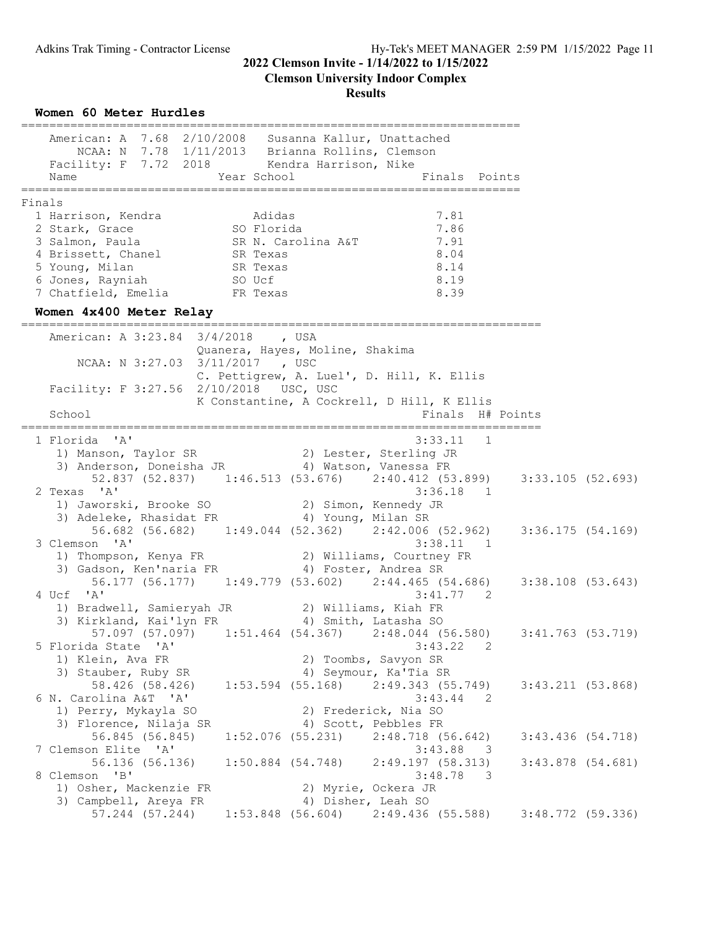**Clemson University Indoor Complex**

### **Results**

**Women 60 Meter Hurdles** ======================================================================= American: A 7.68 2/10/2008 Susanna Kallur, Unattached NCAA: N 7.78 1/11/2013 Brianna Rollins, Clemson Facility: F 7.72 2018 Kendra Harrison, Nike Name The Year School The Finals Points ======================================================================= Finals 1 Harrison, Kendra Adidas 7.81 2 Stark, Grace SO Florida 7.86 3 Salmon, Paula SR N. Carolina A&T 7.91 4 Brissett, Chanel SR Texas 8.04 5 Young, Milan SR Texas 3.14 6 Jones, Rayniah SO Ucf 8.19 7 Chatfield, Emelia FR Texas 8.39 **Women 4x400 Meter Relay** ========================================================================== American: A 3:23.84 3/4/2018 , USA Quanera, Hayes, Moline, Shakima NCAA: N 3:27.03 3/11/2017 , USC C. Pettigrew, A. Luel', D. Hill, K. Ellis Facility: F 3:27.56 2/10/2018 USC, USC K Constantine, A Cockrell, D Hill, K Ellis School **Finals** H# Points ========================================================================== 1 Florida 'A' 3:33.11 1 1) Manson, Taylor SR 2) Lester, Sterling JR 3) Anderson, Doneisha JR 4) Watson, Vanessa FR 52.837 (52.837) 1:46.513 (53.676) 2:40.412 (53.899) 3:33.105 (52.693) 2 Texas 'A' 3:36.18 1 1) Jaworski, Brooke SO 2) Simon, Kennedy JR 3) Adeleke, Rhasidat FR 4) Young, Milan SR 56.682 (56.682) 1:49.044 (52.362) 2:42.006 (52.962) 3:36.175 (54.169) 3 Clemson 'A' 3:38.11 1 1) Thompson, Kenya FR 2) Williams, Courtney FR 3) Gadson, Ken'naria FR 4) Foster, Andrea SR 56.177 (56.177) 1:49.779 (53.602) 2:44.465 (54.686) 3:38.108 (53.643) 4 Ucf 'A' 3:41.77 2 1) Bradwell, Samieryah JR 2) Williams, Kiah FR 3) Kirkland, Kai'lyn FR 4) Smith, Latasha SO 57.097 (57.097) 1:51.464 (54.367) 2:48.044 (56.580) 3:41.763 (53.719) 5 Florida State 'A' 3:43.22 2 1) Klein, Ava FR 2) Toombs, Savyon SR 3) Stauber, Ruby SR 4) Seymour, Ka'Tia SR 58.426 (58.426) 1:53.594 (55.168) 2:49.343 (55.749) 3:43.211 (53.868) 6 N. Carolina A&T 'A' 3:43.44 2 1) Perry, Mykayla SO 2) Frederick, Nia SO 3) Frederick, Nia SO<br>3) Florence, Nilaja SR 4) Scott, Pebbles FR<br>56.845 (56.845) 1.52.076 (56.845) 56.845 (56.845) 1:52.076 (55.231) 2:48.718 (56.642) 3:43.436 (54.718) 7 Clemson Elite 'A' 56.136 (56.136) 1:50.884 (54.748) 2:49.197 (58.313) 3:43.878 (54.681)<br>8 Clemson 'B' 3:48.78 3 8 Clemson 'B' 3:48.78 3 1) Osher, Mackenzie FR 2) Myrie, Ockera JR 3) Campbell, Areya FR 4) Disher, Leah SO 57.244 (57.244) 1:53.848 (56.604) 2:49.436 (55.588) 3:48.772 (59.336)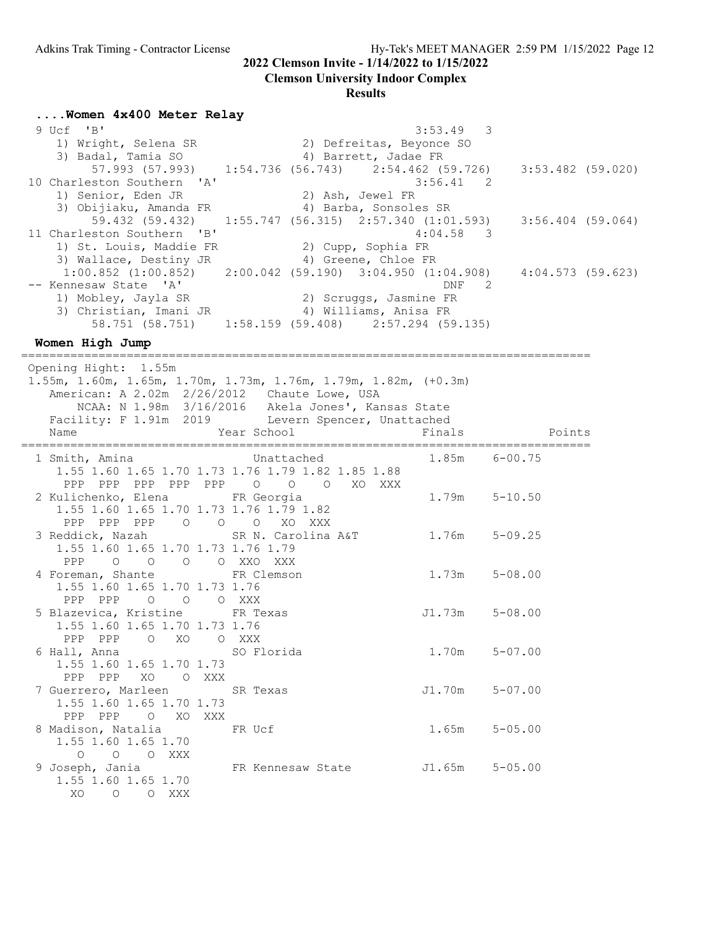# **Clemson University Indoor Complex**

## **Results**

**....Women 4x400 Meter Relay**

| 57.993 (57.993) 1:54.736 (56.743) 2:54.462 (59.726) 3:53.482 (59.020)           |
|---------------------------------------------------------------------------------|
|                                                                                 |
|                                                                                 |
|                                                                                 |
| 59.432 (59.432) 1:55.747 (56.315) 2:57.340 (1:01.593) 3:56.404 (59.064)         |
|                                                                                 |
|                                                                                 |
|                                                                                 |
| $1:00.852$ (1:00.852) $2:00.042$ (59.190) 3:04.950 (1:04.908) 4:04.573 (59.623) |
|                                                                                 |
|                                                                                 |
|                                                                                 |
|                                                                                 |
|                                                                                 |

**Women High Jump**

================================================================================= Opening Hight: 1.55m 1.55m, 1.60m, 1.65m, 1.70m, 1.73m, 1.76m, 1.79m, 1.82m, (+0.3m) American: A 2.02m 2/26/2012 Chaute Lowe, USA

| American: A 2.02m 2/26/2012 Chaute Lowe, USA                                         | NCAA: N 1.98m 3/16/2016 Akela Jones', Kansas State<br>Facility: F 1.91m 2019 Levern Spencer, Unattached |                    |
|--------------------------------------------------------------------------------------|---------------------------------------------------------------------------------------------------------|--------------------|
| Name                                                                                 | Year School Theory                                                                                      | Finals Points      |
|                                                                                      | 1 Smith, Amina Chattached<br>1.55 1.60 1.65 1.70 1.73 1.76 1.79 1.82 1.85 1.88                          | 1.85m 6-00.75      |
| 2 Kulichenko, Elena Kara FR Georgia<br>1.55 1.60 1.65 1.70 1.73 1.76 1.79 1.82       | PPP PPP PPP PPP PPP 0 0 0 XO XXX                                                                        | $1.79m$ $5-10.50$  |
| PPP PPP PPP 0 0 0 XO XXX<br>1.55 1.60 1.65 1.70 1.73 1.76 1.79                       | 3 Reddick, Nazah           SR N. Carolina A&T         1.76m     5-09.25                                 |                    |
| PPP 0 0 0 0 XXO XXX<br>4 Foreman, Shante FR Clemson<br>1.55 1.60 1.65 1.70 1.73 1.76 |                                                                                                         | $1.73m$ $5-08.00$  |
| PPP PPP 0 0 0 XXX<br>5 Blazevica, Kristine FR Texas<br>1.55 1.60 1.65 1.70 1.73 1.76 |                                                                                                         | $J1.73m$ $5-08.00$ |
| PPP PPP O XO O XXX<br>6 Hall, Anna (1988) SO Florida<br>1.55 1.60 1.65 1.70 1.73     |                                                                                                         | $1.70m$ $5-07.00$  |
| PPP PPP XO OXXX<br>7 Guerrero, Marleen SR Texas<br>1.55 1.60 1.65 1.70 1.73          |                                                                                                         | J1.70m 5-07.00     |
| PPP PPP 0 XO XXX<br>8 Madison, Natalia FR Ucf<br>1.55 1.60 1.65 1.70                 |                                                                                                         | $1.65m$ $5-05.00$  |
| O O O XXX<br>1.55 1.60 1.65 1.70<br>XO O O XXX                                       | 9 Joseph, Jania $F$ R Kennesaw State J1.65m 5-05.00                                                     |                    |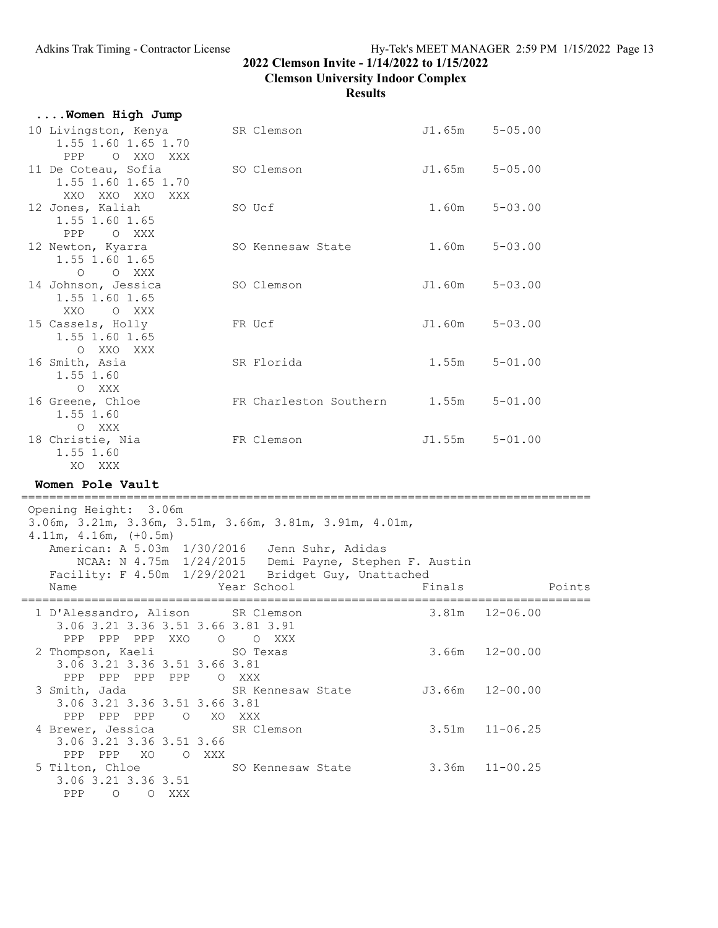**....Women High Jump**

# **2022 Clemson Invite - 1/14/2022 to 1/15/2022**

**Clemson University Indoor Complex**

| 10 Livingston, Kenya<br>1.55 1.60 1.65 1.70<br>O XXO XXX<br><b>PPP</b>                                                                                                                                                      | SR Clemson                                                           | J1.65m | $5 - 05.00$        |        |
|-----------------------------------------------------------------------------------------------------------------------------------------------------------------------------------------------------------------------------|----------------------------------------------------------------------|--------|--------------------|--------|
| 11 De Coteau, Sofia<br>1.55 1.60 1.65 1.70<br>XXO XXO XXO XXX                                                                                                                                                               | SO Clemson                                                           | J1.65m | $5 - 05.00$        |        |
| 12 Jones, Kaliah<br>1.55 1.60 1.65<br>PPP<br>O XXX                                                                                                                                                                          | SO Ucf                                                               | 1.60m  | $5 - 03.00$        |        |
| 12 Newton, Kyarra<br>1.55 1.60 1.65<br>$\Omega$<br>O XXX                                                                                                                                                                    | SO Kennesaw State                                                    | 1.60m  | $5 - 03.00$        |        |
| 14 Johnson, Jessica<br>1.55 1.60 1.65<br>XXO<br>O XXX                                                                                                                                                                       | SO Clemson                                                           | J1.60m | $5 - 03.00$        |        |
| 15 Cassels, Holly<br>1.55 1.60 1.65<br>O XXO XXX                                                                                                                                                                            | FR Ucf                                                               | J1.60m | $5 - 03.00$        |        |
| 16 Smith, Asia<br>1.55 1.60<br>O XXX                                                                                                                                                                                        | SR Florida                                                           | 1.55m  | $5 - 01.00$        |        |
| 16 Greene, Chloe<br>1.55 1.60<br>O XXX                                                                                                                                                                                      | FR Charleston Southern 1.55m                                         |        | $5 - 01.00$        |        |
| 18 Christie, Nia<br>1.55 1.60<br>XO XXX                                                                                                                                                                                     | FR Clemson                                                           |        | J1.55m 5-01.00     |        |
| Women Pole Vault                                                                                                                                                                                                            |                                                                      |        |                    |        |
| Opening Height: 3.06m<br>3.06m, 3.21m, 3.36m, 3.51m, 3.66m, 3.81m, 3.91m, 4.01m,<br>$4.11m, 4.16m, (+0.5m)$<br>American: A 5.03m 1/30/2016 Jenn Suhr, Adidas<br>Facility: F 4.50m 1/29/2021 Bridget Guy, Unattached<br>Name | NCAA: N 4.75m 1/24/2015 Demi Payne, Stephen F. Austin<br>Year School | Finals |                    | Points |
| 1 D'Alessandro, Alison SR Clemson                                                                                                                                                                                           |                                                                      | 3.81m  | $12 - 06.00$       |        |
| 3.06 3.21 3.36 3.51 3.66 3.81 3.91<br>PPP PPP PPP XXO O<br>2 Thompson, Kaeli SO Texas<br>3.06 3.21 3.36 3.51 3.66 3.81                                                                                                      | O XXX                                                                |        | $3.66m$ $12-00.00$ |        |
| PPP PPP PPP PPP O XXX<br>3 Smith, Jada<br>3.06 3.21 3.36 3.51 3.66 3.81                                                                                                                                                     | SR Kennesaw State J3.66m 12-00.00                                    |        |                    |        |
| PPP PPP PPP 0 XO XXX<br>4 Brewer, Jessica<br>3.06 3.21 3.36 3.51 3.66<br>PPP PPP XO<br>O XXX                                                                                                                                | SR Clemson                                                           |        | $3.51m$ $11-06.25$ |        |
| 5 Tilton, Chloe<br>3.06 3.21 3.36 3.51<br>PPP<br>$\circ$<br>O XXX                                                                                                                                                           | SO Kennesaw State 3.36m 11-00.25                                     |        |                    |        |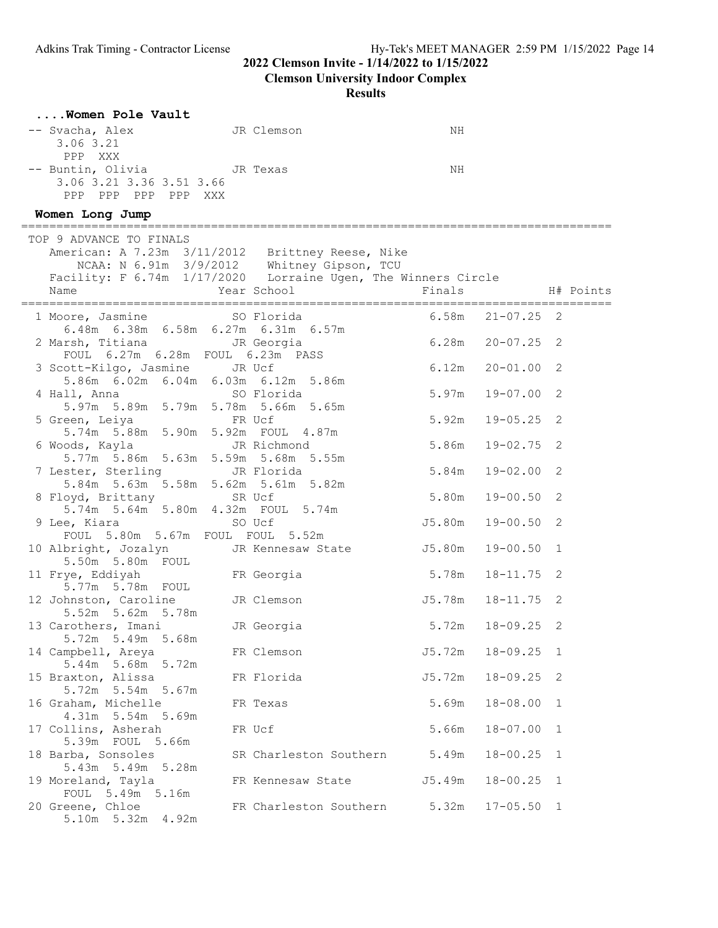**Clemson University Indoor Complex**

| Women Pole Vault                                                                                                                                                                           |                          |                     |                |                |
|--------------------------------------------------------------------------------------------------------------------------------------------------------------------------------------------|--------------------------|---------------------|----------------|----------------|
| -- Svacha, Alex<br>3.06 3.21                                                                                                                                                               | JR Clemson               | ΝH                  |                |                |
| PPP XXX<br>-- Buntin, Olivia JR Texas<br>3.06 3.21 3.36 3.51 3.66<br>PPP PPP PPP PPP XXX                                                                                                   |                          | NH                  |                |                |
| Women Long Jump                                                                                                                                                                            |                          |                     |                |                |
| TOP 9 ADVANCE TO FINALS<br>American: A 7.23m 3/11/2012 Brittney Reese, Nike<br>NCAA: N 6.91m 3/9/2012 Whitney Gipson, TCU<br>Facility: F 6.74m 1/17/2020 Lorraine Ugen, The Winners Circle |                          |                     |                |                |
| Name                                                                                                                                                                                       | Year School              | Finals              |                | H# Points      |
| 1 Moore, Jasmine SO Florida<br>6.48m 6.38m 6.58m 6.27m 6.31m 6.57m                                                                                                                         |                          | 6.58m               | $21 - 07.25$   | 2              |
| 2 Marsh, Titiana Margia<br>FOUL 6.27m 6.28m FOUL 6.23m PASS                                                                                                                                |                          | $6.28m$ $20-07.25$  |                | 2              |
| 3 Scott-Kilgo, Jasmine<br>5.86m 6.02m 6.04m 6.03m 6.12m 5.86m                                                                                                                              | JR Ucf                   | 6.12m               | $20 - 01.00$   | 2              |
| 4 Hall, Anna<br>5.97m 5.89m 5.79m 5.78m 5.66m 5.65m                                                                                                                                        | SO Florida               | 5.97m               | 19-07.00       | 2              |
| 5 Green, Leiya<br>5.74m 5.88m 5.90m 5.92m FOUL 4.87m                                                                                                                                       | FR Ucf                   | 5.92m               | $19 - 05.25$   | 2              |
| 6 Woods, Kayla<br>5.77m 5.86m 5.63m 5.59m 5.68m 5.55m                                                                                                                                      | JR Richmond              | 5.86m               | 19-02.75       | 2              |
| 7 Lester, Sterling<br>5.84m 5.63m 5.58m 5.62m 5.61m 5.82m                                                                                                                                  | JR Florida               | 5.84m               | $19 - 02.00$   | 2              |
| 8 Floyd, Brittany<br>5.74m 5.64m 5.80m 4.32m FOUL 5.74m                                                                                                                                    | SR Ucf                   | 5.80m               | $19 - 00.50$   | 2              |
| 9 Lee, Kiara<br>FOUL 5.80m 5.67m FOUL FOUL 5.52m                                                                                                                                           | SO Ucf                   | J5.80m              | 19-00.50       | 2              |
| 10 Albright, Jozalyn<br>5.50m 5.80m FOUL                                                                                                                                                   | JR Kennesaw State        | J5.80m              | $19 - 00.50$   | 1              |
| 11 Frye, Eddiyah<br>5.77m 5.78m FOUL                                                                                                                                                       | FR Georgia               | 5.78m               | $18 - 11.75$   | 2              |
| 12 Johnston, Caroline<br>5.52m 5.62m 5.78m                                                                                                                                                 | JR Clemson               | J5.78m              | 18-11.75       | 2              |
| 13 Carothers, Imani<br>5.72m 5.49m 5.68m                                                                                                                                                   | JR Georgia               | 5.72m               | $18 - 09.25$   | $\sqrt{2}$     |
| 14 Campbell, Areya<br>5.44m 5.68m 5.72m                                                                                                                                                    | FR Clemson               | $J5.72m$ $18-09.25$ |                | $\overline{1}$ |
| 15 Braxton, Alissa<br>5.72m 5.54m 5.67m                                                                                                                                                    | FR Florida               | J5.72m              | 18-09.25       | 2              |
| 16 Graham, Michelle<br>4.31m 5.54m 5.69m                                                                                                                                                   | FR Texas                 | 5.69m               | $18 - 08.00$   | 1              |
| 17 Collins, Asherah<br>5.39m FOUL 5.66m                                                                                                                                                    | FR Ucf                   | 5.66m               | $18 - 07.00$   | 1              |
| 18 Barba, Sonsoles<br>5.43m 5.49m 5.28m                                                                                                                                                    | SR Charleston Southern   | 5.49m               | $18 - 00.25$   | 1              |
| 19 Moreland, Tayla<br>FOUL 5.49m 5.16m                                                                                                                                                     | FR Kennesaw State J5.49m |                     | $18 - 00.25$   | 1              |
| 20 Greene, Chloe<br>5.10m 5.32m 4.92m                                                                                                                                                      | FR Charleston Southern   | 5.32m               | $17 - 05.50$ 1 |                |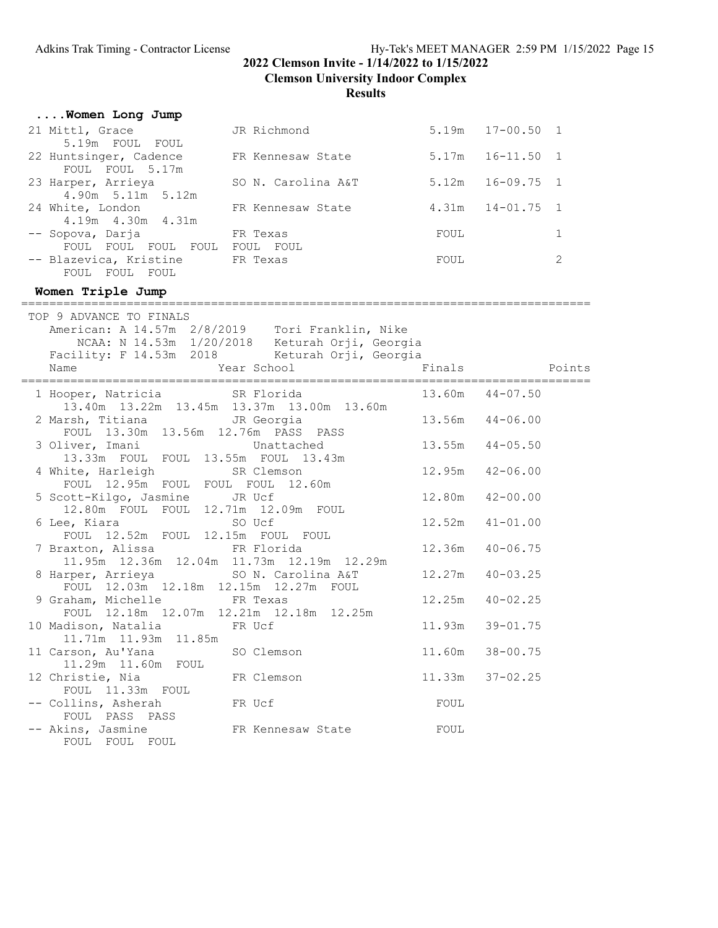FOUL 11.33m FOUL

FOUL PASS PASS

FOUL FOUL FOUL

## **2022 Clemson Invite - 1/14/2022 to 1/15/2022**

**Clemson University Indoor Complex**

## **Results**

| Women Long Jump                                                           |                                                                                                                                                                                                   |        |                     |                |
|---------------------------------------------------------------------------|---------------------------------------------------------------------------------------------------------------------------------------------------------------------------------------------------|--------|---------------------|----------------|
| 21 Mittl, Grace                                                           | JR Richmond                                                                                                                                                                                       |        | 5.19m  17-00.50  1  |                |
| 5.19m FOUL FOUL                                                           |                                                                                                                                                                                                   |        |                     |                |
| 22 Huntsinger, Cadence<br>FOUL FOUL 5.17m                                 | FR Kennesaw State                                                                                                                                                                                 | 5.17m  | $16 - 11.50$ 1      |                |
| 23 Harper, Arrieya                                                        | SO N. Carolina A&T                                                                                                                                                                                | 5.12m  | $16 - 09.75$        | $\overline{1}$ |
| 4.90m 5.11m 5.12m<br>24 White, London                                     | FR Kennesaw State                                                                                                                                                                                 | 4.31m  | $14 - 01.75$        | 1              |
| 4.19m  4.30m  4.31m<br>-- Sopova, Darja                                   | FR Texas                                                                                                                                                                                          | FOUL   |                     | $\mathbf{1}$   |
| FOUL FOUL FOUL FOUL FOUL FOUL<br>-- Blazevica, Kristine<br>FOUL FOUL FOUL | FR Texas                                                                                                                                                                                          | FOUL   |                     | 2              |
| Women Triple Jump                                                         |                                                                                                                                                                                                   |        |                     |                |
|                                                                           |                                                                                                                                                                                                   |        |                     |                |
| TOP 9 ADVANCE TO FINALS<br>Name<br>========================               | American: A 14.57m 2/8/2019  Tori Franklin, Nike<br>NCAA: N 14.53m 1/20/2018 Keturah Orji, Georgia<br>Facility: F 14.53m 2018 Keturah Orji, Georgia<br>Year School<br>. = = = = = = = = = = = = = | Finals |                     | Points         |
| 1 Hooper, Natricia                                                        | SR Florida                                                                                                                                                                                        |        | $13.60m$ $44-07.50$ |                |
|                                                                           | 13.40m  13.22m  13.45m  13.37m  13.00m  13.60m                                                                                                                                                    |        |                     |                |
| 2 Marsh, Titiana                                                          | JR Georgia                                                                                                                                                                                        |        | 13.56m  44-06.00    |                |
| FOUL 13.30m 13.56m 12.76m PASS PASS                                       |                                                                                                                                                                                                   |        |                     |                |
| 3 Oliver, Imani<br>13.33m FOUL FOUL 13.55m FOUL 13.43m                    | Unattached                                                                                                                                                                                        | 13.55m | $44 - 05.50$        |                |
| 4 White, Harleigh                                                         | SR Clemson                                                                                                                                                                                        | 12.95m | $42 - 06.00$        |                |
| FOUL 12.95m FOUL FOUL FOUL 12.60m                                         |                                                                                                                                                                                                   |        |                     |                |
| 5 Scott-Kilgo, Jasmine                                                    | JR Ucf                                                                                                                                                                                            | 12.80m | $42 - 00.00$        |                |
| 12.80m FOUL FOUL 12.71m 12.09m FOUL<br>6 Lee, Kiara                       | SO Ucf                                                                                                                                                                                            | 12.52m | $41 - 01.00$        |                |
| FOUL 12.52m FOUL 12.15m FOUL FOUL                                         |                                                                                                                                                                                                   |        |                     |                |
| 7 Braxton, Alissa                                                         | FR Florida                                                                                                                                                                                        | 12.36m | $40 - 06.75$        |                |
|                                                                           | 11.95m  12.36m  12.04m  11.73m  12.19m  12.29m                                                                                                                                                    |        |                     |                |
| 8 Harper, Arrieya                                                         | SO N. Carolina A&T                                                                                                                                                                                | 12.27m | $40 - 03.25$        |                |
| FOUL 12.03m 12.18m 12.15m 12.27m FOUL<br>9 Graham, Michelle               | FR Texas                                                                                                                                                                                          | 12.25m | $40 - 02.25$        |                |
|                                                                           | FOUL 12.18m 12.07m 12.21m 12.18m 12.25m                                                                                                                                                           |        |                     |                |
| 10 Madison, Natalia                                                       | FR Ucf                                                                                                                                                                                            | 11.93m | $39 - 01.75$        |                |
|                                                                           |                                                                                                                                                                                                   |        |                     |                |
| 11 Carson, Au'Yana                                                        | SO Clemson                                                                                                                                                                                        | 11.60m | $38 - 00.75$        |                |
| 11.29m  11.60m  FOUL                                                      |                                                                                                                                                                                                   |        |                     |                |
| 12 Christie, Nia                                                          | FR Clemson                                                                                                                                                                                        | 11.33m | $37 - 02.25$        |                |

FR Clemson 11.33m 37-02.25

-- Collins, Asherah FR Ucf FOUL

-- Akins, Jasmine FR Kennesaw State FOUL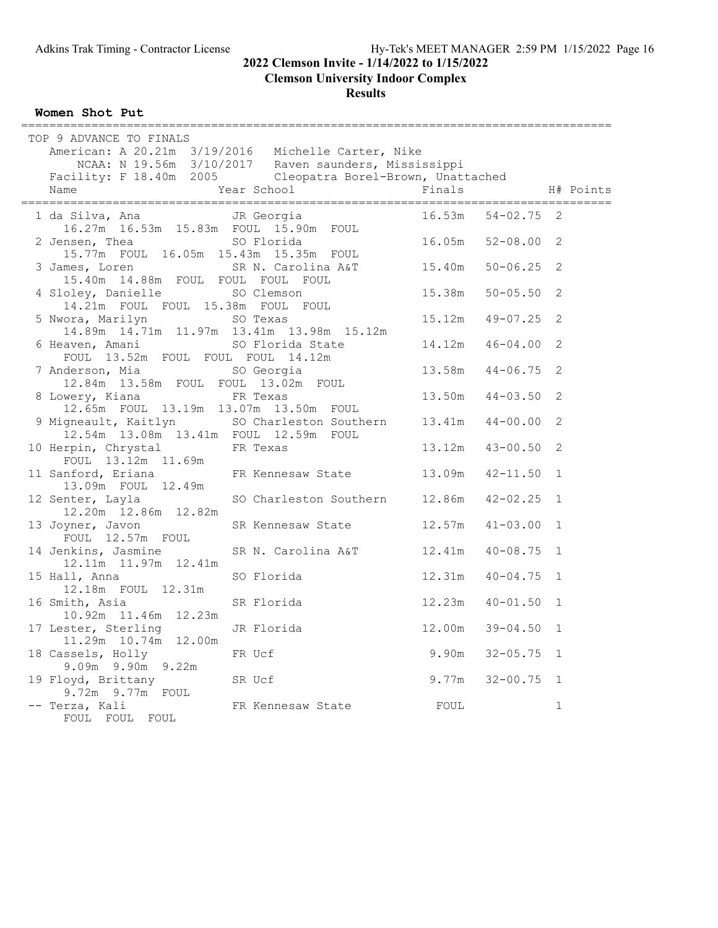**Clemson University Indoor Complex**

**Results**

**Women Shot Put**

| TOP 9 ADVANCE TO FINALS                                            | American: A 20.21m 3/19/2016 Michelle Carter, Nike<br>NCAA: N 19.56m 3/10/2017 Raven saunders, Mississippi<br>Facility: F 18.40m 2005 Cleopatra Borel-Brown, Unattached |                          |              |
|--------------------------------------------------------------------|-------------------------------------------------------------------------------------------------------------------------------------------------------------------------|--------------------------|--------------|
| Name                                                               | Year School                                                                                                                                                             | Finals                   | H# Points    |
| 1 da Silva, Ana<br>16.27m  16.53m  15.83m  FOUL  15.90m  FOUL      | JR Georgia                                                                                                                                                              | $16.53m$ $54-02.75$ 2    |              |
| 2 Jensen, Thea<br>15.77m FOUL 16.05m 15.43m 15.35m FOUL            | SO Florida                                                                                                                                                              | $16.05m$ $52-08.00$      | 2            |
| 15.40m 14.88m FOUL FOUL FOUL FOUL                                  | 3 James, Loren SR N. Carolina A&T 15.40m 50-06.25                                                                                                                       |                          | 2            |
| 4 Sloley, Danielle<br>14.21m FOUL FOUL 15.38m FOUL FOUL            | SO Clemson                                                                                                                                                              | $15.38m$ $50-05.50$      | 2            |
| 5 Nwora, Marilyn<br>14.89m  14.71m  11.97m  13.41m  13.98m  15.12m | SO Texas                                                                                                                                                                | 15.12m  49-07.25         | 2            |
| 6 Heaven, Amani<br>FOUL 13.52m FOUL FOUL FOUL 14.12m               | SO Florida State                                                                                                                                                        | 14.12m  46-04.00         | 2            |
| 7 Anderson, Mia<br>12.84m  13.58m  FOUL  FOUL  13.02m  FOUL        | SO Georgia                                                                                                                                                              | 13.58m<br>$44 - 06.75$   | 2            |
| 8 Lowery, Kiana<br>12.65m FOUL 13.19m 13.07m 13.50m FOUL           | FR Texas                                                                                                                                                                | 13.50m<br>$44 - 03.50$   | $\mathbf{2}$ |
| 12.54m  13.08m  13.41m  FOUL  12.59m  FOUL                         | 9 Migneault, Kaitlyn SO Charleston Southern 13.41m 44-00.00                                                                                                             |                          | 2            |
| 10 Herpin, Chrystal<br>FOUL 13.12m 11.69m                          | FR Texas                                                                                                                                                                | 13.12m  43-00.50         | 2            |
| 13.09m FOUL 12.49m                                                 | 11 Sanford, Eriana 6 FR Kennesaw State 13.09m                                                                                                                           | $42 - 11.50$ 1           |              |
| 12 Senter, Layla<br>12.20m  12.86m  12.82m                         | SO Charleston Southern 12.86m                                                                                                                                           | $42 - 02.25$             | $\mathbf{1}$ |
| 13 Joyner, Javon<br>FOUL 12.57m FOUL                               | SR Kennesaw State 12.57m                                                                                                                                                | $41 - 03.00$             | $\mathbf{1}$ |
| 14 Jenkins, Jasmine<br>12.11m  11.97m  12.41m                      | SR N. Carolina A&T                                                                                                                                                      | 12.41m  40-08.75         | $\mathbf{1}$ |
| 15 Hall, Anna<br>12.18m FOUL 12.31m                                | SO Florida                                                                                                                                                              | 12.31m<br>$40 - 04.75$ 1 |              |
| 16 Smith, Asia<br>10.92m  11.46m  12.23m                           | SR Florida                                                                                                                                                              | 12.23m<br>$40 - 01.50$ 1 |              |
| 17 Lester, Sterling<br>11.29m  10.74m  12.00m                      | JR Florida                                                                                                                                                              | $39 - 04.50$<br>12.00m   | $\mathbf{1}$ |
| 18 Cassels, Holly<br>9.09m 9.90m 9.22m                             | FR Ucf                                                                                                                                                                  | $9.90m$ $32-05.75$       | $\mathbf{1}$ |
| 19 Floyd, Brittany<br>9.72m 9.77m FOUL                             | SR Ucf                                                                                                                                                                  | $9.77m$ $32-00.75$       | $\mathbf{1}$ |
| -- Terza, Kali<br>FOUL FOUL FOUL                                   | FR Kennesaw State                                                                                                                                                       | FOUL                     | $\mathbf 1$  |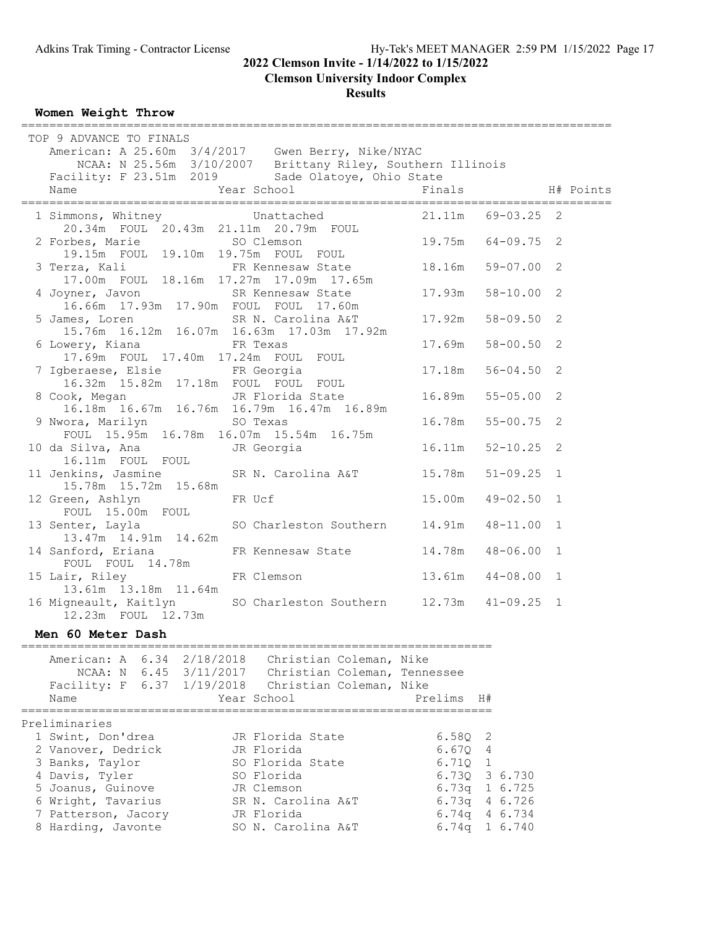# **Clemson University Indoor Complex**

**Results**

#### **Women Weight Throw**

| TOP 9 ADVANCE TO FINALS                                                                                                                                         |                                                              |                          |              |
|-----------------------------------------------------------------------------------------------------------------------------------------------------------------|--------------------------------------------------------------|--------------------------|--------------|
|                                                                                                                                                                 |                                                              |                          |              |
| American: A 25.60m 3/4/2017 Gwen Berry, Nike/NYAC<br>NCAA: N 25.56m 3/10/2007 Brittany Riley, Southern Illinois                                                 |                                                              |                          |              |
| Facility: F 23.51m 2019 Sade Olatoye, Ohio State                                                                                                                |                                                              |                          |              |
| Year School<br>Name                                                                                                                                             |                                                              | Finals                   | H# Points    |
|                                                                                                                                                                 |                                                              |                          |              |
| 1 Simmons, Whitney Unattached<br>20.34m FOUL 20.43m 21.11m 20.79m FOUL                                                                                          |                                                              | 21.11m 69-03.25 2        |              |
|                                                                                                                                                                 |                                                              |                          |              |
| 2 Forbes, Marie SO Clemson<br>19.15m FOUL 19.10m 19.75m FOUL FOUL                                                                                               |                                                              | 19.75m 64-09.75          | 2            |
|                                                                                                                                                                 |                                                              | $18.16m$ 59-07.00        | 2            |
| 3 Terza, Kali                                                                                                                                                   | FR Kennesaw State<br>17.00m FOUL 18.16m 17.27m 17.09m 17.65m |                          |              |
| 4 Joyner, Javon SR Kennesaw State                                                                                                                               |                                                              | 17.93m<br>$58 - 10.00$   | 2            |
| 16.66m  17.93m  17.90m  FOUL  FOUL  17.60m                                                                                                                      |                                                              |                          |              |
| 5 James, Loren SR N. Carolina A&T                                                                                                                               |                                                              | 17.92m<br>$58 - 09.50$   | 2            |
| 15.76m  16.12m  16.07m  16.63m  17.03m  17.92m                                                                                                                  |                                                              |                          |              |
| 6 Lowery, Kiana Mark FR Texas                                                                                                                                   |                                                              | 17.69m<br>$58 - 00.50$   | 2            |
| 17.69m FOUL 17.40m 17.24m FOUL FOUL                                                                                                                             |                                                              |                          |              |
| 7 Igberaese, Elsie FR Georgia<br>16.32m 15.82m 17.18m FOUL FOUL FOUL                                                                                            |                                                              | $17.18m$ $56-04.50$      | 2            |
|                                                                                                                                                                 |                                                              |                          |              |
| 8 Cook, Megan JR Florida State<br>16.18m  16.67m  16.76m  16.79m  16.47m  16.89m                                                                                |                                                              | $16.89m$ $55-05.00$      | 2            |
| 9 Nwora, Marilyn SO Texas                                                                                                                                       |                                                              | 16.78m 55-00.75          | 2            |
| FOUL 15.95m 16.78m 16.07m 15.54m 16.75m                                                                                                                         |                                                              |                          |              |
| 10 da Silva, Ana<br><b>JR</b> Georgia                                                                                                                           |                                                              | 16.11m 52-10.25 2        |              |
| 16.11m FOUL FOUL                                                                                                                                                |                                                              |                          |              |
| 11 Jenkins, Jasmine SR N. Carolina A&T                                                                                                                          |                                                              | $51 - 09.25$ 1<br>15.78m |              |
| 15.78m  15.72m  15.68m                                                                                                                                          |                                                              |                          |              |
| 12 Green, Ashlyn                                                                                                                                                | FR Ucf                                                       | 15.00m<br>$49 - 02.50$   | $\mathbf{1}$ |
| FOUL 15.00m FOUL                                                                                                                                                |                                                              |                          |              |
| 13 Senter, Layla                                                                                                                                                | SO Charleston Southern 14.91m                                | $48 - 11.00$ 1           |              |
| 13.47m  14.91m  14.62m                                                                                                                                          |                                                              |                          |              |
| 14 Sanford, Eriana<br>FOUL FOUL 14.78m                                                                                                                          | FR Kennesaw State                                            | 14.78m<br>$48 - 06.00$   | 1            |
| 15 Lair, Riley                                                                                                                                                  | FR Clemson                                                   | $13.61m$ $44-08.00$      | $\mathbf 1$  |
| 13.61m  13.18m  11.64m                                                                                                                                          |                                                              |                          |              |
| 16 Migneault, Kaitlyn                                                                                                                                           | SO Charleston Southern 12.73m 41-09.25 1                     |                          |              |
| 12.23m FOUL 12.73m                                                                                                                                              |                                                              |                          |              |
| Men 60 Meter Dash                                                                                                                                               |                                                              |                          |              |
|                                                                                                                                                                 |                                                              |                          |              |
|                                                                                                                                                                 |                                                              |                          |              |
|                                                                                                                                                                 |                                                              |                          |              |
| American: A 6.34 2/18/2018 Christian Coleman, Nike<br>NCAA: N 6.45 3/11/2017 Christian Coleman, Tennessee<br>Facility: F 6.37 1/19/2018 Christian Coleman, Nike |                                                              |                          |              |
| Name                                                                                                                                                            | Year School                                                  | Prelims H#               |              |
|                                                                                                                                                                 |                                                              |                          |              |
| Preliminaries                                                                                                                                                   |                                                              |                          |              |
| 1 Swint, Don'drea<br>2 Vanover, Dedrick                                                                                                                         | JR Florida State<br>JR Florida                               | $6.58Q$ 2<br>$6.67Q$ 4   |              |
| 3 Banks, Taylor                                                                                                                                                 | SO Florida State                                             | $6.71Q$ 1                |              |
| 4 Davis, Tyler                                                                                                                                                  | SO Florida                                                   | 6.730 3 6.730            |              |
| 5 Joanus, Guinove                                                                                                                                               | JR Clemson                                                   | 6.73q 1 6.725            |              |
| 6 Wright, Tavarius                                                                                                                                              | SR N. Carolina A&T                                           | 6.73q 4 6.726            |              |
| 7 Patterson, Jacory                                                                                                                                             | JR Florida                                                   | 6.74q 4 6.734            |              |

8 Harding, Javonte SO N. Carolina A&T 6.74q 1 6.740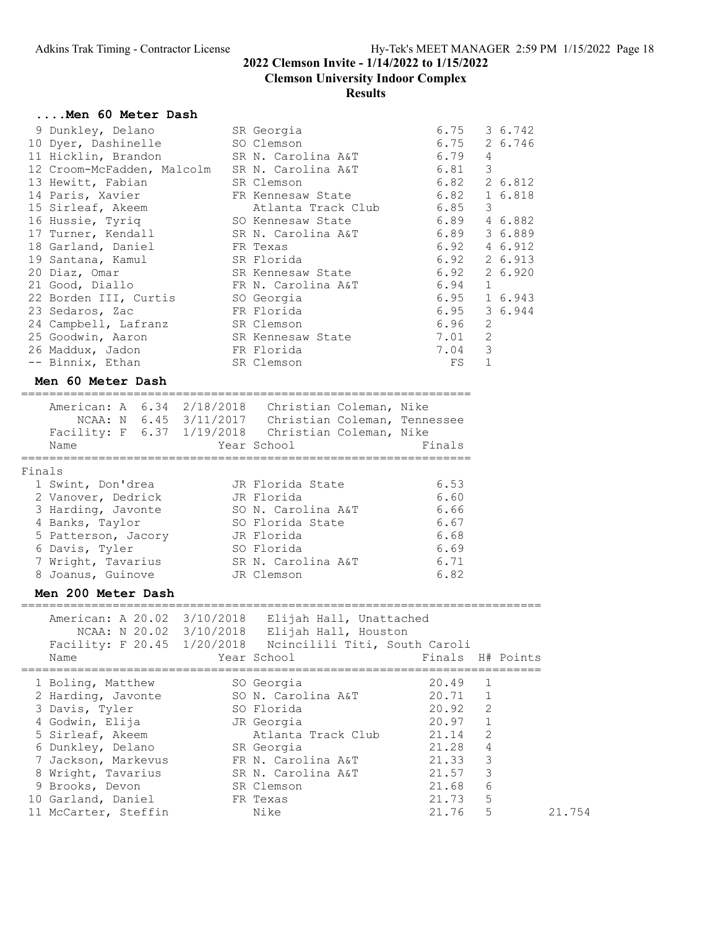#### **Clemson University Indoor Complex**

#### **Results**

#### **....Men 60 Meter Dash**

| 9 Dunkley, Delano          | SR Georgia         | 6.75 |                | 3 6.742              |
|----------------------------|--------------------|------|----------------|----------------------|
| 10 Dyer, Dashinelle        | SO Clemson         | 6.75 |                | 2 6.746              |
| 11 Hicklin, Brandon        | SR N. Carolina A&T | 6.79 | 4              |                      |
| 12 Croom-McFadden, Malcolm | SR N. Carolina A&T | 6.81 | 3              |                      |
| 13 Hewitt, Fabian          | SR Clemson         |      |                | $6.82 \quad 2.6.812$ |
| 14 Paris, Xavier           | FR Kennesaw State  | 6.82 |                | 1 6.818              |
| 15 Sirleaf, Akeem          | Atlanta Track Club | 6.85 | 3              |                      |
| 16 Hussie, Tyriq           | SO Kennesaw State  | 6.89 |                | 4 6.882              |
| 17 Turner, Kendall         | SR N. Carolina A&T | 6.89 |                | 3 6.889              |
| 18 Garland, Daniel         | FR Texas           | 6.92 |                | 4 6.912              |
| 19 Santana, Kamul          | SR Florida         | 6.92 |                | 2 6.913              |
| 20 Diaz, Omar              | SR Kennesaw State  | 6.92 |                | 2 6.920              |
| 21 Good, Diallo            | FR N. Carolina A&T | 6.94 | $\mathbf{1}$   |                      |
| 22 Borden III, Curtis      | SO Georgia         | 6.95 |                | 1 6.943              |
| 23 Sedaros, Zac            | FR Florida         |      |                | 6.95 3 6.944         |
| 24 Campbell, Lafranz       | SR Clemson         | 6.96 | 2              |                      |
| 25 Goodwin, Aaron          | SR Kennesaw State  | 7.01 | $\overline{2}$ |                      |
| 26 Maddux, Jadon           | FR Florida         | 7.04 | 3              |                      |
| -- Binnix, Ethan           | SR Clemson         | FS   |                |                      |

#### **Men 60 Meter Dash**

================================================================ American: A 6.34 2/18/2018 Christian Coleman, Nike

|        | American: A 6.34 2/18/2018<br>Facility: F 6.37 1/19/2018<br>Name | NCAA: N 6.45 3/11/2017 | Christian Coleman, Nike<br>Christian Coleman, Tennessee<br>Christian Coleman, Nike<br>Year School | Finals |
|--------|------------------------------------------------------------------|------------------------|---------------------------------------------------------------------------------------------------|--------|
| Finals |                                                                  |                        |                                                                                                   |        |
|        | 1 Swint, Don'drea                                                |                        | JR Florida State                                                                                  | 6.53   |
|        | 2 Vanover, Dedrick                                               |                        | JR Florida                                                                                        | 6.60   |
|        | 3 Harding, Javonte                                               |                        | SO N. Carolina A&T                                                                                | 6.66   |
|        | 4 Banks, Taylor                                                  |                        | SO Florida State                                                                                  | 6.67   |
|        | 5 Patterson, Jacory                                              |                        | JR Florida                                                                                        | 6.68   |
|        | 6 Davis, Tyler                                                   |                        | SO Florida                                                                                        | 6.69   |
|        | 7 Wright, Tavarius                                               |                        | SR N. Carolina A&T                                                                                | 6.71   |
|        | 8 Joanus, Guinove                                                |                        | JR Clemson                                                                                        | 6.82   |
|        |                                                                  |                        |                                                                                                   |        |

#### **Men 200 Meter Dash**

========================================================================== American: A 20.02 3/10/2018 Elijah Hall, Unattached NCAA: N 20.02 3/10/2018 Elijah Hall, Houston Facility: F 20.45 1/20/2018 Ncincilili Titi, South Caroli Name Thals H# Points (Year School Times Finals H# Points ========================================================================== 1 Boling, Matthew SO Georgia 20.49 1 2 Harding, Javonte SO N. Carolina A&T 20.71 1 3 Davis, Tyler SO Florida 20.92 2 4 Godwin, Elija JR Georgia 20.97 1 5 Sirleaf, Akeem Atlanta Track Club 21.14 2 6 Dunkley, Delano SR Georgia 21.28 4 7 Jackson, Markevus FR N. Carolina A&T 21.33 3 8 Wright, Tavarius SR N. Carolina A&T 21.57 3 9 Brooks, Devon SR Clemson 21.68 6 10 Garland, Daniel FR Texas 21.73 5 11 McCarter, Steffin Nike 21.76 5 21.754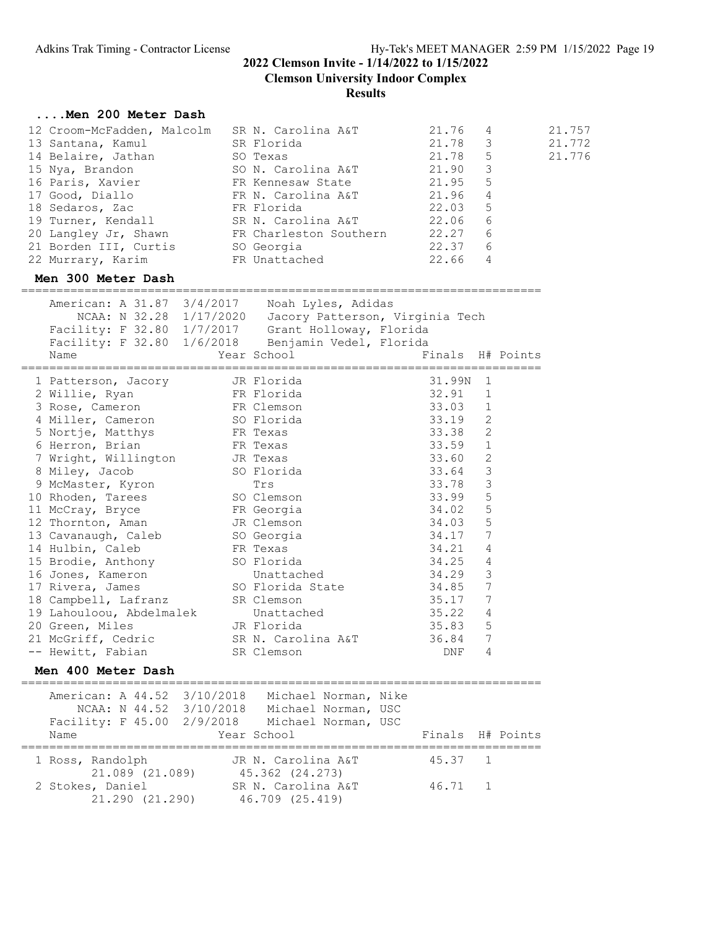**Clemson University Indoor Complex**

#### **Results**

## **....Men 200 Meter Dash**

| 12 Croom-McFadden, Malcolm<br>13 Santana, Kamul<br>14 Belaire, Jathan<br>15 Nya, Brandon<br>16 Paris, Xavier<br>17 Good, Diallo<br>18 Sedaros, Zac<br>19 Turner, Kendall SR N. Carolina A&T 22.06<br>20 Langley Jr, Shawn FR Charleston Southern | SO Texas | SR N. Carolina A&T<br>SR Florida<br>SO N. Carolina A&T<br>FR Kennesaw State<br>FR N. Carolina A&T<br>FR Florida | 21.76<br>21.78<br>21.78<br>21.90<br>21.95<br>21.96<br>22.03<br>22.27 | 4<br>3<br>5<br>3<br>5<br>$\sqrt{4}$<br>5<br>6<br>6 | 21.757<br>21.772<br>21.776 |
|--------------------------------------------------------------------------------------------------------------------------------------------------------------------------------------------------------------------------------------------------|----------|-----------------------------------------------------------------------------------------------------------------|----------------------------------------------------------------------|----------------------------------------------------|----------------------------|
| 21 Borden III, Curtis SO Georgia                                                                                                                                                                                                                 |          |                                                                                                                 | 22.37                                                                | 6                                                  |                            |
| 22 Murrary, Karim                                                                                                                                                                                                                                |          | FR Unattached                                                                                                   | 22.66                                                                | $\overline{4}$                                     |                            |
| Men 300 Meter Dash                                                                                                                                                                                                                               |          |                                                                                                                 |                                                                      |                                                    |                            |
| American: A 31.87 3/4/2017 Noah Lyles, Adidas<br>NCAA: N 32.28 1/17/2020 Jacory Patterson, Virginia Tech<br>Facility: F 32.80 1/7/2017 Grant Holloway, Florida<br>Facility: F 32.80 1/6/2018 Benjamin Vedel, Florida<br>Name                     |          | Year School Search<br>==================                                                                        | ===================                                                  | Finals H# Points                                   |                            |
| 1 Patterson, Jacory JR Florida<br>2 Willie, Ryan North FR Florida                                                                                                                                                                                |          |                                                                                                                 | 31.99N<br>32.91                                                      | 1<br>1                                             |                            |
| 3 Rose, Cameron                                                                                                                                                                                                                                  |          |                                                                                                                 | 33.03                                                                | $\mathbf{1}$                                       |                            |
| 4 Miller, Cameron                                                                                                                                                                                                                                |          | FR Clemson<br>SO Florida                                                                                        | 33.19                                                                | 2                                                  |                            |
| 5 Nortje, Matthys                                                                                                                                                                                                                                |          | FR Texas                                                                                                        | 33.38                                                                | $\overline{c}$                                     |                            |
| 6 Herron, Brian                                                                                                                                                                                                                                  |          | FR Texas                                                                                                        | 33.59                                                                | $\mathbf{1}$                                       |                            |
| 7 Wright, Willington JR Texas                                                                                                                                                                                                                    |          |                                                                                                                 | 33.60                                                                | 2                                                  |                            |
| 8 Miley, Jacob                                                                                                                                                                                                                                   |          | SO Florida                                                                                                      | 33.64                                                                | 3                                                  |                            |
| 9 McMaster, Kyron                                                                                                                                                                                                                                |          | Trs                                                                                                             | 33.78                                                                | 3                                                  |                            |
| 10 Rhoden, Tarees                                                                                                                                                                                                                                |          | SO Clemson                                                                                                      | 33.99                                                                | 5                                                  |                            |
| 11 McCray, Bryce                                                                                                                                                                                                                                 |          | FR Georgia                                                                                                      | 34.02                                                                | 5                                                  |                            |
| 12 Thornton, Aman                                                                                                                                                                                                                                |          | JR Clemson                                                                                                      | 34.03                                                                | 5                                                  |                            |
| 13 Cavanaugh, Caleb                                                                                                                                                                                                                              |          | SO Georgia                                                                                                      | 34.17                                                                | 7                                                  |                            |
| 14 Hulbin, Caleb                                                                                                                                                                                                                                 |          | FR Texas                                                                                                        | 34.21                                                                | 4                                                  |                            |
| 15 Brodie, Anthony                                                                                                                                                                                                                               |          | SO Florida                                                                                                      | 34.25                                                                | 4                                                  |                            |
| 16 Jones, Kameron                                                                                                                                                                                                                                |          | Unattached                                                                                                      | 34.29                                                                | 3                                                  |                            |
| 17 Rivera, James                                                                                                                                                                                                                                 |          | SO Florida State                                                                                                | 34.85 7                                                              |                                                    |                            |
| 18 Campbell, Lafranz                                                                                                                                                                                                                             |          | SR Clemson                                                                                                      | 35.17 7                                                              |                                                    |                            |
| 19 Lahouloou, Abdelmalek                                                                                                                                                                                                                         |          | Unattached                                                                                                      | 35.22                                                                | 4                                                  |                            |
| 20 Green, Miles                                                                                                                                                                                                                                  |          | JR Florida                                                                                                      | 35.83                                                                | 5                                                  |                            |
| 21 McGriff, Cedric                                                                                                                                                                                                                               |          | SR N. Carolina A&T                                                                                              | 36.84                                                                | 7                                                  |                            |
| -- Hewitt, Fabian                                                                                                                                                                                                                                |          | SR Clemson                                                                                                      | DNF 4                                                                |                                                    |                            |
| Men 400 Meter Dash                                                                                                                                                                                                                               |          |                                                                                                                 |                                                                      |                                                    |                            |
| American: A 44.52 3/10/2018<br>NCAA: N 44.52 3/10/2018 Michael Norman, USC<br>Facility: F 45.00 2/9/2018 Michael Norman, USC                                                                                                                     |          | Michael Norman, Nike                                                                                            |                                                                      |                                                    |                            |
| Name                                                                                                                                                                                                                                             |          | Year School                                                                                                     |                                                                      | Finals H# Points                                   |                            |
|                                                                                                                                                                                                                                                  |          |                                                                                                                 |                                                                      |                                                    |                            |

| Name                                | rear School                           |         | Finals H# Points |
|-------------------------------------|---------------------------------------|---------|------------------|
| 1 Ross, Randolph                    | JR N. Carolina A&T                    | 45.37 1 |                  |
| 21.089 (21.089)<br>2 Stokes, Daniel | 45.362 (24.273)<br>SR N. Carolina A&T | 46.71 1 |                  |
| 21.290 (21.290)                     | 46.709 (25.419)                       |         |                  |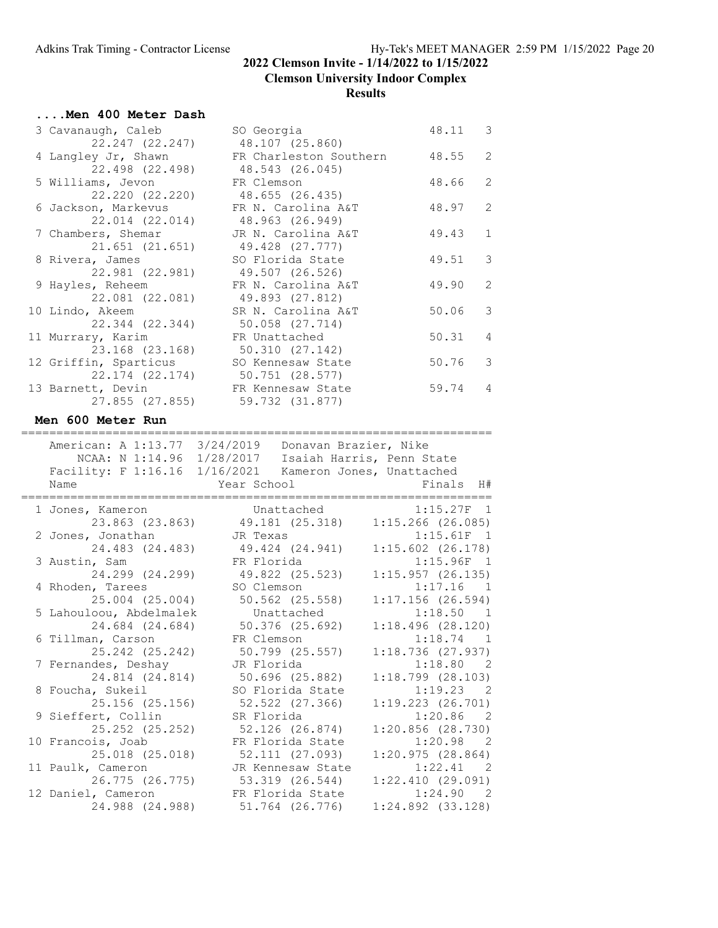## **2022 Clemson Invite - 1/14/2022 to 1/15/2022 Clemson University Indoor Complex**

| Men 400 Meter Dash                         |                                                                                                                |                                       |
|--------------------------------------------|----------------------------------------------------------------------------------------------------------------|---------------------------------------|
| 3 Cavanaugh, Caleb                         | SO Georgia                                                                                                     | 48.11<br>$\overline{\phantom{a}}$     |
| 22.247 (22.247)<br>4 Langley Jr, Shawn     | 48.107 (25.860)<br>FR Charleston Southern                                                                      | 2<br>48.55                            |
| 22.498 (22.498)<br>5 Williams, Jevon       | 48.543 (26.045)<br>FR Clemson                                                                                  | 2<br>48.66                            |
| 22.220 (22.220)<br>6 Jackson, Markevus     | 48.655 (26.435)<br>FR N. Carolina A&T                                                                          | 2<br>48.97                            |
| 22.014 (22.014)                            | 48.963 (26.949)                                                                                                |                                       |
| 7 Chambers, Shemar<br>21.651 (21.651)      | JR N. Carolina A&T<br>49.428 (27.777)                                                                          | 49.43<br>$\mathbf{1}$                 |
| 8 Rivera, James<br>22.981 (22.981)         | SO Florida State<br>49.507 (26.526)                                                                            | $\mathfrak{Z}$<br>49.51               |
| 9 Hayles, Reheem                           | FR N. Carolina A&T                                                                                             | 2<br>49.90                            |
| 22.081 (22.081)<br>10 Lindo, Akeem         | 49.893 (27.812)<br>SR N. Carolina A&T                                                                          | $\mathfrak{Z}$<br>50.06               |
| 22.344 (22.344)<br>11 Murrary, Karim       | 50.058 (27.714)<br>FR Unattached                                                                               | 50.31<br>4                            |
| 23.168 (23.168)                            | 50.310 (27.142)                                                                                                |                                       |
| 12 Griffin, Sparticus<br>22.174 (22.174)   | SO Kennesaw State<br>50.751 (28.577)                                                                           | 50.76<br>3                            |
| 13 Barnett, Devin<br>27.855 (27.855)       | FR Kennesaw State<br>59.732 (31.877)                                                                           | 59.74<br>4                            |
| Men 600 Meter Run                          |                                                                                                                |                                       |
| -------------------------------------      |                                                                                                                | =======================               |
|                                            | American: A 1:13.77 3/24/2019  Donavan Brazier, Nike                                                           |                                       |
|                                            | NCAA: N 1:14.96 1/28/2017 Isaiah Harris, Penn State<br>Facility: F 1:16.16 1/16/2021 Kameron Jones, Unattached |                                       |
|                                            |                                                                                                                |                                       |
|                                            |                                                                                                                |                                       |
| Name                                       | Year School                                                                                                    | Finals<br>H#                          |
| 1 Jones, Kameron                           | Unattached                                                                                                     | 1:15.27F<br>$\overline{1}$            |
| 23.863 (23.863)                            | 49.181 (25.318)                                                                                                | $1:15.266$ (26.085)                   |
| 2 Jones, Jonathan                          | JR Texas                                                                                                       | $1:15.61F$ 1                          |
| 24.483 (24.483)                            | 49.424 (24.941)                                                                                                | $1:15.602$ (26.178)                   |
| 3 Austin, Sam                              | FR Florida                                                                                                     | $1:15.96F$ 1                          |
| 24.299 (24.299)                            | 49.822 (25.523)                                                                                                | 1:15.957(26.135)                      |
| 4 Rhoden, Tarees                           | SO Clemson                                                                                                     | 1:17.16<br>$\overline{1}$             |
| 25.004 (25.004)                            | 50.562 (25.558)                                                                                                | $1:17.156$ (26.594)                   |
| 5 Lahouloou, Abdelmalek<br>24.684 (24.684) | Unattached                                                                                                     | 1:18.50 1<br>1:18.496(28.120)         |
|                                            | $50.376$ $(25.692)$                                                                                            | 1                                     |
| 6 Tillman, Carson<br>25.242 (25.242)       | FR Clemson<br>50.799 (25.557)                                                                                  | 1:18.74<br>1:18.736(27.937)           |
| 7 Fernandes, Deshay                        | JR Florida                                                                                                     | 1:18.80<br>- 2                        |
| 24.814 (24.814)                            | 50.696 (25.882)                                                                                                | $1:18.799$ $(28.103)$                 |
| 8 Foucha, Sukeil                           | SO Florida State                                                                                               | 1:19.23<br>- 2                        |
| 25.156 (25.156)                            | 52.522 (27.366)                                                                                                | $1:19.223$ $(26.701)$                 |
| 9 Sieffert, Collin                         | SR Florida                                                                                                     | 1:20.86<br>- 2                        |
| 25.252 (25.252)                            | $52.126$ $(26.874)$                                                                                            | $1:20.856$ (28.730)                   |
| 10 Francois, Joab                          | FR Florida State                                                                                               | 1:20.98<br>- 2                        |
| 25.018 (25.018)                            | 52.111 (27.093)                                                                                                | 1:20.975(28.864)                      |
| 11 Paulk, Cameron                          | JR Kennesaw State                                                                                              | 1:22.41<br>- 2                        |
| 26.775 (26.775)                            | 53.319 (26.544)                                                                                                | 1:22.410(29.091)                      |
| 12 Daniel, Cameron<br>24.988 (24.988)      | FR Florida State<br>51.764 (26.776)                                                                            | 1:24.90<br>- 2<br>$1:24.892$ (33.128) |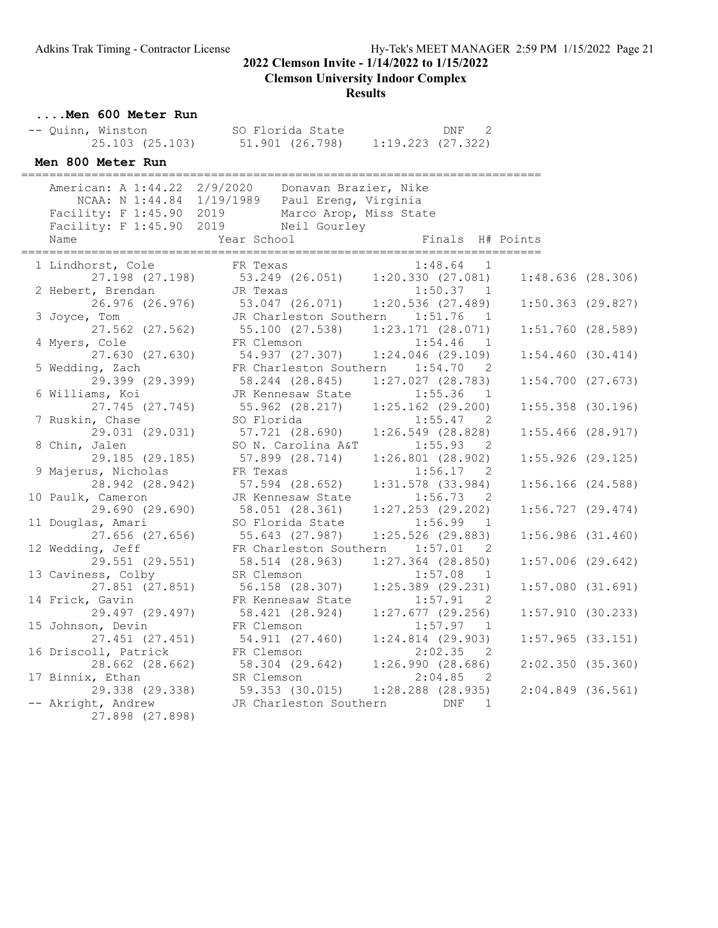**Clemson University Indoor Complex**

| Men 600 Meter Run                     |                                                    |                       |                       |  |
|---------------------------------------|----------------------------------------------------|-----------------------|-----------------------|--|
| -- Quinn, Winston                     | SO Florida State                                   | DNF <sub>2</sub>      |                       |  |
|                                       | 25.103 (25.103) 51.901 (26.798) 1:19.223 (27.322)  |                       |                       |  |
| Men 800 Meter Run                     |                                                    |                       |                       |  |
|                                       | American: A 1:44.22 2/9/2020 Donavan Brazier, Nike |                       |                       |  |
|                                       | NCAA: N 1:44.84 1/19/1989 Paul Ereng, Virginia     |                       |                       |  |
|                                       | Facility: F 1:45.90 2019 Marco Arop, Miss State    |                       |                       |  |
|                                       | Facility: F 1:45.90 2019 Neil Gourley              |                       |                       |  |
| Name                                  | Year School                                        | Finals H# Points      |                       |  |
| 1 Lindhorst, Cole                     | FR Texas                                           | $1:48.64$ 1           |                       |  |
|                                       | 27.198 (27.198) 53.249 (26.051) 1:20.330 (27.081)  |                       | 1:48.636(28.306)      |  |
| 2 Hebert, Brendan                     | JR Texas                                           | 1:50.37 1             |                       |  |
|                                       | 26.976 (26.976) 53.047 (26.071) 1:20.536 (27.489)  |                       | $1:50.363$ (29.827)   |  |
| 3 Joyce, Tom                          | JR Charleston Southern 1:51.76 1                   |                       |                       |  |
| $27.562$ $(27.562)$                   | 55.100 (27.538) 1:23.171 (28.071)                  | $1:54.46$ 1           | $1:51.760$ (28.589)   |  |
| 4 Myers, Cole<br>27.630 (27.630)      | FR Clemson<br>54.937 (27.307) 1:24.046 (29.109)    |                       | 1:54.460(30.414)      |  |
| 5 Wedding, Zach                       | FR Charleston Southern 1:54.70 2                   |                       |                       |  |
| 29.399 (29.399)                       | 58.244 (28.845) 1:27.027 (28.783)                  |                       | $1:54.700$ $(27.673)$ |  |
| 6 Williams, Koi                       | JR Kennesaw State                                  | $1:55.36$ 1           |                       |  |
| 27.745 (27.745)                       | 55.962 (28.217) 1:25.162 (29.200)                  |                       | $1:55.358$ (30.196)   |  |
| 7 Ruskin, Chase                       | SO Florida                                         | 1:55.47 2             |                       |  |
| 29.031 (29.031)                       | 57.721 (28.690) 1:26.549 (28.828)                  |                       | $1:55.466$ (28.917)   |  |
| 8 Chin, Jalen                         | SO N. Carolina A&T                                 | 1:55.93 2             |                       |  |
| 29.185 (29.185)                       | 57.899 (28.714)                                    | $1:26.801$ (28.902)   | $1:55.926$ (29.125)   |  |
| 9 Majerus, Nicholas                   | FR Texas                                           | 1:56.17 2             |                       |  |
| 28.942 (28.942)                       | 57.594 (28.652)                                    | $1:31.578$ (33.984)   | $1:56.166$ (24.588)   |  |
| 10 Paulk, Cameron                     | JR Kennesaw State                                  | $1:56.73$ 2           |                       |  |
| 29.690 (29.690)                       | 58.051 (28.361)                                    | $1:27.253$ (29.202)   | $1:56.727$ (29.474)   |  |
| 11 Douglas, Amari                     | SO Florida State                                   | $1:56.99$ 1           |                       |  |
| $27.656$ $(27.656)$                   | 55.643 (27.987)                                    | $1:25.526$ (29.883)   | $1:56.986$ (31.460)   |  |
| 12 Wedding, Jeff                      | FR Charleston Southern 1:57.01 2                   |                       |                       |  |
| 29.551 (29.551)                       | 58.514 (28.963) 1:27.364 (28.850)                  |                       | $1:57.006$ (29.642)   |  |
| 13 Caviness, Colby                    | SR Clemson<br>56.158 (28.307) 1:25.389 (29.231)    | $1:57.08$ 1           |                       |  |
| 27.851 (27.851)<br>14 Frick, Gavin    | FR Kennesaw State                                  | 1:57.91<br>2          | 1:57.080(31.691)      |  |
| 29.497 (29.497)                       | 58.421 (28.924) 1:27.677 (29.256)                  |                       | 1:57.910(30.233)      |  |
| 15 Johnson, Devin                     | FR Clemson                                         | 1:57.97<br>1          |                       |  |
| 27.451 (27.451)                       | 54.911 (27.460)                                    | $1:24.814$ (29.903)   | $1:57.965$ (33.151)   |  |
| 16 Driscoll, Patrick                  | FR Clemson                                         | 2:02.35<br>- 2        |                       |  |
| 28.662 (28.662)                       | 58.304 (29.642)                                    | 1:26.990(28.686)      | 2:02.350(35.360)      |  |
| 17 Binnix, Ethan                      | SR Clemson                                         | 2:04.85<br>2          |                       |  |
| 29.338 (29.338)                       | 59.353 (30.015)                                    | $1:28.288$ $(28.935)$ | $2:04.849$ (36.561)   |  |
| -- Akright, Andrew<br>27.898 (27.898) | JR Charleston Southern                             | DNF<br>1              |                       |  |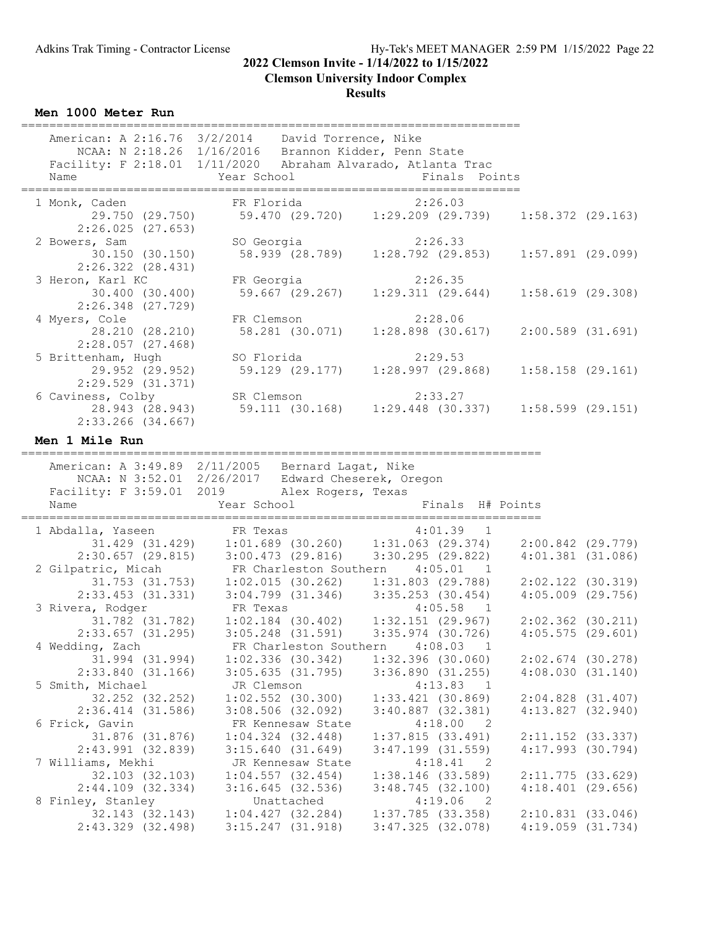#### **Clemson University Indoor Complex**

#### **Results**

**Men 1000 Meter Run**

| Name<br>======================                              | American: A 2:16.76 3/2/2014  David Torrence, Nike<br>NCAA: N 2:18.26 1/16/2016 Brannon Kidder, Penn State<br>Facility: F 2:18.01 1/11/2020 Abraham Alvarado, Atlanta Trac<br>Year School                        | Finals Points                                                                      |                                              |  |
|-------------------------------------------------------------|------------------------------------------------------------------------------------------------------------------------------------------------------------------------------------------------------------------|------------------------------------------------------------------------------------|----------------------------------------------|--|
| 1 Monk, Caden<br>29.750 (29.750)<br>2:26.025(27.653)        | FR Florida                                                                                                                                                                                                       | 2:26.03<br>59.470 (29.720) 1:29.209 (29.739) 1:58.372 (29.163)                     |                                              |  |
| 2 Bowers, Sam<br>30.150(30.150)<br>$2:26.322$ $(28.431)$    | SO Georgia<br>58.939 (28.789)                                                                                                                                                                                    | 2:26.33<br>$1:28.792$ (29.853)                                                     | $1:57.891$ (29.099)                          |  |
| 3 Heron, Karl KC<br>30.400 (30.400)<br>2:26.348 (27.729)    | FR Georgia<br>59.667 (29.267)                                                                                                                                                                                    | 2:26.35<br>1:29.311(29.644)                                                        | 1:58.619(29.308)                             |  |
| 4 Myers, Cole<br>28.210 (28.210)<br>$2:28.057$ (27.468)     | FR Clemson<br>58.281 (30.071)                                                                                                                                                                                    | 2:28.06<br>$1:28.898$ (30.617)                                                     | $2:00.589$ $(31.691)$                        |  |
| 5 Brittenham, Hugh<br>29.952 (29.952)<br>2:29.529 (31.371)  | SO Florida<br>59.129 (29.177)                                                                                                                                                                                    | 2:29.53<br>1:28.997(29.868)                                                        | $1:58.158$ (29.161)                          |  |
| 6 Caviness, Colby<br>28.943 (28.943)<br>$2:33.266$ (34.667) | SR Clemson<br>59.111 (30.168)                                                                                                                                                                                    | 2:33.27<br>$1:29.448$ (30.337)                                                     | $1:58.599$ (29.151)                          |  |
| Men 1 Mile Run<br>==========================                |                                                                                                                                                                                                                  |                                                                                    |                                              |  |
|                                                             | American: A 3:49.89 2/11/2005 Bernard Lagat, Nike<br>NCAA: N 3:52.01 2/26/2017 Edward Cheserek, Oregon                                                                                                           |                                                                                    |                                              |  |
| Name                                                        | Facility: F 3:59.01 2019 Alex Rogers, Texas<br>Year School                                                                                                                                                       | Finals H# Points                                                                   |                                              |  |
| ===============<br>1 Abdalla, Yaseen                        | FR Texas                                                                                                                                                                                                         | 4:01.39<br>$\overline{1}$                                                          | 2:00.842 (29.779)                            |  |
| 2:30.657(29.815)<br>2 Gilpatric, Micah                      | 31.429 (31.429) $1:01.689$ (30.260) $1:31.063$ (29.374)<br>:30.657 (29.815) 3:00.473 (29.816) 3:30.295 (29.822)<br>FR Charleston Southern 4:05.01 1<br>$31.753$ (31.753) $1:02.015$ (30.262) $1:31.803$ (29.788) |                                                                                    | $4:01.381$ $(31.086)$<br>2:02.122 (30.319)   |  |
| 3 Rivera, Rodger<br>31.782 (31.782)                         | $2:33.453$ (31.331) 3:04.799 (31.346) 3:35.253 (30.454)<br>FR Texas                                                                                                                                              | 4:05.58<br>$\overline{1}$                                                          | $4:05.009$ $(29.756)$<br>$2:02.362$ (30.211) |  |
| $2:33.657$ (31.295)<br>4 Wedding, Zach<br>31.994 (31.994)   | FR Charleston Southern 4:08.03 1<br>$1:02.336$ (30.342) $1:32.396$ (30.060)                                                                                                                                      |                                                                                    | 4:05.575(29.601)<br>$2:02.674$ (30.278)      |  |
| 2:33.840(31.166)<br>5 Smith, Michael                        | $3:05.635$ (31.795) $3:36.890$ (31.255)<br>JR Clemson                                                                                                                                                            | 4:13.83<br>$\overline{1}$                                                          | 4:08.030(31.140)                             |  |
| 32.252 (32.252)<br>$2:36.414$ $(31.586)$<br>6 Frick, Gavin  | $1:02.552$ (30.300)<br>$3:08.506$ (32.092)<br>FR Kennesaw State                                                                                                                                                  | $1:33.421$ (30.869)<br>$3:40.887$ (32.381)<br>4:18.00 2                            | $2:04.828$ (31.407)<br>4:13.827(32.940)      |  |
| 31.876 (31.876)<br>$2:43.991$ (32.839)<br>7 Williams, Mekhi | $1:04.324$ $(32.448)$<br>3:15.640(31.649)<br>JR Kennesaw State                                                                                                                                                   | 1:37.815(33.491)<br>$3:47.199$ $(31.559)$<br>4:18.41<br>$\overline{\phantom{0}}^2$ | $2:11.152$ (33.337)<br>$4:17.993$ $(30.794)$ |  |
| 32.103 (32.103)<br>$2:44.109$ (32.334)<br>8 Finley, Stanley | 1:04.557(32.454)<br>3:16.645(32.536)<br>Unattached                                                                                                                                                               | $1:38.146$ (33.589)<br>3:48.745(32.100)<br>4:19.06<br>$\overline{\phantom{0}}^2$   | 2:11.775(33.629)<br>4:18.401(29.656)         |  |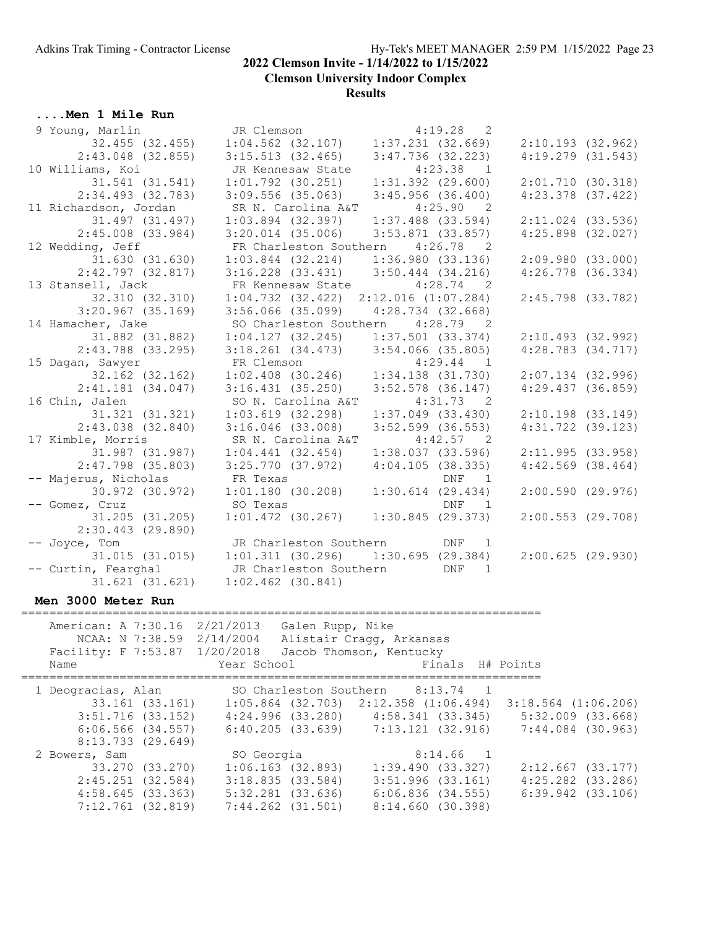**Clemson University Indoor Complex**

#### **Results**

#### **....Men 1 Mile Run**

| 9 Young, Marlin       | JR Clemson                                    | 4:19.28<br>$\overline{2}$               |                       |
|-----------------------|-----------------------------------------------|-----------------------------------------|-----------------------|
| 32.455 (32.455)       |                                               | $1:04.562$ (32.107) $1:37.231$ (32.669) | $2:10.193$ (32.962)   |
| $2:43.048$ (32.855)   | 3:15.513(32.465)                              | $3:47.736$ (32.223)                     | $4:19.279$ $(31.543)$ |
| 10 Williams, Koi      | JR Kennesaw State                             | $4:23.38$ 1                             |                       |
| 31.541 (31.541)       | $1:01.792$ (30.251)                           | $1:31.392$ $(29.600)$                   | 2:01.710(30.318)      |
| $2:34.493$ (32.783)   | $3:09.556$ (35.063)                           | 3:45.956(36.400)                        | $4:23.378$ $(37.422)$ |
| 11 Richardson, Jordan | SR N. Carolina A&T                            | $4:25.90$ 2                             |                       |
| 31.497 (31.497)       | $1:03.894$ (32.397)                           | $1:37.488$ (33.594)                     | $2:11.024$ (33.536)   |
| $2:45.008$ (33.984)   | $3:20.014$ $(35.006)$                         | $3:53.871$ (33.857)                     | $4:25.898$ $(32.027)$ |
| 12 Wedding, Jeff      | FR Charleston Southern 4:26.78 2              |                                         |                       |
| 31.630 (31.630)       | $1:03.844$ (32.214) $1:36.980$ (33.136)       |                                         | 2:09.980(33.000)      |
| $2:42.797$ (32.817)   | $3:16.228$ $(33.431)$ $3:50.444$ $(34.216)$   |                                         | $4:26.778$ $(36.334)$ |
| 13 Stansell, Jack     | FR Kennesaw State                             | $4:28.74$ 2                             |                       |
| 32.310 (32.310)       | $1:04.732$ $(32.422)$ $2:12.016$ $(1:07.284)$ |                                         | $2:45.798$ (33.782)   |
| $3:20.967$ (35.169)   | $3:56.066$ (35.099) $4:28.734$ (32.668)       |                                         |                       |
| 14 Hamacher, Jake     |                                               | SO Charleston Southern 4:28.79 2        |                       |
| 31.882 (31.882)       | $1:04.127$ (32.245) $1:37.501$ (33.374)       |                                         | $2:10.493$ (32.992)   |
| $2:43.788$ (33.295)   | $3:18.261$ (34.473) $3:54.066$ (35.805)       |                                         | $4:28.783$ $(34.717)$ |
| 15 Dagan, Sawyer      | FR Clemson                                    | $4:29.44$ 1                             |                       |
| 32.162 (32.162)       | $1:02.408$ (30.246) $1:34.138$ (31.730)       |                                         | $2:07.134$ (32.996)   |
| $2:41.181$ (34.047)   | $3:16.431$ (35.250)                           | $3:52.578$ (36.147)                     | $4:29.437$ $(36.859)$ |
| 16 Chin, Jalen        | SO N. Carolina A&T                            | $4:31.73$ 2                             |                       |
| 31.321 (31.321)       | $1:03.619$ $(32.298)$                         | $1:37.049$ $(33.430)$                   | $2:10.198$ (33.149)   |
| $2:43.038$ $(32.840)$ | $3:16.046$ (33.008)                           | $3:52.599$ (36.553)                     | $4:31.722$ (39.123)   |
| 17 Kimble, Morris     | SR N. Carolina A&T                            | $4:42.57$ 2                             |                       |
| 31.987 (31.987)       | 1:04.441(32.454)                              | 1:38.037(33.596)                        | 2:11.995(33.958)      |
| $2:47.798$ (35.803)   | 3:25.770(37.972)                              | 4:04.105(38.335)                        | $4:42.569$ $(38.464)$ |
| -- Majerus, Nicholas  | FR Texas                                      | DNF<br>$\overline{1}$                   |                       |
| 30.972 (30.972)       | 1:01.180(30.208)                              | $1:30.614$ $(29.434)$                   | 2:00.590(29.976)      |
| -- Gomez, Cruz        | SO Texas                                      | DNF 1                                   |                       |
| 31.205 (31.205)       | $1:01.472$ (30.267)                           | 1:30.845(29.373)                        | $2:00.553$ (29.708)   |
| $2:30.443$ (29.890)   |                                               |                                         |                       |
| -- Joyce, Tom         | JR Charleston Southern                        | DNF 1                                   |                       |
| $31.015$ $(31.015)$   |                                               | $1:01.311$ (30.296) $1:30.695$ (29.384) | 2:00.625(29.930)      |
| -- Curtin, Fearghal   | JR Charleston Southern                        | <b>DNF</b><br>1                         |                       |
| $31.621$ $(31.621)$   | $1:02.462$ $(30.841)$                         |                                         |                       |

#### **Men 3000 Meter Run**

========================================================================== American: A 7:30.16 2/21/2013 Galen Rupp, Nike NCAA: N 7:38.59 2/14/2004 Alistair Cragg, Arkansas Facility: F 7:53.87 1/20/2018 Jacob Thomson, Kentucky Name The Year School Team Points H# Points ========================================================================== 1 Deogracias, Alan SO Charleston Southern 8:13.74 1 33.161 (33.161) 1:05.864 (32.703) 2:12.358 (1:06.494) 3:18.564 (1:06.206) 3:51.716 (33.152) 4:24.996 (33.280) 4:58.341 (33.345) 5:32.009 (33.668) 6:06.566 (34.557) 6:40.205 (33.639) 7:13.121 (32.916) 7:44.084 (30.963) 8:13.733 (29.649) 2 Bowers, Sam SO Georgia 8:14.66 1 33.270 (33.270) 1:06.163 (32.893) 1:39.490 (33.327) 2:12.667 (33.177) 2:45.251 (32.584) 3:18.835 (33.584) 3:51.996 (33.161) 4:25.282 (33.286) 4:58.645 (33.363) 5:32.281 (33.636) 6:06.836 (34.555) 6:39.942 (33.106) 7:12.761 (32.819) 7:44.262 (31.501) 8:14.660 (30.398)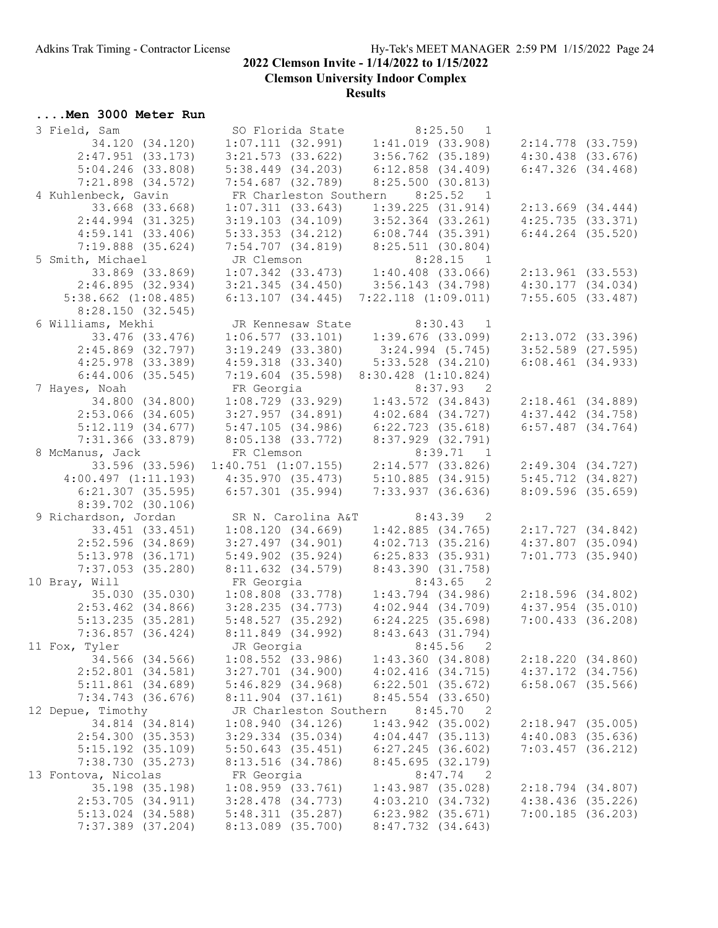**Clemson University Indoor Complex**

#### **Results**

## **....Men 3000 Meter Run**

| 3 Field, Sam            |                        | SO Florida State 8:25.50 1<br>1:07.111 (32.991) 1:41.019 (33.908) |                       |
|-------------------------|------------------------|-------------------------------------------------------------------|-----------------------|
| 34.120 (34.120)         |                        |                                                                   | $2:14.778$ (33.759)   |
| $2:47.951$ (33.173)     |                        | $3:21.573$ (33.622) $3:56.762$ (35.189)                           | $4:30.438$ $(33.676)$ |
| $5:04.246$ (33.808)     | $5:38.449$ $(34.203)$  | $6:12.858$ $(34.409)$                                             | 6:47.326(34.468)      |
| $7:21.898$ $(34.572)$   | 7:54.687 (32.789)      | 8:25.500(30.813)                                                  |                       |
| 4 Kuhlenbeck, Gavin     | FR Charleston Southern | 8:25.52 1                                                         |                       |
| 33.668 (33.668)         | 1:07.311(33.643)       | 1:39.225(31.914)                                                  | $2:13.669$ $(34.444)$ |
| $2:44.994$ (31.325)     | $3:19.103$ $(34.109)$  | $3:52.364$ (33.261)                                               | 4:25.735(33.371)      |
| 4:59.141(33.406)        | $5:33.353$ $(34.212)$  | 6:08.744 (35.391)                                                 | $6:44.264$ $(35.520)$ |
| $7:19.888$ $(35.624)$   |                        | 7:54.707 (34.819) 8:25.511 (30.804)                               |                       |
| 5 Smith, Michael        | JR Clemson             |                                                                   |                       |
| 33.869 (33.869)         |                        | JR Clemson 8:28.15 1<br>1:07.342 (33.473) 1:40.408 (33.066)       | $2:13.961$ (33.553)   |
| 2:46.895(32.934)        |                        |                                                                   | 4:30.177(34.034)      |
|                         |                        | $3:21.345$ (34.450) $3:56.143$ (34.798)                           |                       |
| $5:38.662$ $(1:08.485)$ | 6:13.107(34.445)       | $7:22.118$ $(1:09.011)$                                           | 7:55.605(33.487)      |
| 8:28.150(32.545)        |                        |                                                                   |                       |
| 6 Williams, Mekhi       | JR Kennesaw State      | $8:30.43$ 1                                                       |                       |
| 33.476 (33.476)         | 1:06.577(33.101)       | $1:39.676$ (33.099)                                               | 2:13.072 (33.396)     |
| $2:45.869$ (32.797)     | $3:19.249$ $(33.380)$  | 3:24.994(5.745)                                                   | $3:52.589$ (27.595)   |
| $4:25.978$ $(33.389)$   | $4:59.318$ $(33.340)$  | $5:33.528$ $(34.210)$                                             | 6:08.461(34.933)      |
| $6:44.006$ $(35.545)$   | $7:19.604$ (35.598)    | $8:30.428$ $(1:10.824)$                                           |                       |
| 7 Hayes, Noah           | FR Georgia             | $8:37.93$ 2                                                       |                       |
| 34.800 (34.800)         | $1:08.729$ $(33.929)$  | $1:43.572$ $(34.843)$                                             | 2:18.461 (34.889)     |
| $2:53.066$ (34.605)     | 3:27.957(34.891)       | $4:02.684$ $(34.727)$                                             | $4:37.442$ $(34.758)$ |
| 5:12.119(34.677)        | 5:47.105(34.986)       | $6:22.723$ $(35.618)$                                             | $6:57.487$ $(34.764)$ |
| $7:31.366$ (33.879)     | 8:05.138 (33.772)      | 8:37.929 (32.791)                                                 |                       |
| 8 McManus, Jack         | FR Clemson             | $8:39.71$ 1                                                       |                       |
| 33.596 (33.596)         |                        | $1:40.751$ $(1:07.155)$ $2:14.577$ $(33.826)$                     | 2:49.304 (34.727)     |
| 4:00.497(1:11.193)      | 4:35.970(35.473)       | 5:10.885(34.915)                                                  | $5:45.712$ $(34.827)$ |
| $6:21.307$ $(35.595)$   | $6:57.301$ (35.994)    | 7:33.937(36.636)                                                  | 8:09.596 (35.659)     |
| $8:39.702$ (30.106)     |                        |                                                                   |                       |
| 9 Richardson, Jordan    | SR N. Carolina A&T     | $8:43.39$ 2                                                       |                       |
| 33.451 (33.451)         | 1:08.120(34.669)       | 1:42.885(34.765)                                                  | 2:17.727(34.842)      |
| $2:52.596$ $(34.869)$   | $3:27.497$ $(34.901)$  | 4:02.713(35.216)                                                  | $4:37.807$ (35.094)   |
| $5:13.978$ (36.171)     | $5:49.902$ $(35.924)$  | 6:25.833(35.931)                                                  | $7:01.773$ $(35.940)$ |
| $7:37.053$ (35.280)     | 8:11.632(34.579)       | 8:43.390 (31.758)                                                 |                       |
| 10 Bray, Will           | FR Georgia             | $8:43.65$ 2                                                       |                       |
| 35.030 (35.030)         | $1:08.808$ (33.778)    | $1:43.794$ $(34.986)$                                             | 2:18.596(34.802)      |
| $2:53.462$ $(34.866)$   | 3:28.235(34.773)       | $4:02.944$ $(34.709)$                                             | $4:37.954$ (35.010)   |
| 5:13.235(35.281)        | 5:48.527(35.292)       | $6:24.225$ (35.698)                                               | 7:00.433(36.208)      |
| $7:36.857$ (36.424)     | 8:11.849 (34.992)      | 8:43.643(31.794)                                                  |                       |
| 11 Fox, Tyler           | JR Georgia             | 8:45.56                                                           |                       |
| 34.566 (34.566)         | $1:08.552$ (33.986)    | 1:43.360(34.808)                                                  | 2:18.220(34.860)      |
| $2:52.801$ (34.581)     | $3:27.701$ $(34.900)$  | 4:02.416(34.715)                                                  | $4:37.172$ $(34.756)$ |
| $5:11.861$ (34.689)     | 5:46.829(34.968)       | $6:22.501$ $(35.672)$                                             | $6:58.067$ $(35.566)$ |
| $7:34.743$ (36.676)     | $8:11.904$ (37.161)    | $8:45.554$ (33.650)                                               |                       |
| 12 Depue, Timothy       | JR Charleston Southern | 8:45.70<br>$\overline{\phantom{0}}^2$                             |                       |
| 34.814 (34.814)         | 1:08.940(34.126)       | $1:43.942$ (35.002)                                               | 2:18.947(35.005)      |
| 2:54.300(35.353)        | $3:29.334$ (35.034)    | $4:04.447$ $(35.113)$                                             | $4:40.083$ $(35.636)$ |
| $5:15.192$ (35.109)     | $5:50.643$ (35.451)    | $6:27.245$ (36.602)                                               | $7:03.457$ (36.212)   |
| 7:38.730 (35.273)       | 8:13.516(34.786)       | 8:45.695(32.179)                                                  |                       |
| 13 Fontova, Nicolas     | FR Georgia             | 8:47.74<br>$\overline{\phantom{0}}^2$                             |                       |
| 35.198 (35.198)         | $1:08.959$ $(33.761)$  | $1:43.987$ (35.028)                                               | $2:18.794$ (34.807)   |
| 2:53.705 (34.911)       | $3:28.478$ $(34.773)$  | 4:03.210(34.732)                                                  | $4:38.436$ (35.226)   |
| $5:13.024$ $(34.588)$   | 5:48.311(35.287)       | $6:23.982$ $(35.671)$                                             | 7:00.185(36.203)      |
| $7:37.389$ (37.204)     | 8:13.089 (35.700)      | 8:47.732 (34.643)                                                 |                       |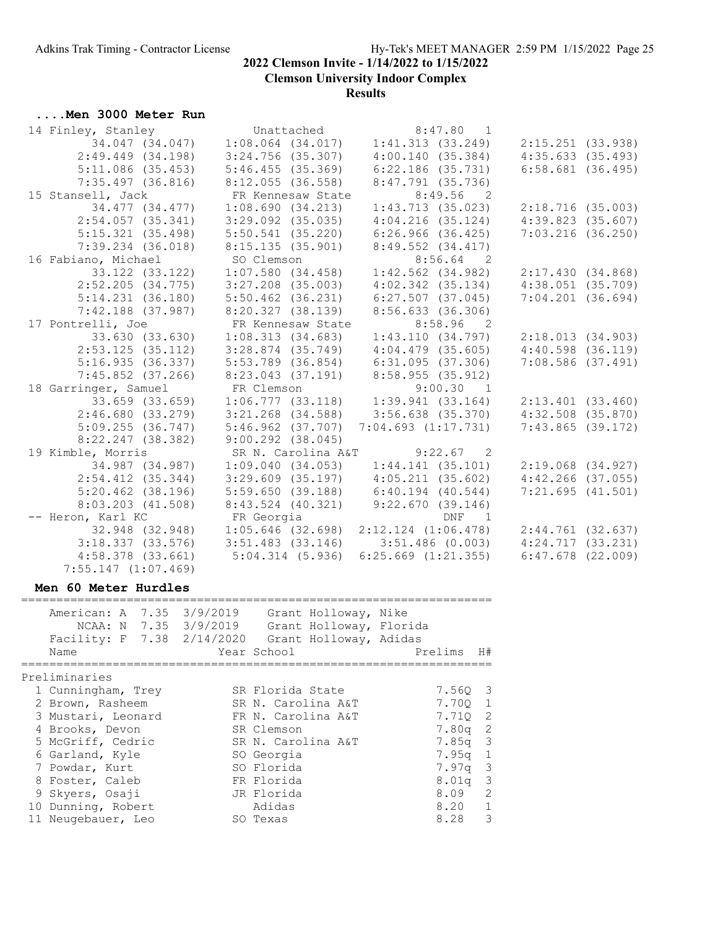**Clemson University Indoor Complex**

#### **Results**

## **....Men 3000 Meter Run**

| 14 Finley, Stanley                                    |                     | Unattached            | $8:47.80$ 1             |                 |                       |  |
|-------------------------------------------------------|---------------------|-----------------------|-------------------------|-----------------|-----------------------|--|
| 34.047 (34.047)                                       |                     | $1:08.064$ $(34.017)$ | 1:41.313(33.249)        |                 | $2:15.251$ (33.938)   |  |
| $2:49.449$ $(34.198)$                                 |                     | $3:24.756$ (35.307)   | 4:00.140(35.384)        |                 | 4:35.633(35.493)      |  |
| $5:11.086$ (35.453)                                   | 5:46.455(35.369)    |                       | $6:22.186$ $(35.731)$   |                 | $6:58.681$ (36.495)   |  |
| $7:35.497$ (36.816)                                   | $8:12.055$ (36.558) |                       | $8:47.791$ (35.736)     |                 |                       |  |
| 15 Stansell, Jack                                     |                     | FR Kennesaw State     |                         | $8:49.56$ 2     |                       |  |
| 34.477 (34.477)                                       |                     | 1:08.690(34.213)      | 1:43.713(35.023)        |                 | 2:18.716(35.003)      |  |
| $2:54.057$ (35.341)                                   |                     | $3:29.092$ $(35.035)$ | $4:04.216$ (35.124)     |                 | 4:39.823(35.607)      |  |
| 5:15.321(35.498)                                      |                     | $5:50.541$ (35.220)   | $6:26.966$ $(36.425)$   |                 | $7:03.216$ (36.250)   |  |
| $7:39.234$ $(36.018)$                                 |                     | 8:15.135(35.901)      | $8:49.552$ $(34.417)$   |                 |                       |  |
| 16 Fabiano, Michael                                   | SO Clemson          |                       |                         | $8:56.64$ 2     |                       |  |
| 33.122 (33.122)                                       |                     | 1:07.580(34.458)      | $1:42.562$ $(34.982)$   |                 | 2:17.430(34.868)      |  |
| $2:52.205$ (34.775)                                   |                     | $3:27.208$ $(35.003)$ | $4:02.342$ $(35.134)$   |                 | $4:38.051$ $(35.709)$ |  |
| 5:14.231(36.180)                                      |                     | $5:50.462$ $(36.231)$ | $6:27.507$ $(37.045)$   |                 | $7:04.201$ $(36.694)$ |  |
| $7:42.188$ (37.987)                                   |                     | 8:20.327(38.139)      | $8:56.633$ (36.306)     |                 |                       |  |
| 17 Pontrelli, Joe                                     |                     | FR Kennesaw State     | $8:58.96$ 2             |                 |                       |  |
| 33.630 (33.630)                                       |                     | 1:08.313(34.683)      | 1:43.110(34.797)        |                 | 2:18.013(34.903)      |  |
| $2:53.125$ (35.112)                                   | 3:28.874 (35.749)   |                       | $4:04.479$ $(35.605)$   |                 | $4:40.598$ $(36.119)$ |  |
| 5:16.935(36.337)                                      | 5:53.789 (36.854)   |                       | 6:31.095(37.306)        |                 | $7:08.586$ $(37.491)$ |  |
| $7:45.852$ (37.266)                                   | 8:23.043 (37.191)   |                       | 8:58.955 (35.912)       |                 |                       |  |
| 18 Garringer, Samuel                                  |                     | FR Clemson            | $9:00.30$ 1             |                 |                       |  |
| 33.659 (33.659)                                       |                     | 1:06.777(33.118)      | $1:39.941$ (33.164)     |                 | $2:13.401$ (33.460)   |  |
| 2:46.680(33.279)                                      |                     | $3:21.268$ $(34.588)$ | $3:56.638$ (35.370)     |                 | $4:32.508$ $(35.870)$ |  |
| $5:09.255$ $(36.747)$                                 |                     | $5:46.962$ $(37.707)$ | $7:04.693$ $(1:17.731)$ |                 | $7:43.865$ (39.172)   |  |
| $8:22.247$ (38.382)                                   |                     | $9:00.292$ $(38.045)$ |                         |                 |                       |  |
| 19 Kimble, Morris                                     |                     | SR N. Carolina A&T    | $9:22.67$ 2             |                 |                       |  |
| 34.987 (34.987)                                       |                     | 1:09.040(34.053)      | 1:44.141(35.101)        |                 | $2:19.068$ $(34.927)$ |  |
| $2:54.412$ (35.344)                                   |                     | $3:29.609$ (35.197)   | $4:05.211$ $(35.602)$   |                 | $4:42.266$ (37.055)   |  |
| $5:20.462$ (38.196)                                   |                     | 5:59.650(39.188)      | $6:40.194$ $(40.544)$   |                 | 7:21.695(41.501)      |  |
| $8:03.203$ $(41.508)$                                 |                     | $8:43.524$ (40.321)   | 9:22.670(39.146)        |                 |                       |  |
| -- Heron, Karl KC                                     | FR Georgia          |                       |                         | DNF<br>$\sim$ 1 |                       |  |
| 32.948 (32.948) 1:05.646 (32.698) 2:12.124 (1:06.478) |                     |                       |                         |                 | 2:44.761(32.637)      |  |
| 3:18.337(33.576)                                      | $3:51.483$ (33.146) |                       | $3:51.486$ (0.003)      |                 | 4:24.717(33.231)      |  |
| 4:58.378 (33.661)                                     | 5:04.314(5.936)     |                       | $6:25.669$ $(1:21.355)$ |                 | $6:47.678$ $(22.009)$ |  |
| $7:55.147$ $(1:07.469)$                               |                     |                       |                         |                 |                       |  |

## **Men 60 Meter Hurdles**

| American: A 7.35 3/9/2019<br>NCAA: N 7.35 3/9/2019<br>Facility: F 7.38 2/14/2020 Grant Holloway, Adidas<br>Name | Grant Holloway, Nike<br>Grant Holloway, Florida<br>Year School | Prelims   | H#            |
|-----------------------------------------------------------------------------------------------------------------|----------------------------------------------------------------|-----------|---------------|
| Preliminaries                                                                                                   |                                                                |           |               |
| 1 Cunningham, Trey                                                                                              | SR Florida State                                               | 7.560 3   |               |
| 2 Brown, Rasheem                                                                                                | SR N. Carolina A&T                                             | 7.700 1   |               |
| 3 Mustari, Leonard                                                                                              | FR N. Carolina A&T                                             | 7.710 2   |               |
| 4 Brooks, Devon                                                                                                 | SR Clemson                                                     | $7.80q$ 2 |               |
| 5 McGriff, Cedric                                                                                               | SR N. Carolina A&T                                             | $7.85q$ 3 |               |
| 6 Garland, Kyle                                                                                                 | SO Georgia                                                     | 7.95q 1   |               |
| 7 Powdar, Kurt                                                                                                  | SO Florida                                                     | 7.97q 3   |               |
| 8 Foster, Caleb                                                                                                 | FR Florida                                                     | $8.01q$ 3 |               |
| 9 Skyers, Osaji                                                                                                 | JR Florida                                                     | 8.09      | $\mathcal{L}$ |
| 10 Dunning, Robert                                                                                              | Adidas                                                         | 8.20      | 1             |
| 11 Neugebauer, Leo                                                                                              | SO Texas                                                       | 8.28      | 3             |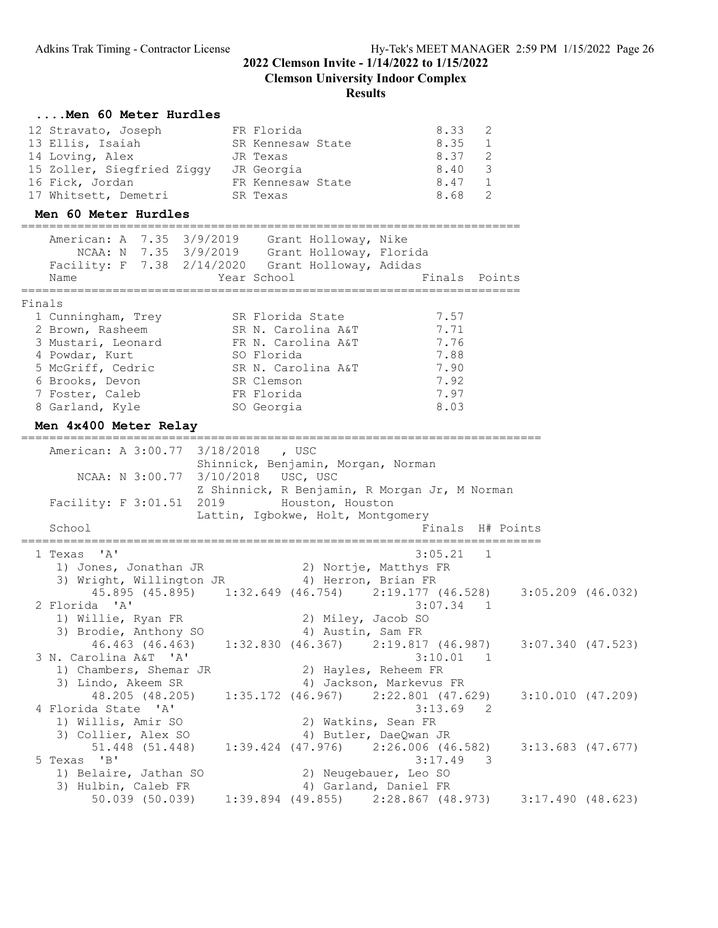## **2022 Clemson Invite - 1/14/2022 to 1/15/2022 Clemson University Indoor Complex**

#### **Results**

#### **....Men 60 Meter Hurdles**

| 12 Stravato, Joseph        | FR Florida        | 8.33 |                |
|----------------------------|-------------------|------|----------------|
| 13 Ellis, Isaiah           | SR Kennesaw State | 8.35 |                |
| 14 Loving, Alex            | JR Texas          | 8.37 | $\overline{2}$ |
| 15 Zoller, Siegfried Ziggy | JR Georgia        | 8.40 | - 3            |
| 16 Fick, Jordan            | FR Kennesaw State | 8.47 |                |
| 17 Whitsett, Demetri       | SR Texas          | 8.68 |                |

#### **Men 60 Meter Hurdles**

|        | American: A 7.35 3/9/2019<br>NCAA: N 7.35 3/9/2019<br>Facility: F 7.38 2/14/2020<br>Name | Grant Holloway, Nike<br>Grant Holloway, Florida<br>Grant Holloway, Adidas<br>Year School | Finals Points |
|--------|------------------------------------------------------------------------------------------|------------------------------------------------------------------------------------------|---------------|
| Finals |                                                                                          |                                                                                          |               |
|        | 1 Cunningham, Trey                                                                       | SR Florida State                                                                         | 7.57          |
|        | 2 Brown, Rasheem                                                                         | SR N. Carolina A&T                                                                       | 7.71          |
|        | 3 Mustari, Leonard                                                                       | FR N. Carolina A&T                                                                       | 7.76          |
|        | 4 Powdar, Kurt                                                                           | SO Florida                                                                               | 7.88          |
|        | 5 McGriff, Cedric                                                                        | SR N. Carolina A&T                                                                       | 7.90          |
|        | 6 Brooks, Devon                                                                          | SR Clemson                                                                               | 7.92          |
|        | 7 Foster, Caleb                                                                          | FR Florida                                                                               | 7.97          |
|        | 8 Garland, Kyle                                                                          | SO Georgia                                                                               | 8.03          |

#### **Men 4x400 Meter Relay**

========================================================================== American: A 3:00.77 3/18/2018 , USC Shinnick, Benjamin, Morgan, Norman NCAA: N 3:00.77 3/10/2018 USC, USC Z Shinnick, R Benjamin, R Morgan Jr, M Norman Facility: F 3:01.51 2019 Houston, Houston Lattin, Igbokwe, Holt, Montgomery School **Finals** H# Points ========================================================================== 1 Texas 'A' 3:05.21 1 1) Jones, Jonathan JR 2) Nortje, Matthys FR 3) Wright, Willington JR (4) Herron, Brian FR 45.895 (45.895) 1:32.649 (46.754) 2:19.177 (46.528) 3:05.209 (46.032)<br>2 Florida 'A' 3:07.34 1 2 Florida 'A' 3:07.34 1 1) Willie, Ryan FR 2) Miley, Jacob SO 3) Brodie, Anthony SO 4) Austin, Sam FR 46.463 (46.463) 1:32.830 (46.367) 2:19.817 (46.987) 3:07.340 (47.523) 3 N. Carolina A&T 'A' 3:10.01 1 1) Chambers, Shemar JR 2) Hayles, Reheem FR 3) Lindo, Akeem SR 4) Jackson, Markevus FR 48.205 (48.205) 1:35.172 (46.967) 2:22.801 (47.629) 3:10.010 (47.209) 4 Florida State 'A' 3:13.69 2 1) Willis, Amir SO 2) Watkins, Sean FR 3) Collier, Alex SO 4) Butler, DaeQwan JR 51.448 (51.448) 1:39.424 (47.976) 2:26.006 (46.582) 3:13.683 (47.677) 5 Texas 'B' 3:17.49 3 1) Belaire, Jathan SO 2) Neugebauer, Leo SO 3) Hulbin, Caleb FR 4) Garland, Daniel FR 50.039 (50.039) 1:39.894 (49.855) 2:28.867 (48.973) 3:17.490 (48.623)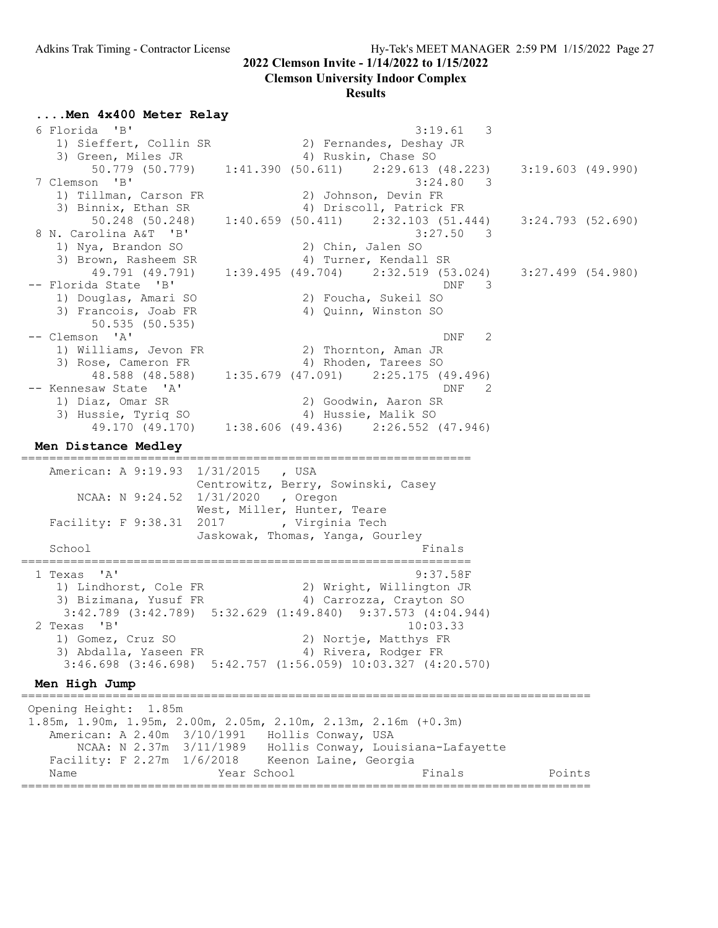#### **Clemson University Indoor Complex**

|  |  |  |  |  | Men 4x400 Meter Relay |  |
|--|--|--|--|--|-----------------------|--|
|--|--|--|--|--|-----------------------|--|

| 6 Florida 'B'                       | 3:19.61<br>3                                                                                               |                     |  |
|-------------------------------------|------------------------------------------------------------------------------------------------------------|---------------------|--|
| 1) Sieffert, Collin SR              | 2) Fernandes, Deshay JR                                                                                    |                     |  |
| 3) Green, Miles JR                  | 4) Ruskin, Chase SO                                                                                        |                     |  |
|                                     | $50.779$ (50.779) 1:41.390 (50.611) 2:29.613 (48.223)                                                      | 3:19.603(49.990)    |  |
| 7 Clemson 'B'                       | 3:24.80<br>- 3                                                                                             |                     |  |
| 1) Tillman, Carson FR               | 2) Johnson, Devin FR                                                                                       |                     |  |
| 3) Binnix, Ethan SR                 | 4) Driscoll, Patrick FR                                                                                    |                     |  |
| 50.248 (50.248)                     | $1:40.659$ (50.411) $2:32.103$ (51.444)                                                                    | 3:24.793 (52.690)   |  |
| 8 N. Carolina A&T 'B'               | 3:27.50<br>3                                                                                               |                     |  |
| 1) Nya, Brandon SO                  | 2) Chin, Jalen SO                                                                                          |                     |  |
| 3) Brown, Rasheem SR                | 4) Turner, Kendall SR                                                                                      |                     |  |
| 49.791 (49.791)                     | $1:39.495$ (49.704) $2:32.519$ (53.024)                                                                    | $3:27.499$ (54.980) |  |
| -- Florida State 'B'                | <b>DNF</b><br>3                                                                                            |                     |  |
| 1) Douglas, Amari SO                | 2) Foucha, Sukeil SO                                                                                       |                     |  |
| 3) Francois, Joab FR                | 4) Quinn, Winston SO                                                                                       |                     |  |
| 50.535 (50.535)                     |                                                                                                            |                     |  |
| -- Clemson 'A'                      | 2<br>DNF                                                                                                   |                     |  |
| 1) Williams, Jevon FR               | 2) Thornton, Aman JR                                                                                       |                     |  |
| 3) Rose, Cameron FR                 | 4) Rhoden, Tarees SO                                                                                       |                     |  |
| 48.588 (48.588)                     | $1:35.679$ (47.091) $2:25.175$ (49.496)                                                                    |                     |  |
| -- Kennesaw State 'A'               | DNF<br>2                                                                                                   |                     |  |
| 1) Diaz, Omar SR                    | 2) Goodwin, Aaron SR                                                                                       |                     |  |
| 3) Hussie, Tyriq SO                 | 4) Hussie, Malik SO                                                                                        |                     |  |
| 49.170 (49.170)                     | 1:38.606 (49.436) 2:26.552 (47.946)                                                                        |                     |  |
|                                     |                                                                                                            |                     |  |
| Men Distance Medley                 |                                                                                                            |                     |  |
|                                     |                                                                                                            |                     |  |
|                                     |                                                                                                            |                     |  |
| American: A 9:19.93 1/31/2015 , USA |                                                                                                            |                     |  |
|                                     | Centrowitz, Berry, Sowinski, Casey                                                                         |                     |  |
| NCAA: N 9:24.52 1/31/2020           | , Oregon                                                                                                   |                     |  |
|                                     | West, Miller, Hunter, Teare                                                                                |                     |  |
| Facility: F 9:38.31                 | 2017 , Virginia Tech                                                                                       |                     |  |
| School                              | Jaskowak, Thomas, Yanga, Gourley<br>Finals                                                                 |                     |  |
|                                     |                                                                                                            |                     |  |
| 1 Texas 'A'                         | 9:37.58F                                                                                                   |                     |  |
|                                     | 2) Wright, Willington JR                                                                                   |                     |  |
| 1) Lindhorst, Cole FR               | 4) Carrozza, Crayton SO                                                                                    |                     |  |
| 3) Bizimana, Yusuf FR               | 3:42.789 (3:42.789) 5:32.629 (1:49.840) 9:37.573 (4:04.944)                                                |                     |  |
| 2 Texas 'B'                         | 10:03.33                                                                                                   |                     |  |
|                                     |                                                                                                            |                     |  |
| 1) Gomez, Cruz SO                   | 2) Nortje, Matthys FR                                                                                      |                     |  |
|                                     | 3) Abdalla, Yaseen FR 4) Rivera, Rodger FR<br>3:46.698 (3:46.698) 5:42.757 (1:56.059) 10:03.327 (4:20.570) |                     |  |
|                                     |                                                                                                            |                     |  |
| Men High Jump                       |                                                                                                            |                     |  |
| Opening Height: 1.85m               |                                                                                                            |                     |  |
|                                     |                                                                                                            |                     |  |
|                                     | 1.85m, 1.90m, 1.95m, 2.00m, 2.05m, 2.10m, 2.13m, 2.16m (+0.3m)                                             |                     |  |
|                                     | American: A 2.40m 3/10/1991 Hollis Conway, USA                                                             |                     |  |
|                                     | NCAA: N 2.37m 3/11/1989 Hollis Conway, Louisiana-Lafayette                                                 |                     |  |
| Name                                | Facility: F 2.27m 1/6/2018 Keenon Laine, Georgia<br>Year School<br>Finals                                  | Points              |  |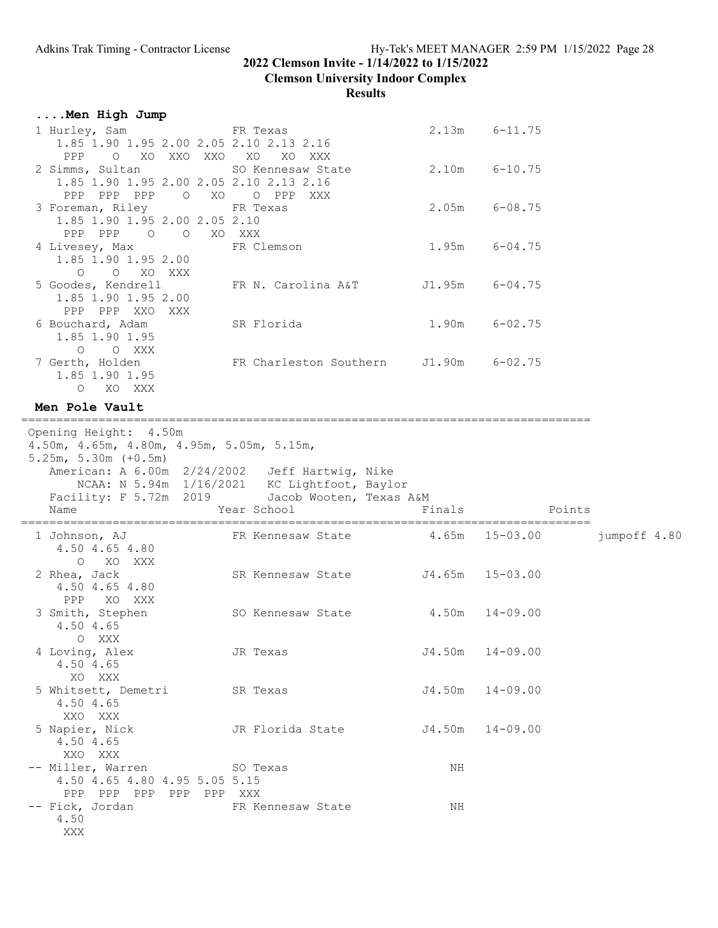### **Clemson University Indoor Complex**

| Men High Jump                                                                                                                                                                                                 |                                                              |                    |                     |              |
|---------------------------------------------------------------------------------------------------------------------------------------------------------------------------------------------------------------|--------------------------------------------------------------|--------------------|---------------------|--------------|
| 1 Hurley, Sam<br>1.85 1.90 1.95 2.00 2.05 2.10 2.13 2.16                                                                                                                                                      | FR Texas                                                     |                    | $2.13m$ $6-11.75$   |              |
| PPP<br>O XO XXO XXO XO XO XXX<br>2 Simms, Sultan<br>1.85 1.90 1.95 2.00 2.05 2.10 2.13 2.16<br>PPP PPP PPP O XO O PPP                                                                                         | SO Kennesaw State<br>XXX                                     |                    | 2.10m 6-10.75       |              |
| 3 Foreman, Riley<br>1.85 1.90 1.95 2.00 2.05 2.10<br>PPP PPP 0 0 XO XXX                                                                                                                                       | FR Texas                                                     |                    | $2.05m$ 6-08.75     |              |
| 4 Livesey, Max<br>1.85 1.90 1.95 2.00<br>O XO XXX<br>$\circ$                                                                                                                                                  | FR Clemson                                                   |                    | $1.95m$ 6-04.75     |              |
| 5 Goodes, Kendrell<br>1.85 1.90 1.95 2.00<br>PPP PPP XXO XXX                                                                                                                                                  | FR N. Carolina A&T J1.95m 6-04.75                            |                    |                     |              |
| 6 Bouchard, Adam<br>1.85 1.90 1.95<br>O XXX<br>$\circ$                                                                                                                                                        | SR Florida                                                   | 1.90m              | $6 - 02.75$         |              |
| 7 Gerth, Holden<br>1.85 1.90 1.95<br>O XO XXX                                                                                                                                                                 | FR Charleston Southern J1.90m 6-02.75                        |                    |                     |              |
| Men Pole Vault                                                                                                                                                                                                |                                                              |                    |                     |              |
| Opening Height: 4.50m<br>4.50m, 4.65m, 4.80m, 4.95m, 5.05m, 5.15m,<br>$5.25m, 5.30m (+0.5m)$<br>American: A 6.00m 2/24/2002<br>NCAA: N 5.94m 1/16/2021 KC Lightfoot, Baylor<br>Facility: F 5.72m 2019<br>Name | Jeff Hartwig, Nike<br>Jacob Wooten, Texas A&M<br>Year School | Finals             | Points              |              |
| 1 Johnson, AJ<br>4.50 4.65 4.80                                                                                                                                                                               | FR Kennesaw State $4.65$ m 15-03.00                          |                    |                     | jumpoff 4.80 |
| $\circ$<br>XO XXX<br>2 Rhea, Jack<br>4.50 4.65 4.80<br>PPP<br>XO XXX                                                                                                                                          | SR Kennesaw State J4.65m                                     |                    | $15 - 03.00$        |              |
| 3 Smith, Stephen<br>4.50 4.65<br>O XXX                                                                                                                                                                        | SO Kennesaw State                                            | $4.50m$ $14-09.00$ |                     |              |
| 4 Loving, Alex<br>4.50 4.65<br>XO XXX                                                                                                                                                                         | JR Texas                                                     |                    | $J4.50m$ $14-09.00$ |              |
| 5 Whitsett, Demetri<br>4.50 4.65<br>XXO XXX                                                                                                                                                                   | SR Texas                                                     | J4.50m             | $14 - 09.00$        |              |
| 5 Napier, Nick<br>4.50 4.65<br>XXO XXX                                                                                                                                                                        | JR Florida State                                             |                    | $J4.50m$ $14-09.00$ |              |
| -- Miller, Warren SO Texas<br>4.50 4.65 4.80 4.95 5.05 5.15                                                                                                                                                   |                                                              | NH                 |                     |              |
| PPP PPP PPP PPP PPP XXX<br>-- Fick, Jordan                                                                                                                                                                    |                                                              |                    |                     |              |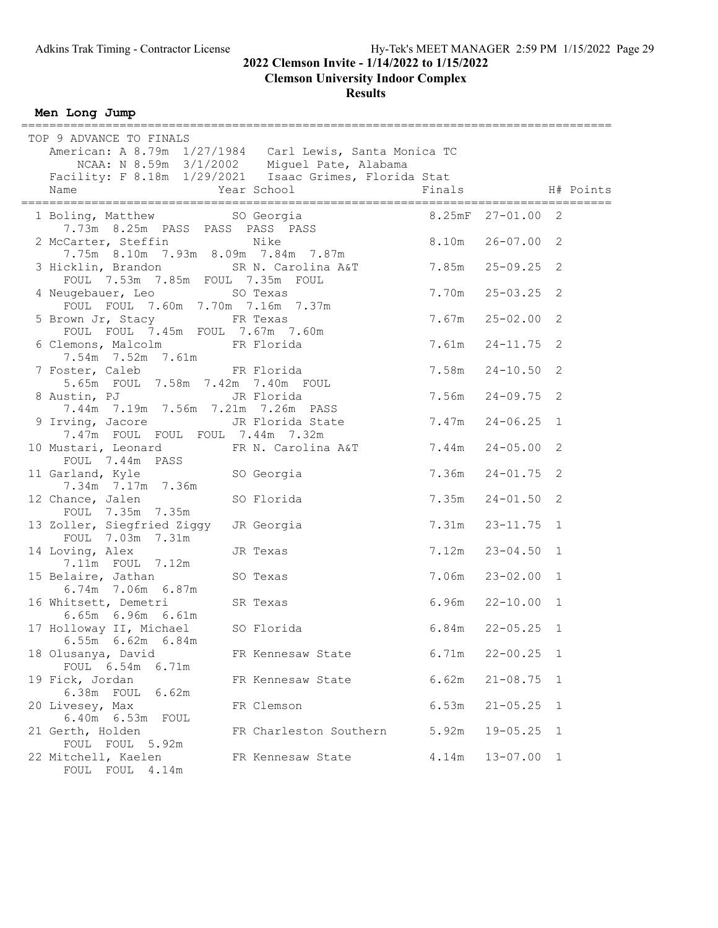**Clemson University Indoor Complex**

**Results**

**Men Long Jump**

| TOP 9 ADVANCE TO FINALS<br>American: A 8.79m 1/27/1984 Carl Lewis, Santa Monica TC         | NCAA: N 8.59m 3/1/2002 Miguel Pate, Alabama                                                            |        |                      |                |  |
|--------------------------------------------------------------------------------------------|--------------------------------------------------------------------------------------------------------|--------|----------------------|----------------|--|
| Facility: F 8.18m 1/29/2021  Isaac Grimes, Florida Stat<br>Name                            | Year School                                                                                            | Finals | H# Points            |                |  |
| 1 Boling, Matthew SO Georgia                                                               |                                                                                                        |        |                      |                |  |
| 2 McCarter, Steffin<br>7.75m 8.10m 7.93m 8.09m 7.84m 7.87m                                 | ling, Matthew SU Georgia<br>1.73m 8.25m PASS PASS PASS PASS<br>Nike<br>$\frac{1}{26-07.00}$ 26-07.00 2 |        |                      |                |  |
| 3 Hicklin, Brandon SR N. Carolina A&T 7.85m 25-09.25 2<br>FOUL 7.53m 7.85m FOUL 7.35m FOUL |                                                                                                        |        |                      |                |  |
| 4 Neugebauer, Leo SO Texas<br>FOUL FOUL 7.60m 7.70m 7.16m 7.37m                            |                                                                                                        | 7.70m  | $25 - 03.25$ 2       |                |  |
| 5 Brown Jr, Stacy<br>FOUL FOUL 7.45m FOUL 7.67m 7.60m                                      |                                                                                                        | 7.67m  | $25 - 02.00$ 2       |                |  |
| 6 Clemons, Malcolm FR Florida<br>7.54m 7.52m 7.61m                                         |                                                                                                        |        | 7.61m  24-11.75  2   |                |  |
| FR Florida<br>7 Foster, Caleb<br>5.65m FOUL 7.58m 7.42m 7.40m FOUL                         |                                                                                                        |        | $7.58m$ $24-10.50$   | $\overline{c}$ |  |
| 8 Austin, PJ<br>7.44m 7.19m 7.56m 7.21m 7.26m PASS                                         | JR Florida                                                                                             |        | 7.56m 24-09.75 2     |                |  |
| 9 Irving, Jacore Mark JR Florida State<br>7.47m FOUL FOUL FOUL 7.44m 7.32m                 |                                                                                                        |        | $7.47m$ $24-06.25$ 1 |                |  |
| 10 Mustari, Leonard FR N. Carolina A&T 7.44m<br>FOUL 7.44m PASS                            |                                                                                                        |        | $24 - 05.00$         | 2              |  |
| 11 Garland, Kyle SO Georgia<br>7.34m 7.17m 7.36m                                           |                                                                                                        | 7.36m  | $24 - 01.75$ 2       |                |  |
| 12 Chance, Jalen<br>FOUL 7.35m 7.35m                                                       | SO Florida                                                                                             | 7.35m  | $24 - 01.50$ 2       |                |  |
| 13 Zoller, Siegfried Ziggy JR Georgia<br>FOUL 7.03m 7.31m                                  |                                                                                                        |        | 7.31m  23-11.75  1   |                |  |
| 14 Loving, Alex<br>7.11m FOUL 7.12m                                                        | JR Texas                                                                                               | 7.12m  | $23 - 04.50$ 1       |                |  |
| 15 Belaire, Jathan<br>6.74m 7.06m 6.87m                                                    | SO Texas                                                                                               | 7.06m  | $23 - 02.00$ 1       |                |  |
| $S$ R Texas<br>16 Whitsett, Demetri<br>6.65m 6.96m 6.61m                                   |                                                                                                        |        | $6.96m$ $22-10.00$ 1 |                |  |
| 17 Holloway II, Michael SO Florida<br>6.55m 6.62m 6.84m                                    |                                                                                                        |        | $6.84m$ $22-05.25$ 1 |                |  |
| 18 Olusanya, David<br>FOUL 6.54m 6.71m                                                     | FR Kennesaw State                                                                                      | 6.71m  | $22 - 00.25$ 1       |                |  |
| 19 Fick, Jordan<br>6.38m FOUL 6.62m                                                        | FR Kennesaw State                                                                                      | 6.62m  | $21 - 08.75$         | 1              |  |
| 20 Livesey, Max<br>6.40m  6.53m  FOUL                                                      | FR Clemson                                                                                             | 6.53m  | $21 - 05.25$         | 1              |  |
| 21 Gerth, Holden<br>FOUL FOUL 5.92m                                                        | FR Charleston Southern                                                                                 | 5.92m  | $19 - 05.25$         | 1              |  |
| 22 Mitchell, Kaelen<br>FOUL FOUL 4.14m                                                     | FR Kennesaw State                                                                                      | 4.14m  | $13 - 07.00$         | 1              |  |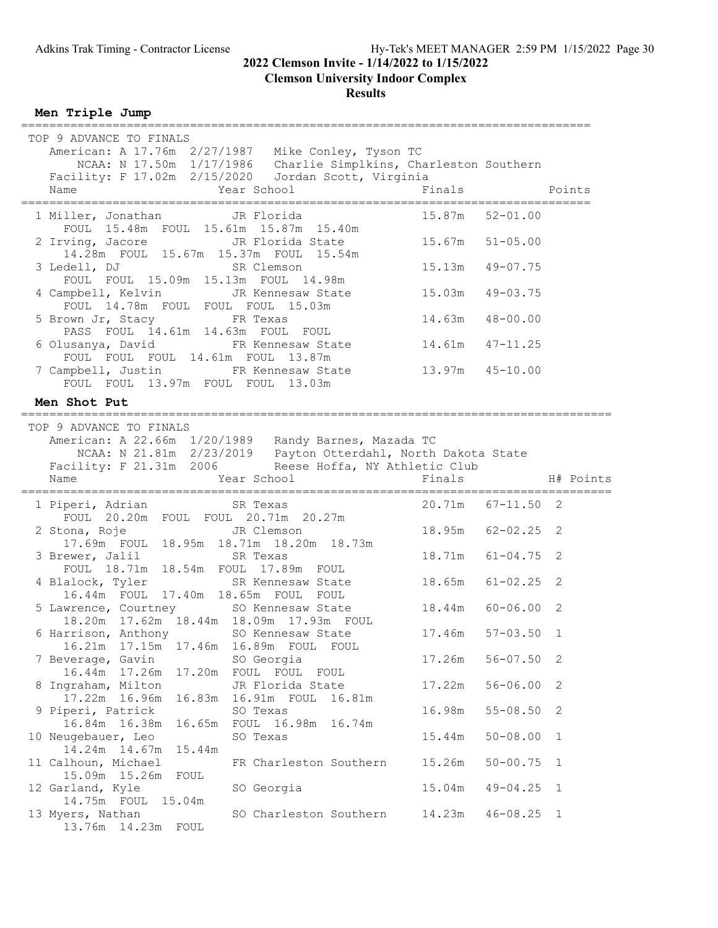#### **Clemson University Indoor Complex**

**Results**

**Men Triple Jump**

| TOP 9 ADVANCE TO FINALS<br>American: A 17.76m 2/27/1987 Mike Conley, Tyson TC                                                                                                                                                    |                       |              |              |
|----------------------------------------------------------------------------------------------------------------------------------------------------------------------------------------------------------------------------------|-----------------------|--------------|--------------|
| NCAA: N 17.50m 1/17/1986 Charlie Simplkins, Charleston Southern                                                                                                                                                                  |                       |              |              |
| Facility: F 17.02m 2/15/2020 Jordan Scott, Virginia<br>Year School<br>Name                                                                                                                                                       | Finals                | Points       |              |
| 1 Miller, Jonathan JR Florida 15.87m 52-01.00<br>FOUL 15.48m FOUL 15.61m 15.87m 15.40m                                                                                                                                           |                       |              |              |
| 2 Irving, Jacore Manuel JR Florida State<br>14.28m FOUL 15.67m 15.37m FOUL 15.54m                                                                                                                                                | 15.67m 51-05.00       |              |              |
| 3 Ledell, DJ SR Clemson<br>FOUL FOUL 15.09m 15.13m FOUL 14.98m                                                                                                                                                                   | 15.13m 49-07.75       |              |              |
| 4 Campbell, Kelvin JR Kennesaw State 15.03m 49-03.75<br>FOUL 14.78m FOUL FOUL FOUL 15.03m 14.63m 48-00.00<br>5 Brown Jr, Stacy FR Texas 14.63m 48-00.00                                                                          |                       |              |              |
| PASS FOUL 14.61m 14.63m FOUL FOUL                                                                                                                                                                                                |                       |              |              |
| 6 Olusanya, David FR Kennesaw State 14.61m 47-11.25<br>FOUL FOUL FOUL 14.61m FOUL 13.87m                                                                                                                                         |                       |              |              |
| 7 Campbell, Justin FR Kennesaw State 13.97m 45-10.00<br>FOUL FOUL 13.97m FOUL FOUL 13.03m                                                                                                                                        |                       |              |              |
| Men Shot Put                                                                                                                                                                                                                     |                       |              |              |
| TOP 9 ADVANCE TO FINALS<br>American: A 22.66m 1/20/1989 Randy Barnes, Mazada TC<br>NCAA: N 21.81m 2/23/2019 Payton Otterdahl, North Dakota State<br>Facility: F 21.31m 2006 Reese Hoffa, NY Athletic Club<br>Year School<br>Name | Finals                |              | H# Points    |
| 1 Piperi, Adrian SR Texas                                                                                                                                                                                                        | $20.71m$ $67-11.50$ 2 |              |              |
| 2 Stona, Roje Gallery JR Clemson<br>17.69m FOUL 18.95m 18.71m 18.20m 18.73m                                                                                                                                                      | 18.95m 62-02.25 2     |              |              |
| 3 Brewer, Jalil SR Texas<br>FOUL 18.71m 18.54m FOUL 17.89m FOUL                                                                                                                                                                  | 18.71m 61-04.75 2     |              |              |
| 4 Blalock, Tyler 5R Kennesaw State 18.65m 61-02.25 2<br>16.44m FOUL 17.40m 18.65m FOUL FOUL                                                                                                                                      |                       |              |              |
| 5 Lawrence, Courtney 50 Kennesaw State 18.44m 60-06.00 2<br>18.20m 17.62m 18.44m 18.09m 17.93m FOUL                                                                                                                              |                       |              |              |
| 6 Harrison, Anthony SO Kennesaw State 17.46m 57-03.50 1<br>17.46m<br>16.21m<br>17.15m<br>16.89m FOUL FOUL                                                                                                                        |                       |              |              |
| SO Georgia<br>7 Beverage, Gavin<br>16.44m 17.26m<br>17.20m<br>FOUL FOUL FOUL                                                                                                                                                     | 17.26m                | $56 - 07.50$ | 2            |
| JR Florida State<br>8 Ingraham, Milton<br>17.22m 16.96m<br>16.83m<br>16.91m FOUL                                                                                                                                                 | 17.22m                | $56 - 06.00$ | 2            |
| 16.81m<br>9 Piperi, Patrick<br>SO Texas                                                                                                                                                                                          | 16.98m                | $55 - 08.50$ | 2            |
| 16.84m 16.38m<br>16.65m<br>FOUL 16.98m<br>16.74m<br>10 Neugebauer, Leo<br>SO Texas<br>15.44m<br>14.24m 14.67m                                                                                                                    | 15.44m                | $50 - 08.00$ | $\mathbf 1$  |
| 11 Calhoun, Michael<br>FR Charleston Southern<br>15.09m 15.26m<br>FOUL                                                                                                                                                           | 15.26m                | $50 - 00.75$ | 1            |
| SO Georgia<br>12 Garland, Kyle                                                                                                                                                                                                   | 15.04m                | $49 - 04.25$ | $\mathbf{1}$ |
| 14.75m FOUL 15.04m<br>13 Myers, Nathan<br>SO Charleston Southern<br>13.76m  14.23m  FOUL                                                                                                                                         | 14.23m                | $46 - 08.25$ | 1            |